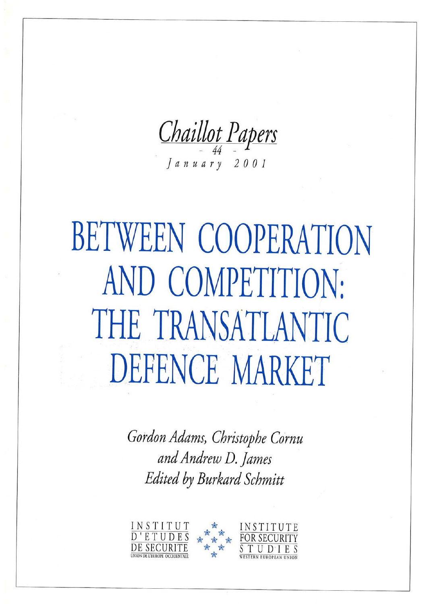Chaillot Papers

 $J$ anuary 2001

# BETWEEN COOPERATION AND COMPETITION: THE TRANSATLANTIC DEFENCE MARKET

Gordon Adams, Christophe Cornu and Andrew D. James Edited by Burkard Schmitt

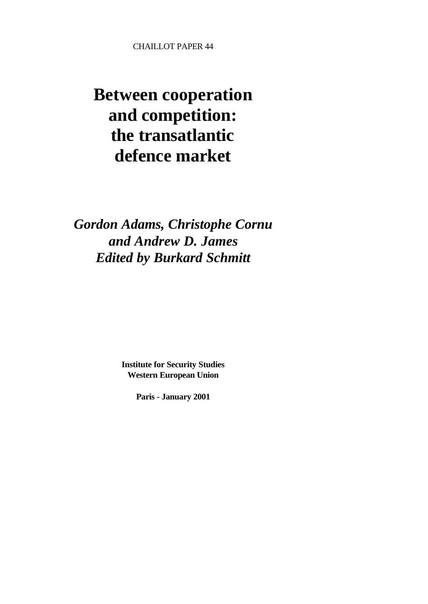CHAILLOT PAPER 44

## **Between cooperation and competition: the transatlantic defence market**

*Gordon Adams, Christophe Cornu and Andrew D. James Edited by Burkard Schmitt*

> **Institute for Security Studies Western European Union**

> > **Paris - January 2001**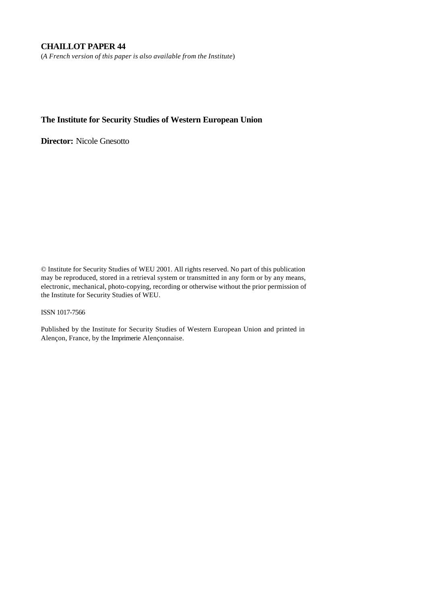#### **CHAILLOT PAPER 44**

(*A French version of this paper is also available from the Institute*)

#### **The Institute for Security Studies of Western European Union**

**Director:** Nicole Gnesotto

© Institute for Security Studies of WEU 2001. All rights reserved. No part of this publication may be reproduced, stored in a retrieval system or transmitted in any form or by any means, electronic, mechanical, photo-copying, recording or otherwise without the prior permission of the Institute for Security Studies of WEU.

#### ISSN 1017-7566

Published by the Institute for Security Studies of Western European Union and printed in Alençon, France, by the Imprimerie Alençonnaise.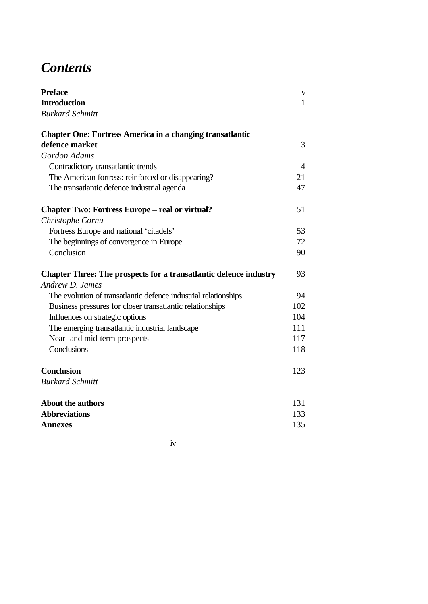## *Contents*

| <b>Preface</b>                                                           | V   |
|--------------------------------------------------------------------------|-----|
| <b>Introduction</b>                                                      | 1   |
| <b>Burkard Schmitt</b>                                                   |     |
| <b>Chapter One: Fortress America in a changing transatlantic</b>         |     |
| defence market                                                           | 3   |
| <b>Gordon Adams</b>                                                      |     |
| Contradictory transatlantic trends                                       | 4   |
| The American fortress: reinforced or disappearing?                       | 21  |
| The transatlantic defence industrial agenda                              | 47  |
| <b>Chapter Two: Fortress Europe – real or virtual?</b>                   | 51  |
| Christophe Cornu                                                         |     |
| Fortress Europe and national 'citadels'                                  | 53  |
| The beginnings of convergence in Europe                                  | 72  |
| Conclusion                                                               | 90  |
| <b>Chapter Three: The prospects for a transatlantic defence industry</b> | 93  |
| Andrew D. James                                                          |     |
| The evolution of transatlantic defence industrial relationships          | 94  |
| Business pressures for closer transatlantic relationships                | 102 |
| Influences on strategic options                                          | 104 |
| The emerging transatlantic industrial landscape                          | 111 |
| Near- and mid-term prospects                                             | 117 |
| Conclusions                                                              | 118 |
| <b>Conclusion</b>                                                        | 123 |
| <b>Burkard Schmitt</b>                                                   |     |
| <b>About the authors</b>                                                 | 131 |
| <b>Abbreviations</b>                                                     | 133 |
| <b>Annexes</b>                                                           | 135 |

iv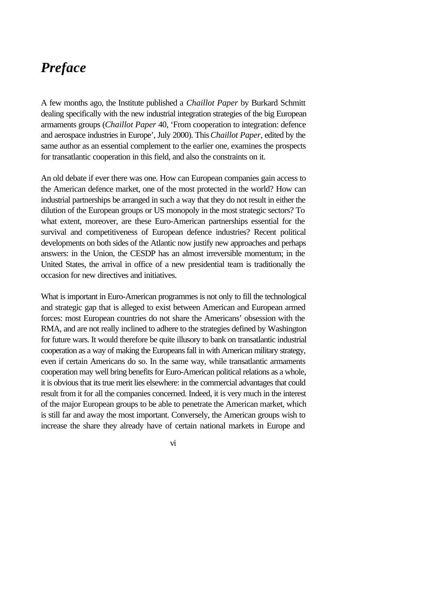### *Preface*

A few months ago, the Institute published a *Chaillot Paper* by Burkard Schmitt dealing specifically with the new industrial integration strategies of the big European armaments groups (*Chaillot Paper* 40, 'From cooperation to integration: defence and aerospace industries in Europe', July 2000). This *Chaillot Paper*, edited by the same author as an essential complement to the earlier one, examines the prospects for transatlantic cooperation in this field, and also the constraints on it.

An old debate if ever there was one. How can European companies gain access to the American defence market, one of the most protected in the world? How can industrial partnerships be arranged in such a way that they do not result in either the dilution of the European groups or US monopoly in the most strategic sectors? To what extent, moreover, are these Euro-American partnerships essential for the survival and competitiveness of European defence industries? Recent political developments on both sides of the Atlantic now justify new approaches and perhaps answers: in the Union, the CESDP has an almost irreversible momentum; in the United States, the arrival in office of a new presidential team is traditionally the occasion for new directives and initiatives.

What is important in Euro-American programmes is not only to fill the technological and strategic gap that is alleged to exist between American and European armed forces: most European countries do not share the Americans' obsession with the RMA, and are not really inclined to adhere to the strategies defined by Washington for future wars. It would therefore be quite illusory to bank on transatlantic industrial cooperation as a way of making the Europeans fall in with American military strategy, even if certain Americans do so. In the same way, while transatlantic armaments cooperation may well bring benefits for Euro-American political relations as a whole, it is obvious that its true merit lies elsewhere: in the commercial advantages that could result from it for all the companies concerned. Indeed, it is very much in the interest of the major European groups to be able to penetrate the American market, which is still far and away the most important. Conversely, the American groups wish to increase the share they already have of certain national markets in Europe and

vi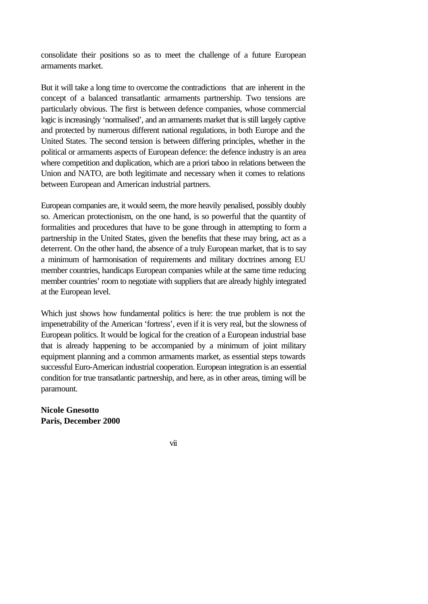consolidate their positions so as to meet the challenge of a future European armaments market.

But it will take a long time to overcome the contradictions that are inherent in the concept of a balanced transatlantic armaments partnership. Two tensions are particularly obvious. The first is between defence companies, whose commercial logic is increasingly 'normalised', and an armaments market that is still largely captive and protected by numerous different national regulations, in both Europe and the United States. The second tension is between differing principles, whether in the political or armaments aspects of European defence: the defence industry is an area where competition and duplication, which are a priori taboo in relations between the Union and NATO, are both legitimate and necessary when it comes to relations between European and American industrial partners.

European companies are, it would seem, the more heavily penalised, possibly doubly so. American protectionism, on the one hand, is so powerful that the quantity of formalities and procedures that have to be gone through in attempting to form a partnership in the United States, given the benefits that these may bring, act as a deterrent. On the other hand, the absence of a truly European market, that is to say a minimum of harmonisation of requirements and military doctrines among EU member countries, handicaps European companies while at the same time reducing member countries' room to negotiate with suppliers that are already highly integrated at the European level.

Which just shows how fundamental politics is here: the true problem is not the impenetrability of the American 'fortress', even if it is very real, but the slowness of European politics. It would be logical for the creation of a European industrial base that is already happening to be accompanied by a minimum of joint military equipment planning and a common armaments market, as essential steps towards successful Euro-American industrial cooperation. European integration is an essential condition for true transatlantic partnership, and here, as in other areas, timing will be paramount.

**Nicole Gnesotto Paris, December 2000**

vii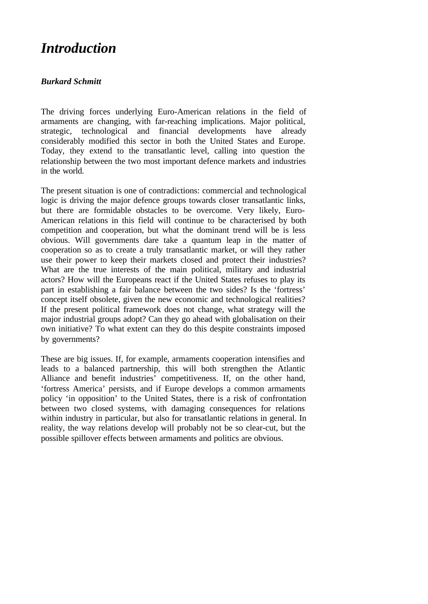## *Introduction*

#### *Burkard Schmitt*

The driving forces underlying Euro-American relations in the field of armaments are changing, with far-reaching implications. Major political, strategic, technological and financial developments have already considerably modified this sector in both the United States and Europe. Today, they extend to the transatlantic level, calling into question the relationship between the two most important defence markets and industries in the world.

The present situation is one of contradictions: commercial and technological logic is driving the major defence groups towards closer transatlantic links, but there are formidable obstacles to be overcome. Very likely, Euro-American relations in this field will continue to be characterised by both competition and cooperation, but what the dominant trend will be is less obvious. Will governments dare take a quantum leap in the matter of cooperation so as to create a truly transatlantic market, or will they rather use their power to keep their markets closed and protect their industries? What are the true interests of the main political, military and industrial actors? How will the Europeans react if the United States refuses to play its part in establishing a fair balance between the two sides? Is the 'fortress' concept itself obsolete, given the new economic and technological realities? If the present political framework does not change, what strategy will the major industrial groups adopt? Can they go ahead with globalisation on their own initiative? To what extent can they do this despite constraints imposed by governments?

These are big issues. If, for example, armaments cooperation intensifies and leads to a balanced partnership, this will both strengthen the Atlantic Alliance and benefit industries' competitiveness. If, on the other hand, 'fortress America' persists, and if Europe develops a common armaments policy 'in opposition' to the United States, there is a risk of confrontation between two closed systems, with damaging consequences for relations within industry in particular, but also for transatlantic relations in general. In reality, the way relations develop will probably not be so clear-cut, but the possible spillover effects between armaments and politics are obvious.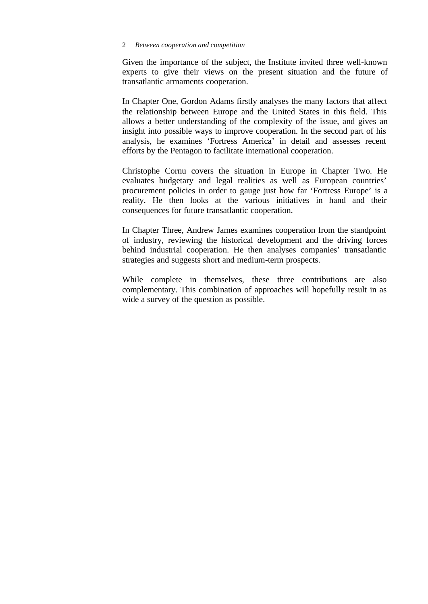Given the importance of the subject, the Institute invited three well-known experts to give their views on the present situation and the future of transatlantic armaments cooperation.

In Chapter One, Gordon Adams firstly analyses the many factors that affect the relationship between Europe and the United States in this field. This allows a better understanding of the complexity of the issue, and gives an insight into possible ways to improve cooperation. In the second part of his analysis, he examines 'Fortress America' in detail and assesses recent efforts by the Pentagon to facilitate international cooperation.

Christophe Cornu covers the situation in Europe in Chapter Two. He evaluates budgetary and legal realities as well as European countries' procurement policies in order to gauge just how far 'Fortress Europe' is a reality. He then looks at the various initiatives in hand and their consequences for future transatlantic cooperation.

In Chapter Three, Andrew James examines cooperation from the standpoint of industry, reviewing the historical development and the driving forces behind industrial cooperation. He then analyses companies' transatlantic strategies and suggests short and medium-term prospects.

While complete in themselves, these three contributions are also complementary. This combination of approaches will hopefully result in as wide a survey of the question as possible.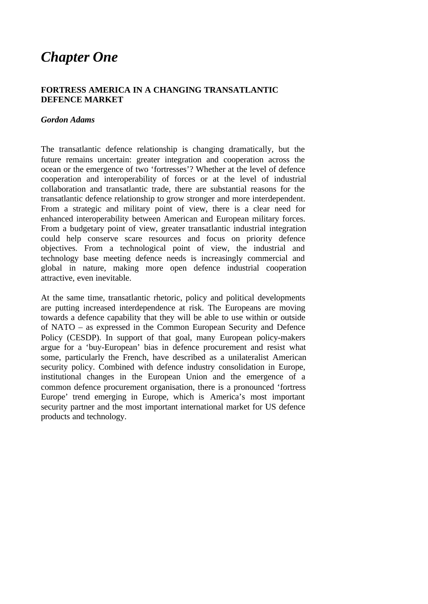## *Chapter One*

#### **FORTRESS AMERICA IN A CHANGING TRANSATLANTIC DEFENCE MARKET**

#### *Gordon Adams*

The transatlantic defence relationship is changing dramatically, but the future remains uncertain: greater integration and cooperation across the ocean or the emergence of two 'fortresses'? Whether at the level of defence cooperation and interoperability of forces or at the level of industrial collaboration and transatlantic trade, there are substantial reasons for the transatlantic defence relationship to grow stronger and more interdependent. From a strategic and military point of view, there is a clear need for enhanced interoperability between American and European military forces. From a budgetary point of view, greater transatlantic industrial integration could help conserve scare resources and focus on priority defence objectives. From a technological point of view, the industrial and technology base meeting defence needs is increasingly commercial and global in nature, making more open defence industrial cooperation attractive, even inevitable.

At the same time, transatlantic rhetoric, policy and political developments are putting increased interdependence at risk. The Europeans are moving towards a defence capability that they will be able to use within or outside of NATO – as expressed in the Common European Security and Defence Policy (CESDP). In support of that goal, many European policy-makers argue for a 'buy-European' bias in defence procurement and resist what some, particularly the French, have described as a unilateralist American security policy. Combined with defence industry consolidation in Europe, institutional changes in the European Union and the emergence of a common defence procurement organisation, there is a pronounced 'fortress Europe' trend emerging in Europe, which is America's most important security partner and the most important international market for US defence products and technology.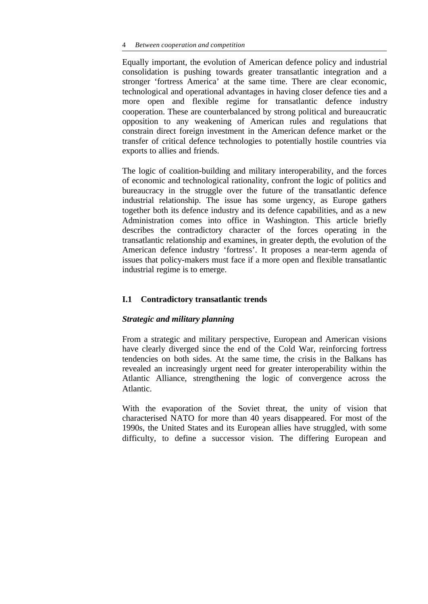Equally important, the evolution of American defence policy and industrial consolidation is pushing towards greater transatlantic integration and a stronger 'fortress America' at the same time. There are clear economic, technological and operational advantages in having closer defence ties and a more open and flexible regime for transatlantic defence industry cooperation. These are counterbalanced by strong political and bureaucratic opposition to any weakening of American rules and regulations that constrain direct foreign investment in the American defence market or the transfer of critical defence technologies to potentially hostile countries via exports to allies and friends.

The logic of coalition-building and military interoperability, and the forces of economic and technological rationality, confront the logic of politics and bureaucracy in the struggle over the future of the transatlantic defence industrial relationship. The issue has some urgency, as Europe gathers together both its defence industry and its defence capabilities, and as a new Administration comes into office in Washington. This article briefly describes the contradictory character of the forces operating in the transatlantic relationship and examines, in greater depth, the evolution of the American defence industry 'fortress'. It proposes a near-term agenda of issues that policy-makers must face if a more open and flexible transatlantic industrial regime is to emerge.

#### **I.1 Contradictory transatlantic trends**

#### *Strategic and military planning*

From a strategic and military perspective, European and American visions have clearly diverged since the end of the Cold War, reinforcing fortress tendencies on both sides. At the same time, the crisis in the Balkans has revealed an increasingly urgent need for greater interoperability within the Atlantic Alliance, strengthening the logic of convergence across the Atlantic.

With the evaporation of the Soviet threat, the unity of vision that characterised NATO for more than 40 years disappeared. For most of the 1990s, the United States and its European allies have struggled, with some difficulty, to define a successor vision. The differing European and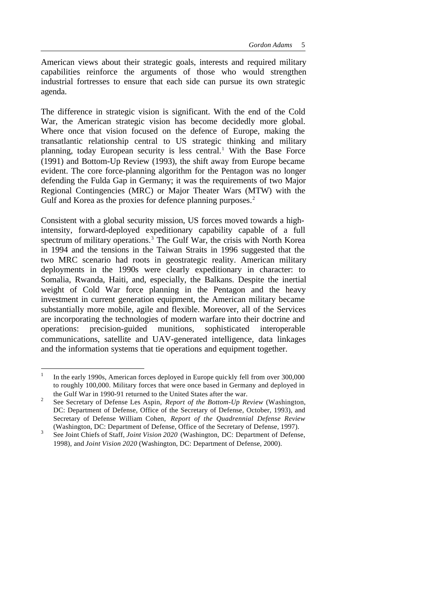American views about their strategic goals, interests and required military capabilities reinforce the arguments of those who would strengthen industrial fortresses to ensure that each side can pursue its own strategic agenda.

The difference in strategic vision is significant. With the end of the Cold War, the American strategic vision has become decidedly more global. Where once that vision focused on the defence of Europe, making the transatlantic relationship central to US strategic thinking and military planning, today European security is less central.<sup>1</sup> With the Base Force (1991) and Bottom-Up Review (1993), the shift away from Europe became evident. The core force-planning algorithm for the Pentagon was no longer defending the Fulda Gap in Germany; it was the requirements of two Major Regional Contingencies (MRC) or Major Theater Wars (MTW) with the Gulf and Korea as the proxies for defence planning purposes.<sup>2</sup>

Consistent with a global security mission, US forces moved towards a highintensity, forward-deployed expeditionary capability capable of a full spectrum of military operations.<sup>3</sup> The Gulf War, the crisis with North Korea in 1994 and the tensions in the Taiwan Straits in 1996 suggested that the two MRC scenario had roots in geostrategic reality. American military deployments in the 1990s were clearly expeditionary in character: to Somalia, Rwanda, Haiti, and, especially, the Balkans. Despite the inertial weight of Cold War force planning in the Pentagon and the heavy investment in current generation equipment, the American military became substantially more mobile, agile and flexible. Moreover, all of the Services are incorporating the technologies of modern warfare into their doctrine and operations: precision-guided munitions, sophisticated interoperable communications, satellite and UAV-generated intelligence, data linkages and the information systems that tie operations and equipment together.

<sup>1</sup> In the early 1990s, American forces deployed in Europe quickly fell from over 300,000 to roughly 100,000. Military forces that were once based in Germany and deployed in the Gulf War in 1990-91 returned to the United States after the war.

<sup>2</sup> See Secretary of Defense Les Aspin, *Report of the Bottom-Up Review* (Washington, DC: Department of Defense, Office of the Secretary of Defense, October, 1993), and Secretary of Defense William Cohen, *Report of the Quadrennial Defense Review* (Washington, DC: Department of Defense, Office of the Secretary of Defense, 1997).

<sup>3</sup> See Joint Chiefs of Staff, *Joint Vision 2020* (Washington, DC: Department of Defense, 1998), and *Joint Vision 2020* (Washington, DC: Department of Defense, 2000).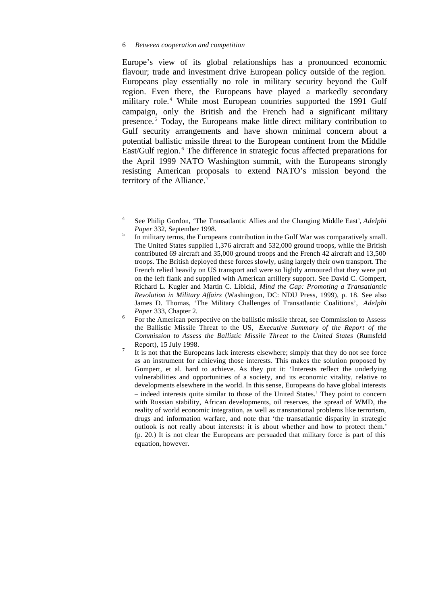Europe's view of its global relationships has a pronounced economic flavour; trade and investment drive European policy outside of the region. Europeans play essentially no role in military security beyond the Gulf region. Even there, the Europeans have played a markedly secondary military role.<sup>4</sup> While most European countries supported the 1991 Gulf campaign, only the British and the French had a significant military presence.<sup>5</sup> Today, the Europeans make little direct military contribution to Gulf security arrangements and have shown minimal concern about a potential ballistic missile threat to the European continent from the Middle East/Gulf region.<sup>6</sup> The difference in strategic focus affected preparations for the April 1999 NATO Washington summit, with the Europeans strongly resisting American proposals to extend NATO's mission beyond the territory of the Alliance.<sup>7</sup>

 $\frac{1}{4}$ See Philip Gordon, 'The Transatlantic Allies and the Changing Middle East'*, Adelphi Paper* 332, September 1998. 5

In military terms, the Europeans contribution in the Gulf War was comparatively small. The United States supplied 1,376 aircraft and 532,000 ground troops, while the British contributed 69 aircraft and 35,000 ground troops and the French 42 aircraft and 13,500 troops. The British deployed these forces slowly, using largely their own transport. The French relied heavily on US transport and were so lightly armoured that they were put on the left flank and supplied with American artillery support. See David C. Gompert, Richard L. Kugler and Martin C. Libicki, *Mind the Gap: Promoting a Transatlantic Revolution in Military Affairs* (Washington, DC: NDU Press, 1999), p. 18. See also James D. Thomas, 'The Military Challenges of Transatlantic Coalitions', *Adelphi Paper* 333, Chapter 2.

<sup>6</sup> For the American perspective on the ballistic missile threat, see Commission to Assess the Ballistic Missile Threat to the US, *Executive Summary of the Report of the Commission to Assess the Ballistic Missile Threat to the United States* (Rumsfeld Report), 15 July 1998.

<sup>7</sup> It is not that the Europeans lack interests elsewhere; simply that they do not see force as an instrument for achieving those interests. This makes the solution proposed by Gompert, et al. hard to achieve. As they put it: 'Interests reflect the underlying vulnerabilities and opportunities of a society, and its economic vitality, relative to developments elsewhere in the world. In this sense, Europeans do have global interests – indeed interests quite similar to those of the United States.' They point to concern with Russian stability, African developments, oil reserves, the spread of WMD, the reality of world economic integration, as well as transnational problems like terrorism, drugs and information warfare, and note that 'the transatlantic disparity in strategic outlook is not really about interests: it is about whether and how to protect them.' (p. 20.) It is not clear the Europeans are persuaded that military force is part of this equation, however.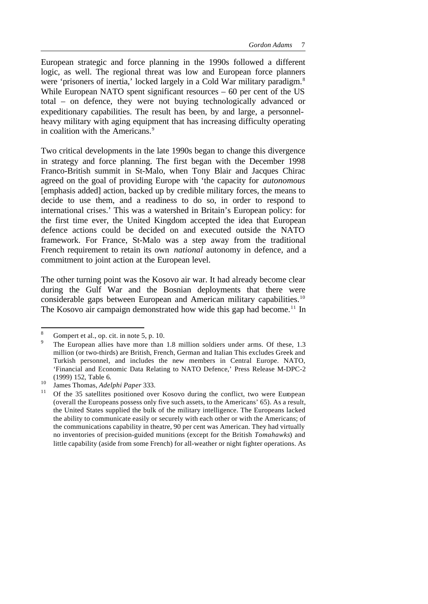European strategic and force planning in the 1990s followed a different logic, as well. The regional threat was low and European force planners were 'prisoners of inertia,' locked largely in a Cold War military paradigm.<sup>8</sup> While European NATO spent significant resources – 60 per cent of the US total – on defence, they were not buying technologically advanced or expeditionary capabilities. The result has been, by and large, a personnelheavy military with aging equipment that has increasing difficulty operating in coalition with the Americans.<sup>9</sup>

Two critical developments in the late 1990s began to change this divergence in strategy and force planning. The first began with the December 1998 Franco-British summit in St-Malo, when Tony Blair and Jacques Chirac agreed on the goal of providing Europe with 'the capacity for *autonomous* [emphasis added] action, backed up by credible military forces, the means to decide to use them, and a readiness to do so, in order to respond to international crises.' This was a watershed in Britain's European policy: for the first time ever, the United Kingdom accepted the idea that European defence actions could be decided on and executed outside the NATO framework. For France, St-Malo was a step away from the traditional French requirement to retain its own *national* autonomy in defence, and a commitment to joint action at the European level.

The other turning point was the Kosovo air war. It had already become clear during the Gulf War and the Bosnian deployments that there were considerable gaps between European and American military capabilities.<sup>10</sup> The Kosovo air campaign demonstrated how wide this gap had become.<sup>11</sup> In

Gompert et al., op. cit. in note 5, p. 10.

<sup>9</sup> The European allies have more than 1.8 million soldiers under arms. Of these, 1.3 million (or two-thirds) are British, French, German and Italian This excludes Greek and Turkish personnel, and includes the new members in Central Europe. NATO, 'Financial and Economic Data Relating to NATO Defence,' Press Release M-DPC-2 (1999) 152, Table 6.

<sup>10</sup> James Thomas, *Adelphi Paper* 333.

Of the 35 satellites positioned over Kosovo during the conflict, two were European (overall the Europeans possess only five such assets, to the Americans' 65). As a result, the United States supplied the bulk of the military intelligence. The Europeans lacked the ability to communicate easily or securely with each other or with the Americans; of the communications capability in theatre, 90 per cent was American. They had virtually no inventories of precision-guided munitions (except for the British *Tomahawks*) and little capability (aside from some French) for all-weather or night fighter operations. As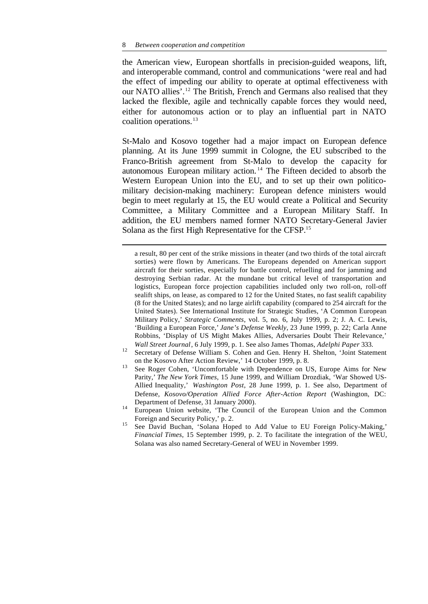l

the American view, European shortfalls in precision-guided weapons, lift, and interoperable command, control and communications 'were real and had the effect of impeding our ability to operate at optimal effectiveness with our NATO allies'.<sup>12</sup> The British, French and Germans also realised that they lacked the flexible, agile and technically capable forces they would need, either for autonomous action or to play an influential part in NATO coalition operations.<sup>13</sup>

St-Malo and Kosovo together had a major impact on European defence planning. At its June 1999 summit in Cologne, the EU subscribed to the Franco-British agreement from St-Malo to develop the capacity for autonomous European military action. <sup>14</sup> The Fifteen decided to absorb the Western European Union into the EU, and to set up their own politicomilitary decision-making machinery: European defence ministers would begin to meet regularly at 15, the EU would create a Political and Security Committee, a Military Committee and a European Military Staff. In addition, the EU members named former NATO Secretary-General Javier Solana as the first High Representative for the CFSP.<sup>15</sup>

a result, 80 per cent of the strike missions in theater (and two thirds of the total aircraft sorties) were flown by Americans. The Europeans depended on American support aircraft for their sorties, especially for battle control, refuelling and for jamming and destroying Serbian radar. At the mundane but critical level of transportation and logistics, European force projection capabilities included only two roll-on, roll-off sealift ships, on lease, as compared to 12 for the United States, no fast sealift capability (8 for the United States); and no large airlift capability (compared to 254 aircraft for the United States). See International Institute for Strategic Studies, 'A Common European Military Policy,' *Strategic Comments*, vol. 5, no. 6, July 1999, p. 2; J. A. C. Lewis, 'Building a European Force,' *Jane's Defense Weekly,* 23 June 1999, p. 22; Carla Anne Robbins, 'Display of US Might Makes Allies, Adversaries Doubt Their Relevance,' *Wall Street Journal*, 6 July 1999, p. 1. See also James Thomas, *Adelphi Paper* 333.

- <sup>12</sup> Secretary of Defense William S. Cohen and Gen. Henry H. Shelton, 'Joint Statement on the Kosovo After Action Review,' 14 October 1999, p. 8.
- <sup>13</sup> See Roger Cohen, 'Uncomfortable with Dependence on US, Europe Aims for New Parity,' *The New York Times*, 15 June 1999, and William Drozdiak, 'War Showed US-Allied Inequality,' *Washington Post*, 28 June 1999, p. 1. See also, Department of Defense, *Kosovo/Operation Allied Force After-Action Report* (Washington, DC: Department of Defense, 31 January 2000).
- <sup>14</sup> European Union website, 'The Council of the European Union and the Common Foreign and Security Policy,' p. 2.
- <sup>15</sup> See David Buchan, 'Solana Hoped to Add Value to EU Foreign Policy-Making,' *Financial Times*, 15 September 1999, p. 2. To facilitate the integration of the WEU, Solana was also named Secretary-General of WEU in November 1999.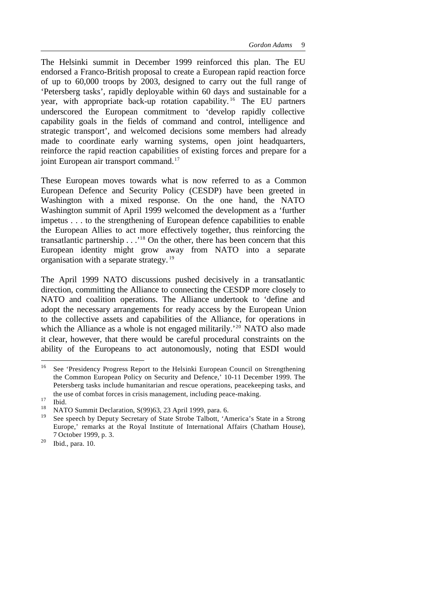The Helsinki summit in December 1999 reinforced this plan. The EU endorsed a Franco-British proposal to create a European rapid reaction force of up to 60,000 troops by 2003, designed to carry out the full range of 'Petersberg tasks', rapidly deployable within 60 days and sustainable for a year, with appropriate back-up rotation capability.<sup>16</sup> The EU partners underscored the European commitment to 'develop rapidly collective capability goals in the fields of command and control, intelligence and strategic transport', and welcomed decisions some members had already made to coordinate early warning systems, open joint headquarters, reinforce the rapid reaction capabilities of existing forces and prepare for a joint European air transport command.<sup>17</sup>

These European moves towards what is now referred to as a Common European Defence and Security Policy (CESDP) have been greeted in Washington with a mixed response. On the one hand, the NATO Washington summit of April 1999 welcomed the development as a 'further impetus . . . to the strengthening of European defence capabilities to enable the European Allies to act more effectively together, thus reinforcing the transatlantic partnership . . .'<sup>18</sup> On the other, there has been concern that this European identity might grow away from NATO into a separate organisation with a separate strategy. <sup>19</sup>

The April 1999 NATO discussions pushed decisively in a transatlantic direction, committing the Alliance to connecting the CESDP more closely to NATO and coalition operations. The Alliance undertook to 'define and adopt the necessary arrangements for ready access by the European Union to the collective assets and capabilities of the Alliance, for operations in which the Alliance as a whole is not engaged militarily.<sup>'20</sup> NATO also made it clear, however, that there would be careful procedural constraints on the ability of the Europeans to act autonomously, noting that ESDI would

<sup>16</sup> See 'Presidency Progress Report to the Helsinki European Council on Strengthening the Common European Policy on Security and Defence,' 10-11 December 1999. The Petersberg tasks include humanitarian and rescue operations, peacekeeping tasks, and the use of combat forces in crisis management, including peace-making.

 $\frac{17}{18}$  Ibid.

<sup>&</sup>lt;sup>18</sup> NATO Summit Declaration, S(99)63, 23 April 1999, para. 6.<br><sup>19</sup> Secondary Department State State Study Tellett, 14.

See speech by Deputy Secretary of State Strobe Talbott, 'America's State in a Strong Europe,' remarks at the Royal Institute of International Affairs (Chatham House), 7 October 1999, p. 3.

<sup>20</sup> Ibid., para. 10.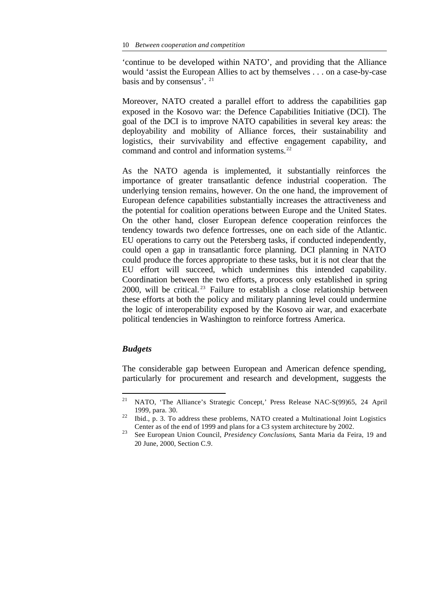'continue to be developed within NATO', and providing that the Alliance would 'assist the European Allies to act by themselves . . . on a case-by-case basis and by consensus'. <sup>21</sup>

Moreover, NATO created a parallel effort to address the capabilities gap exposed in the Kosovo war: the Defence Capabilities Initiative (DCI). The goal of the DCI is to improve NATO capabilities in several key areas: the deployability and mobility of Alliance forces, their sustainability and logistics, their survivability and effective engagement capability, and command and control and information systems.<sup>22</sup>

As the NATO agenda is implemented, it substantially reinforces the importance of greater transatlantic defence industrial cooperation. The underlying tension remains, however. On the one hand, the improvement of European defence capabilities substantially increases the attractiveness and the potential for coalition operations between Europe and the United States. On the other hand, closer European defence cooperation reinforces the tendency towards two defence fortresses, one on each side of the Atlantic. EU operations to carry out the Petersberg tasks, if conducted independently, could open a gap in transatlantic force planning. DCI planning in NATO could produce the forces appropriate to these tasks, but it is not clear that the EU effort will succeed, which undermines this intended capability. Coordination between the two efforts, a process only established in spring 2000, will be critical. <sup>23</sup> Failure to establish a close relationship between these efforts at both the policy and military planning level could undermine the logic of interoperability exposed by the Kosovo air war, and exacerbate political tendencies in Washington to reinforce fortress America.

#### *Budgets*

l

The considerable gap between European and American defence spending, particularly for procurement and research and development, suggests the

<sup>21</sup> NATO, 'The Alliance's Strategic Concept,' Press Release NAC-S(99)65, 24 April 1999, para. 30.

<sup>&</sup>lt;sup>22</sup> Ibid., p. 3. To address these problems, NATO created a Multinational Joint Logistics Center as of the end of 1999 and plans for a C3 system architecture by 2002.

<sup>23</sup> See European Union Council, *Presidency Conclusions*, Santa Maria da Feira, 19 and 20 June, 2000, Section C.9.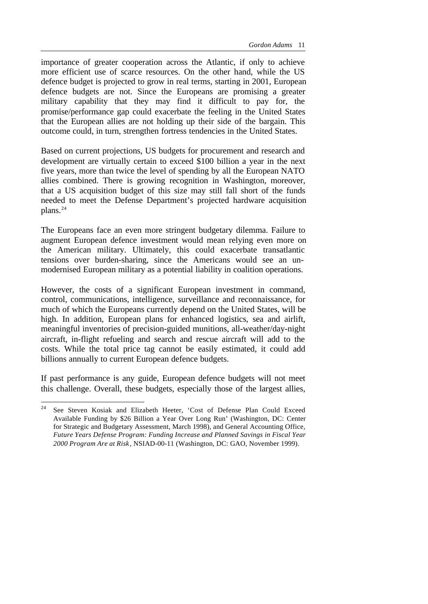importance of greater cooperation across the Atlantic, if only to achieve more efficient use of scarce resources. On the other hand, while the US defence budget is projected to grow in real terms, starting in 2001, European defence budgets are not. Since the Europeans are promising a greater military capability that they may find it difficult to pay for, the promise/performance gap could exacerbate the feeling in the United States that the European allies are not holding up their side of the bargain. This outcome could, in turn, strengthen fortress tendencies in the United States.

Based on current projections, US budgets for procurement and research and development are virtually certain to exceed \$100 billion a year in the next five years, more than twice the level of spending by all the European NATO allies combined. There is growing recognition in Washington, moreover, that a US acquisition budget of this size may still fall short of the funds needed to meet the Defense Department's projected hardware acquisition plans.<sup>24</sup>

The Europeans face an even more stringent budgetary dilemma. Failure to augment European defence investment would mean relying even more on the American military. Ultimately, this could exacerbate transatlantic tensions over burden-sharing, since the Americans would see an unmodernised European military as a potential liability in coalition operations.

However, the costs of a significant European investment in command, control, communications, intelligence, surveillance and reconnaissance, for much of which the Europeans currently depend on the United States, will be high. In addition, European plans for enhanced logistics, sea and airlift, meaningful inventories of precision-guided munitions, all-weather/day-night aircraft, in-flight refueling and search and rescue aircraft will add to the costs. While the total price tag cannot be easily estimated, it could add billions annually to current European defence budgets.

If past performance is any guide, European defence budgets will not meet this challenge. Overall, these budgets, especially those of the largest allies,

 $24$ See Steven Kosiak and Elizabeth Heeter, 'Cost of Defense Plan Could Exceed Available Funding by \$26 Billion a Year Over Long Run' (Washington, DC: Center for Strategic and Budgetary Assessment, March 1998), and General Accounting Office, *Future Years Defense Program: Funding Increase and Planned Savings in Fiscal Year 2000 Program Are at Risk*, NSIAD-00-11 (Washington, DC: GAO, November 1999).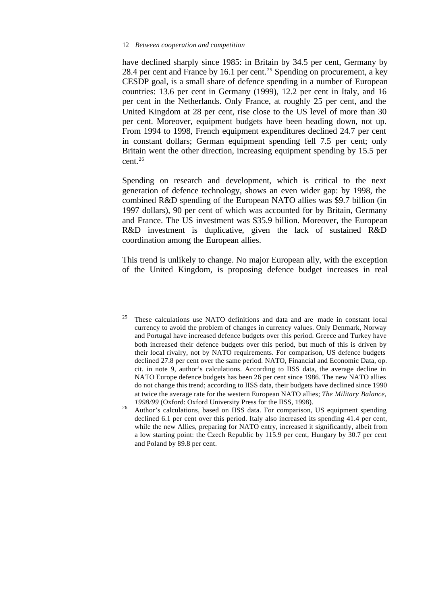l

have declined sharply since 1985: in Britain by 34.5 per cent, Germany by 28.4 per cent and France by 16.1 per cent.<sup>25</sup> Spending on procurement, a key CESDP goal, is a small share of defence spending in a number of European countries: 13.6 per cent in Germany (1999), 12.2 per cent in Italy, and 16 per cent in the Netherlands. Only France, at roughly 25 per cent, and the United Kingdom at 28 per cent, rise close to the US level of more than 30 per cent. Moreover, equipment budgets have been heading down, not up. From 1994 to 1998, French equipment expenditures declined 24.7 per cent in constant dollars; German equipment spending fell 7.5 per cent; only Britain went the other direction, increasing equipment spending by 15.5 per cent.<sup>26</sup>

Spending on research and development, which is critical to the next generation of defence technology, shows an even wider gap: by 1998, the combined R&D spending of the European NATO allies was \$9.7 billion (in 1997 dollars), 90 per cent of which was accounted for by Britain, Germany and France. The US investment was \$35.9 billion. Moreover, the European R&D investment is duplicative, given the lack of sustained R&D coordination among the European allies.

This trend is unlikely to change. No major European ally, with the exception of the United Kingdom, is proposing defence budget increases in real

 $25$  These calculations use NATO definitions and data and are made in constant local currency to avoid the problem of changes in currency values. Only Denmark, Norway and Portugal have increased defence budgets over this period. Greece and Turkey have both increased their defence budgets over this period, but much of this is driven by their local rivalry, not by NATO requirements. For comparison, US defence budgets declined 27.8 per cent over the same period. NATO, Financial and Economic Data, op. cit. in note 9, author's calculations. According to IISS data, the average decline in NATO Europe defence budgets has been 26 per cent since 1986. The new NATO allies do not change this trend; according to IISS data, their budgets have declined since 1990 at twice the average rate for the western European NATO allies; *The Military Balance, 1998/99* (Oxford: Oxford University Press for the IISS, 1998).

<sup>&</sup>lt;sup>26</sup> Author's calculations, based on IISS data. For comparison, US equipment spending declined 6.1 per cent over this period. Italy also increased its spending 41.4 per cent, while the new Allies, preparing for NATO entry, increased it significantly, albeit from a low starting point: the Czech Republic by 115.9 per cent, Hungary by 30.7 per cent and Poland by 89.8 per cent.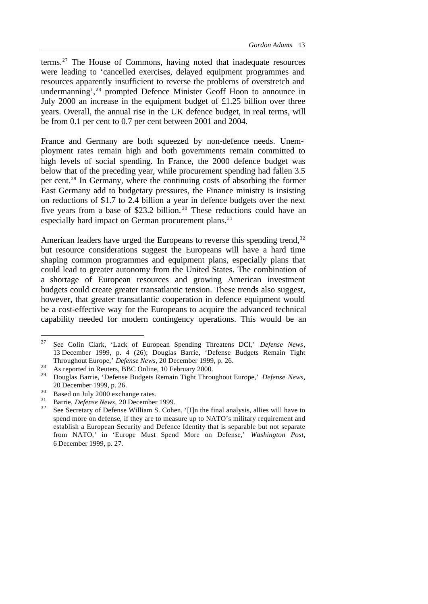terms.<sup>27</sup> The House of Commons, having noted that inadequate resources were leading to 'cancelled exercises, delayed equipment programmes and resources apparently insufficient to reverse the problems of overstretch and undermanning',<sup>28</sup> prompted Defence Minister Geoff Hoon to announce in July 2000 an increase in the equipment budget of £1.25 billion over three years. Overall, the annual rise in the UK defence budget, in real terms, will be from 0.1 per cent to 0.7 per cent between 2001 and 2004.

France and Germany are both squeezed by non-defence needs. Unemployment rates remain high and both governments remain committed to high levels of social spending. In France, the 2000 defence budget was below that of the preceding year, while procurement spending had fallen 3.5 per cent.<sup>29</sup> In Germany, where the continuing costs of absorbing the former East Germany add to budgetary pressures, the Finance ministry is insisting on reductions of \$1.7 to 2.4 billion a year in defence budgets over the next five years from a base of \$23.2 billion.<sup>30</sup> These reductions could have an especially hard impact on German procurement plans.<sup>31</sup>

American leaders have urged the Europeans to reverse this spending trend,  $32$ but resource considerations suggest the Europeans will have a hard time shaping common programmes and equipment plans, especially plans that could lead to greater autonomy from the United States. The combination of a shortage of European resources and growing American investment budgets could create greater transatlantic tension. These trends also suggest, however, that greater transatlantic cooperation in defence equipment would be a cost-effective way for the Europeans to acquire the advanced technical capability needed for modern contingency operations. This would be an

<sup>27</sup> <sup>27</sup> See Colin Clark, 'Lack of European Spending Threatens DCI,' *Defense News*, 13 December 1999, p. 4 (26); Douglas Barrie, 'Defense Budgets Remain Tight Throughout Europe,' *Defense News*, 20 December 1999, p. 26.

<sup>28&</sup>lt;br>As reported in Reuters, BBC Online, 10 February 2000.

<sup>29</sup> Douglas Barrie, 'Defense Budgets Remain Tight Throughout Europe,' *Defense News,* 20 December 1999, p. 26.

 $30$  Based on July 2000 exchange rates.

<sup>31</sup> Barrie, *Defense News,* 20 December 1999.

See Secretary of Defense William S. Cohen, '[I]n the final analysis, allies will have to spend more on defense, if they are to measure up to NATO's military requirement and establish a European Security and Defence Identity that is separable but not separate from NATO,' in 'Europe Must Spend More on Defense,' *Washington Post*, 6 December 1999, p. 27.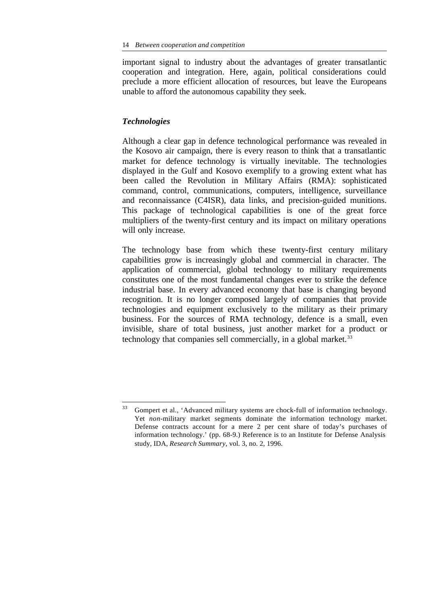important signal to industry about the advantages of greater transatlantic cooperation and integration. Here, again, political considerations could preclude a more efficient allocation of resources, but leave the Europeans unable to afford the autonomous capability they seek.

#### *Technologies*

l

Although a clear gap in defence technological performance was revealed in the Kosovo air campaign, there is every reason to think that a transatlantic market for defence technology is virtually inevitable. The technologies displayed in the Gulf and Kosovo exemplify to a growing extent what has been called the Revolution in Military Affairs (RMA): sophisticated command, control, communications, computers, intelligence, surveillance and reconnaissance (C4ISR), data links, and precision-guided munitions. This package of technological capabilities is one of the great force multipliers of the twenty-first century and its impact on military operations will only increase.

The technology base from which these twenty-first century military capabilities grow is increasingly global and commercial in character. The application of commercial, global technology to military requirements constitutes one of the most fundamental changes ever to strike the defence industrial base. In every advanced economy that base is changing beyond recognition. It is no longer composed largely of companies that provide technologies and equipment exclusively to the military as their primary business. For the sources of RMA technology, defence is a small, even invisible, share of total business, just another market for a product or technology that companies sell commercially, in a global market.<sup>33</sup>

<sup>&</sup>lt;sup>33</sup> Gompert et al., 'Advanced military systems are chock-full of information technology. Yet *non*-military market segments dominate the information technology market. Defense contracts account for a mere 2 per cent share of today's purchases of information technology.' (pp. 68-9.) Reference is to an Institute for Defense Analysis study, IDA, *Research Summary*, vol. 3, no. 2, 1996.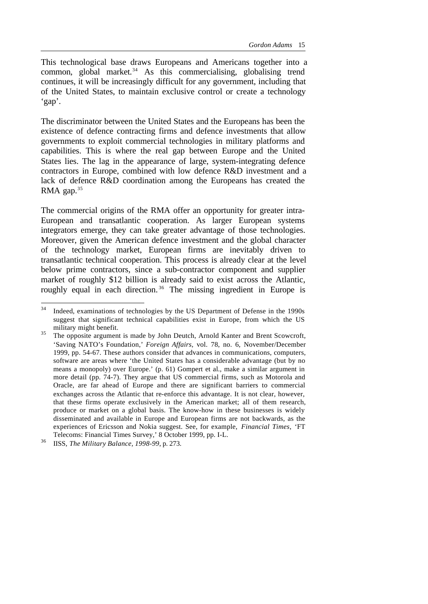This technological base draws Europeans and Americans together into a common, global market.<sup>34</sup> As this commercialising, globalising trend continues, it will be increasingly difficult for any government, including that of the United States, to maintain exclusive control or create a technology 'gap'.

The discriminator between the United States and the Europeans has been the existence of defence contracting firms and defence investments that allow governments to exploit commercial technologies in military platforms and capabilities. This is where the real gap between Europe and the United States lies. The lag in the appearance of large, system-integrating defence contractors in Europe, combined with low defence R&D investment and a lack of defence R&D coordination among the Europeans has created the RMA gap. $35$ 

The commercial origins of the RMA offer an opportunity for greater intra-European and transatlantic cooperation. As larger European systems integrators emerge, they can take greater advantage of those technologies. Moreover, given the American defence investment and the global character of the technology market, European firms are inevitably driven to transatlantic technical cooperation. This process is already clear at the level below prime contractors, since a sub-contractor component and supplier market of roughly \$12 billion is already said to exist across the Atlantic, roughly equal in each direction. <sup>36</sup> The missing ingredient in Europe is

<sup>34</sup> Indeed, examinations of technologies by the US Department of Defense in the 1990s suggest that significant technical capabilities exist in Europe, from which the US military might benefit.

The opposite argument is made by John Deutch, Arnold Kanter and Brent Scowcroft, 'Saving NATO's Foundation,' *Foreign Affairs*, vol. 78, no. 6, November/December 1999, pp. 54-67. These authors consider that advances in communications, computers, software are areas where 'the United States has a considerable advantage (but by no means a monopoly) over Europe.' (p. 61) Gompert et al., make a similar argument in more detail (pp. 74-7). They argue that US commercial firms, such as Motorola and Oracle, are far ahead of Europe and there are significant barriers to commercial exchanges across the Atlantic that re-enforce this advantage. It is not clear, however, that these firms operate exclusively in the American market; all of them research, produce or market on a global basis. The know-how in these businesses is widely disseminated and available in Europe and European firms are not backwards, as the experiences of Ericsson and Nokia suggest. See, for example, *Financial Times*, 'FT Telecoms: Financial Times Survey,' 8 October 1999, pp. I-L.

<sup>36</sup> IISS, *The Military Balance, 1998-99*, p. 273.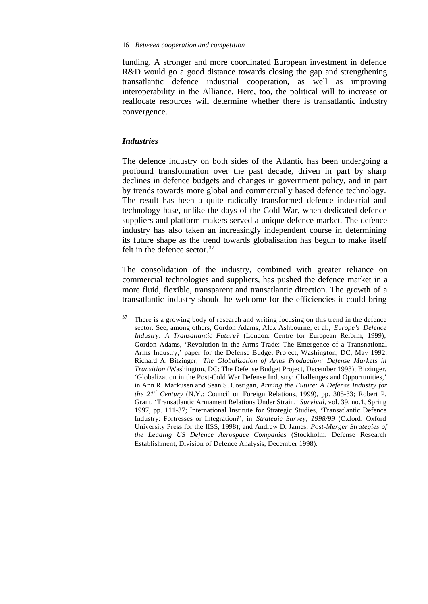funding. A stronger and more coordinated European investment in defence R&D would go a good distance towards closing the gap and strengthening transatlantic defence industrial cooperation, as well as improving interoperability in the Alliance. Here, too, the political will to increase or reallocate resources will determine whether there is transatlantic industry convergence.

#### *Industries*

l

The defence industry on both sides of the Atlantic has been undergoing a profound transformation over the past decade, driven in part by sharp declines in defence budgets and changes in government policy, and in part by trends towards more global and commercially based defence technology. The result has been a quite radically transformed defence industrial and technology base, unlike the days of the Cold War, when dedicated defence suppliers and platform makers served a unique defence market. The defence industry has also taken an increasingly independent course in determining its future shape as the trend towards globalisation has begun to make itself felt in the defence sector.<sup>37</sup>

The consolidation of the industry, combined with greater reliance on commercial technologies and suppliers, has pushed the defence market in a more fluid, flexible, transparent and transatlantic direction. The growth of a transatlantic industry should be welcome for the efficiencies it could bring

 $37$  There is a growing body of research and writing focusing on this trend in the defence sector. See, among others, Gordon Adams, Alex Ashbourne, et al., *Europe's Defence Industry: A Transatlantic Future?* (London: Centre for European Reform, 1999); Gordon Adams, 'Revolution in the Arms Trade: The Emergence of a Transnational Arms Industry,' paper for the Defense Budget Project, Washington, DC, May 1992. Richard A. Bitzinger, *The Globalization of Arms Production: Defense Markets in Transition* (Washington, DC: The Defense Budget Project, December 1993); Bitzinger, 'Globalization in the Post-Cold War Defense Industry: Challenges and Opportunities,' in Ann R. Markusen and Sean S. Costigan, *Arming the Future: A Defense Industry for the 21st Century* (N.Y.: Council on Foreign Relations, 1999), pp. 305-33; Robert P. Grant, 'Transatlantic Armament Relations Under Strain,' *Survival*, vol. 39, no.1, Spring 1997, pp. 111-37; International Institute for Strategic Studies, 'Transatlantic Defence Industry: Fortresses or Integration?', in *Strategic Survey, 1998/99* (Oxford: Oxford University Press for the IISS, 1998); and Andrew D. James, *Post-Merger Strategies of the Leading US Defence Aerospace Companies* (Stockholm: Defense Research Establishment, Division of Defence Analysis, December 1998).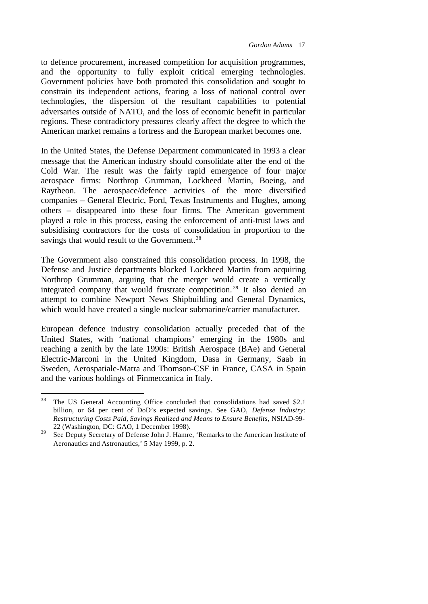to defence procurement, increased competition for acquisition programmes, and the opportunity to fully exploit critical emerging technologies. Government policies have both promoted this consolidation and sought to constrain its independent actions, fearing a loss of national control over technologies, the dispersion of the resultant capabilities to potential adversaries outside of NATO, and the loss of economic benefit in particular regions. These contradictory pressures clearly affect the degree to which the American market remains a fortress and the European market becomes one.

In the United States, the Defense Department communicated in 1993 a clear message that the American industry should consolidate after the end of the Cold War. The result was the fairly rapid emergence of four major aerospace firms: Northrop Grumman, Lockheed Martin, Boeing, and Raytheon. The aerospace/defence activities of the more diversified companies – General Electric, Ford, Texas Instruments and Hughes, among others – disappeared into these four firms. The American government played a role in this process, easing the enforcement of anti-trust laws and subsidising contractors for the costs of consolidation in proportion to the savings that would result to the Government.<sup>38</sup>

The Government also constrained this consolidation process. In 1998, the Defense and Justice departments blocked Lockheed Martin from acquiring Northrop Grumman, arguing that the merger would create a vertically integrated company that would frustrate competition. <sup>39</sup> It also denied an attempt to combine Newport News Shipbuilding and General Dynamics, which would have created a single nuclear submarine/carrier manufacturer.

European defence industry consolidation actually preceded that of the United States, with 'national champions' emerging in the 1980s and reaching a zenith by the late 1990s: British Aerospace (BAe) and General Electric-Marconi in the United Kingdom, Dasa in Germany, Saab in Sweden, Aerospatiale-Matra and Thomson-CSF in France, CASA in Spain and the various holdings of Finmeccanica in Italy.

<sup>&</sup>lt;sup>38</sup> The US General Accounting Office concluded that consolidations had saved \$2.1 billion, or 64 per cent of DoD's expected savings. See GAO, *Defense Industry: Restructuring Costs Paid, Savings Realized and Means to Ensure Benefits*, NSIAD-99- 22 (Washington, DC: GAO, 1 December 1998).

 $39$  See Deputy Secretary of Defense John J. Hamre, 'Remarks to the American Institute of Aeronautics and Astronautics,' 5 May 1999, p. 2.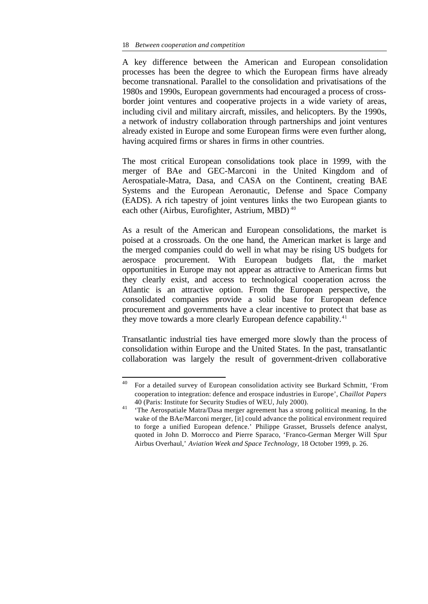A key difference between the American and European consolidation processes has been the degree to which the European firms have already become transnational. Parallel to the consolidation and privatisations of the 1980s and 1990s, European governments had encouraged a process of crossborder joint ventures and cooperative projects in a wide variety of areas, including civil and military aircraft, missiles, and helicopters. By the 1990s, a network of industry collaboration through partnerships and joint ventures already existed in Europe and some European firms were even further along, having acquired firms or shares in firms in other countries.

The most critical European consolidations took place in 1999, with the merger of BAe and GEC-Marconi in the United Kingdom and of Aerospatiale-Matra, Dasa, and CASA on the Continent, creating BAE Systems and the European Aeronautic, Defense and Space Company (EADS). A rich tapestry of joint ventures links the two European giants to each other (Airbus, Eurofighter, Astrium, MBD)<sup>40</sup>

As a result of the American and European consolidations, the market is poised at a crossroads. On the one hand, the American market is large and the merged companies could do well in what may be rising US budgets for aerospace procurement. With European budgets flat, the market opportunities in Europe may not appear as attractive to American firms but they clearly exist, and access to technological cooperation across the Atlantic is an attractive option. From the European perspective, the consolidated companies provide a solid base for European defence procurement and governments have a clear incentive to protect that base as they move towards a more clearly European defence capability.<sup>41</sup>

Transatlantic industrial ties have emerged more slowly than the process of consolidation within Europe and the United States. In the past, transatlantic collaboration was largely the result of government-driven collaborative

 $40\,$ <sup>40</sup> For a detailed survey of European consolidation activity see Burkard Schmitt, 'From cooperation to integration: defence and erospace industries in Europe', *Chaillot Papers* 40 (Paris: Institute for Security Studies of WEU, July 2000).

<sup>41</sup> 'The Aerospatiale Matra/Dasa merger agreement has a strong political meaning. In the wake of the BAe/Marconi merger, [it] could advance the political environment required to forge a unified European defence.' Philippe Grasset, Brussels defence analyst, quoted in John D. Morrocco and Pierre Sparaco, 'Franco-German Merger Will Spur Airbus Overhaul,' *Aviation Week and Space Technology,* 18 October 1999, p. 26.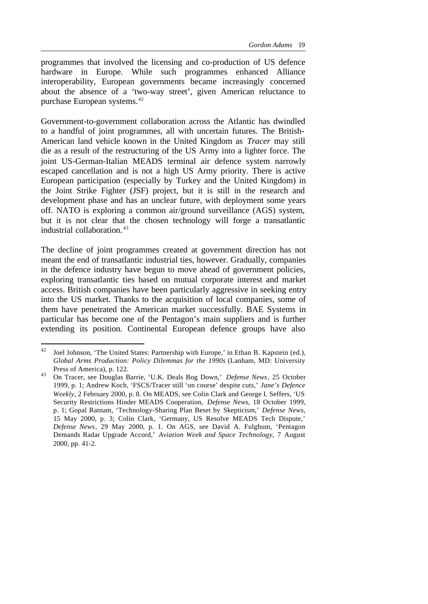programmes that involved the licensing and co-production of US defence hardware in Europe. While such programmes enhanced Alliance interoperability, European governments became increasingly concerned about the absence of a 'two-way street', given American reluctance to purchase European systems.<sup>42</sup>

Government-to-government collaboration across the Atlantic has dwindled to a handful of joint programmes, all with uncertain futures. The British-American land vehicle known in the United Kingdom as *Tracer* may still die as a result of the restructuring of the US Army into a lighter force. The joint US-German-Italian MEADS terminal air defence system narrowly escaped cancellation and is not a high US Army priority. There is active European participation (especially by Turkey and the United Kingdom) in the Joint Strike Fighter (JSF) project, but it is still in the research and development phase and has an unclear future, with deployment some years off. NATO is exploring a common air/ground surveillance (AGS) system, but it is not clear that the chosen technology will forge a transatlantic industrial collaboration. <sup>43</sup>

The decline of joint programmes created at government direction has not meant the end of transatlantic industrial ties, however. Gradually, companies in the defence industry have begun to move ahead of government policies, exploring transatlantic ties based on mutual corporate interest and market access. British companies have been particularly aggressive in seeking entry into the US market. Thanks to the acquisition of local companies, some of them have penetrated the American market successfully. BAE Systems in particular has become one of the Pentagon's main suppliers and is further extending its position. Continental European defence groups have also

<sup>&</sup>lt;sup>42</sup> Joel Johnson, 'The United States: Partnership with Europe,' in Ethan B. Kapstein (ed.), *Global Arms Production: Policy Dilemmas for the 1990s* (Lanham, MD: University Press of America), p. 122.

<sup>43</sup> On Tracer, see Douglas Barrie, 'U.K. Deals Bog Down,' *Defense News*, 25 October 1999, p. 1; Andrew Koch, 'FSCS/Tracer still 'on course' despite cuts,' *Jane's Defence Weekly*, 2 February 2000, p. 8. On MEADS, see Colin Clark and George I. Seffers, 'US Security Restrictions Hinder MEADS Cooperation, *Defense News*, 18 October 1999, p. 1; Gopal Ratnam, 'Technology-Sharing Plan Beset by Skepticism,' *Defense News*, 15 May 2000, p. 3; Colin Clark, 'Germany, US Resolve MEADS Tech Dispute,' *Defense News*, 29 May 2000, p. 1. On AGS, see David A. Fulghum, 'Pentagon Demands Radar Upgrade Accord,' *Aviation Week and Space Technology*, 7 August 2000, pp. 41-2.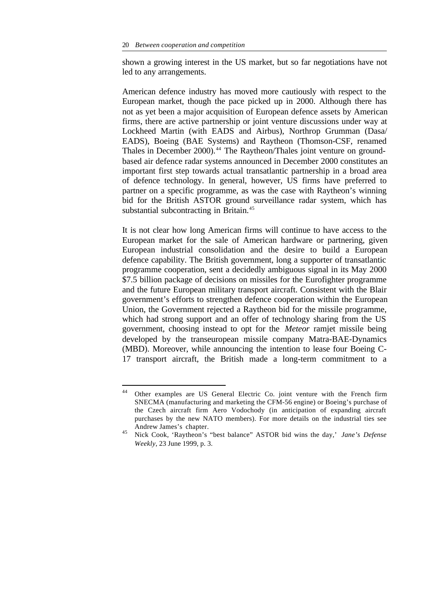shown a growing interest in the US market, but so far negotiations have not led to any arrangements.

American defence industry has moved more cautiously with respect to the European market, though the pace picked up in 2000. Although there has not as yet been a major acquisition of European defence assets by American firms, there are active partnership or joint venture discussions under way at Lockheed Martin (with EADS and Airbus), Northrop Grumman (Dasa/ EADS), Boeing (BAE Systems) and Raytheon (Thomson-CSF, renamed Thales in December 2000).<sup>44</sup> The Raytheon/Thales joint venture on groundbased air defence radar systems announced in December 2000 constitutes an important first step towards actual transatlantic partnership in a broad area of defence technology. In general, however, US firms have preferred to partner on a specific programme, as was the case with Raytheon's winning bid for the British ASTOR ground surveillance radar system, which has substantial subcontracting in Britain.<sup>45</sup>

It is not clear how long American firms will continue to have access to the European market for the sale of American hardware or partnering, given European industrial consolidation and the desire to build a European defence capability. The British government, long a supporter of transatlantic programme cooperation, sent a decidedly ambiguous signal in its May 2000 \$7.5 billion package of decisions on missiles for the Eurofighter programme and the future European military transport aircraft. Consistent with the Blair government's efforts to strengthen defence cooperation within the European Union, the Government rejected a Raytheon bid for the missile programme, which had strong support and an offer of technology sharing from the US government, choosing instead to opt for the *Meteor* ramjet missile being developed by the transeuropean missile company Matra-BAE-Dynamics (MBD). Moreover, while announcing the intention to lease four Boeing C-17 transport aircraft, the British made a long-term commitment to a

 $44$ <sup>44</sup> Other examples are US General Electric Co. joint venture with the French firm SNECMA (manufacturing and marketing the CFM-56 engine) or Boeing's purchase of the Czech aircraft firm Aero Vodochody (in anticipation of expanding aircraft purchases by the new NATO members). For more details on the industrial ties see Andrew James's chapter.

<sup>45</sup> Nick Cook, 'Raytheon's "best balance" ASTOR bid wins the day,' *Jane's Defense Weekly*, 23 June 1999, p. 3.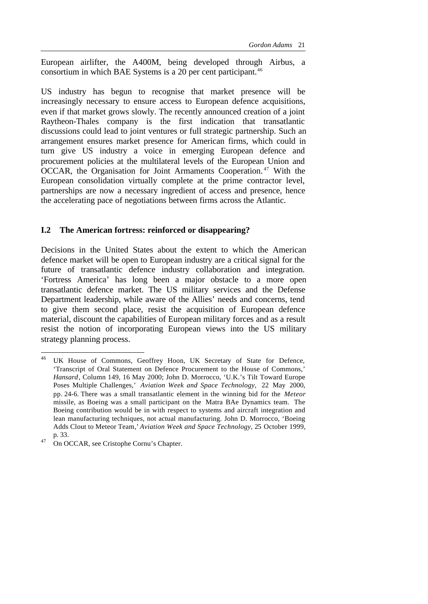European airlifter, the A400M, being developed through Airbus, a consortium in which BAE Systems is a 20 per cent participant.<sup>46</sup>

US industry has begun to recognise that market presence will be increasingly necessary to ensure access to European defence acquisitions, even if that market grows slowly. The recently announced creation of a joint Raytheon-Thales company is the first indication that transatlantic discussions could lead to joint ventures or full strategic partnership. Such an arrangement ensures market presence for American firms, which could in turn give US industry a voice in emerging European defence and procurement policies at the multilateral levels of the European Union and OCCAR, the Organisation for Joint Armaments Cooperation. <sup>47</sup> With the European consolidation virtually complete at the prime contractor level, partnerships are now a necessary ingredient of access and presence, hence the accelerating pace of negotiations between firms across the Atlantic.

#### **I.2 The American fortress: reinforced or disappearing?**

Decisions in the United States about the extent to which the American defence market will be open to European industry are a critical signal for the future of transatlantic defence industry collaboration and integration. 'Fortress America' has long been a major obstacle to a more open transatlantic defence market. The US military services and the Defense Department leadership, while aware of the Allies' needs and concerns, tend to give them second place, resist the acquisition of European defence material, discount the capabilities of European military forces and as a result resist the notion of incorporating European views into the US military strategy planning process.

UK House of Commons, Geoffrey Hoon, UK Secretary of State for Defence, 'Transcript of Oral Statement on Defence Procurement to the House of Commons,' *Hansard*, Column 149, 16 May 2000; John D. Morrocco, 'U.K.'s Tilt Toward Europe Poses Multiple Challenges,' *Aviation Week and Space Technology,* 22 May 2000, pp. 24-6. There was a small transatlantic element in the winning bid for the *Meteor* missile, as Boeing was a small participant on the Matra BAe Dynamics team. The Boeing contribution would be in with respect to systems and aircraft integration and lean manufacturing techniques, not actual manufacturing. John D. Morrocco, 'Boeing Adds Clout to Meteor Team,' *Aviation Week and Space Technology*, 25 October 1999, p. 33.

<sup>&</sup>lt;sup>47</sup> On OCCAR, see Cristophe Cornu's Chapter.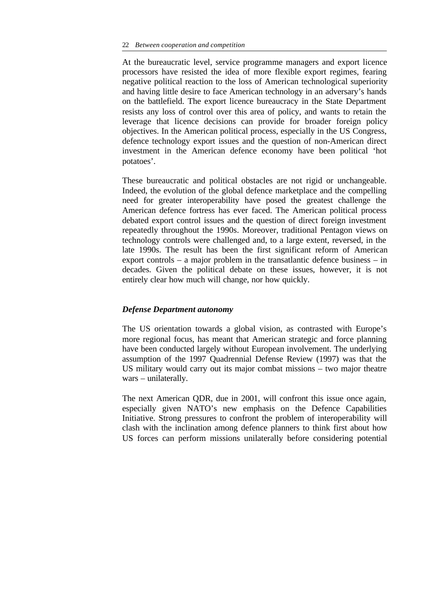At the bureaucratic level, service programme managers and export licence processors have resisted the idea of more flexible export regimes, fearing negative political reaction to the loss of American technological superiority and having little desire to face American technology in an adversary's hands on the battlefield. The export licence bureaucracy in the State Department resists any loss of control over this area of policy, and wants to retain the leverage that licence decisions can provide for broader foreign policy objectives. In the American political process, especially in the US Congress, defence technology export issues and the question of non-American direct investment in the American defence economy have been political 'hot potatoes'.

These bureaucratic and political obstacles are not rigid or unchangeable. Indeed, the evolution of the global defence marketplace and the compelling need for greater interoperability have posed the greatest challenge the American defence fortress has ever faced. The American political process debated export control issues and the question of direct foreign investment repeatedly throughout the 1990s. Moreover, traditional Pentagon views on technology controls were challenged and, to a large extent, reversed, in the late 1990s. The result has been the first significant reform of American export controls – a major problem in the transatlantic defence business – in decades. Given the political debate on these issues, however, it is not entirely clear how much will change, nor how quickly.

#### *Defense Department autonomy*

The US orientation towards a global vision, as contrasted with Europe's more regional focus, has meant that American strategic and force planning have been conducted largely without European involvement. The underlying assumption of the 1997 Quadrennial Defense Review (1997) was that the US military would carry out its major combat missions – two major theatre wars – unilaterally.

The next American QDR, due in 2001, will confront this issue once again, especially given NATO's new emphasis on the Defence Capabilities Initiative. Strong pressures to confront the problem of interoperability will clash with the inclination among defence planners to think first about how US forces can perform missions unilaterally before considering potential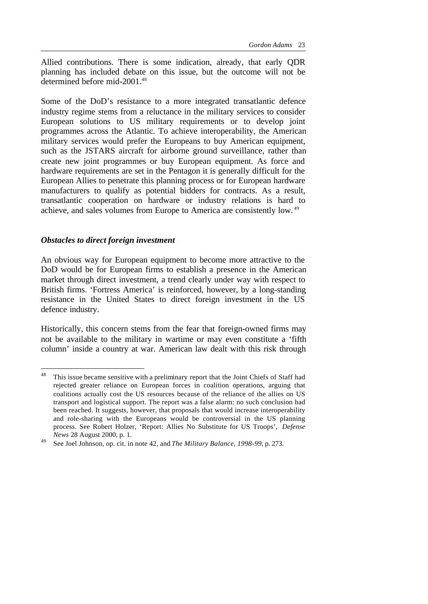Allied contributions. There is some indication, already, that early QDR planning has included debate on this issue, but the outcome will not be determined before mid-2001.<sup>48</sup>

Some of the DoD's resistance to a more integrated transatlantic defence industry regime stems from a reluctance in the military services to consider European solutions to US military requirements or to develop joint programmes across the Atlantic. To achieve interoperability, the American military services would prefer the Europeans to buy American equipment, such as the JSTARS aircraft for airborne ground surveillance, rather than create new joint programmes or buy European equipment. As force and hardware requirements are set in the Pentagon it is generally difficult for the European Allies to penetrate this planning process or for European hardware manufacturers to qualify as potential bidders for contracts. As a result, transatlantic cooperation on hardware or industry relations is hard to achieve, and sales volumes from Europe to America are consistently low. <sup>49</sup>

#### *Obstacles to direct foreign investment*

An obvious way for European equipment to become more attractive to the DoD would be for European firms to establish a presence in the American market through direct investment, a trend clearly under way with respect to British firms. 'Fortress America' is reinforced, however, by a long-standing resistance in the United States to direct foreign investment in the US defence industry.

Historically, this concern stems from the fear that foreign-owned firms may not be available to the military in wartime or may even constitute a 'fifth column' inside a country at war. American law dealt with this risk through

 $48\,$ This issue became sensitive with a preliminary report that the Joint Chiefs of Staff had rejected greater reliance on European forces in coalition operations, arguing that coalitions actually cost the US resources because of the reliance of the allies on US transport and logistical support. The report was a false alarm: no such conclusion had been reached. It suggests, however, that proposals that would increase interoperability and role-sharing with the Europeans would be controversial in the US planning process. See Robert Holzer, 'Report: Allies No Substitute for US Troops', *Defense News* 28 August 2000, p. 1.

<sup>49</sup> See Joel Johnson, op. cit. in note 42, and *The Military Balance, 1998-99*, p. 273.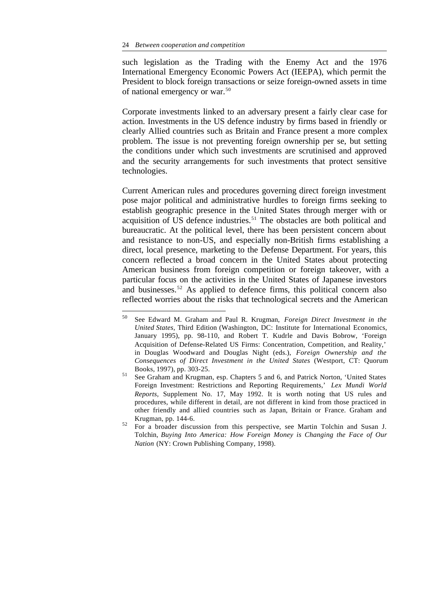l

such legislation as the Trading with the Enemy Act and the 1976 International Emergency Economic Powers Act (IEEPA), which permit the President to block foreign transactions or seize foreign-owned assets in time of national emergency or war.<sup>50</sup>

Corporate investments linked to an adversary present a fairly clear case for action. Investments in the US defence industry by firms based in friendly or clearly Allied countries such as Britain and France present a more complex problem. The issue is not preventing foreign ownership per se, but setting the conditions under which such investments are scrutinised and approved and the security arrangements for such investments that protect sensitive technologies.

Current American rules and procedures governing direct foreign investment pose major political and administrative hurdles to foreign firms seeking to establish geographic presence in the United States through merger with or acquisition of US defence industries.<sup>51</sup> The obstacles are both political and bureaucratic. At the political level, there has been persistent concern about and resistance to non-US, and especially non-British firms establishing a direct, local presence, marketing to the Defense Department. For years, this concern reflected a broad concern in the United States about protecting American business from foreign competition or foreign takeover, with a particular focus on the activities in the United States of Japanese investors and businesses.<sup>52</sup> As applied to defence firms, this political concern also reflected worries about the risks that technological secrets and the American

<sup>50</sup> See Edward M. Graham and Paul R. Krugman, *Foreign Direct Investment in the United States,* Third Edition (Washington, DC: Institute for International Economics, January 1995), pp. 98-110, and Robert T. Kudrle and Davis Bobrow, 'Foreign Acquisition of Defense-Related US Firms: Concentration, Competition, and Reality,' in Douglas Woodward and Douglas Night (eds.), *Foreign Ownership and the Consequences of Direct Investment in the United States* (Westport, CT: Quorum Books, 1997), pp. 303-25.

<sup>51</sup> See Graham and Krugman, esp. Chapters 5 and 6, and Patrick Norton, 'United States Foreign Investment: Restrictions and Reporting Requirements,' *Lex Mundi World Reports,* Supplement No. 17, May 1992. It is worth noting that US rules and procedures, while different in detail, are not different in kind from those practiced in other friendly and allied countries such as Japan, Britain or France. Graham and Krugman, pp. 144-6.

<sup>52</sup> For a broader discussion from this perspective, see Martin Tolchin and Susan J. Tolchin, *Buying Into America: How Foreign Money is Changing the Face of Our Nation* (NY: Crown Publishing Company, 1998).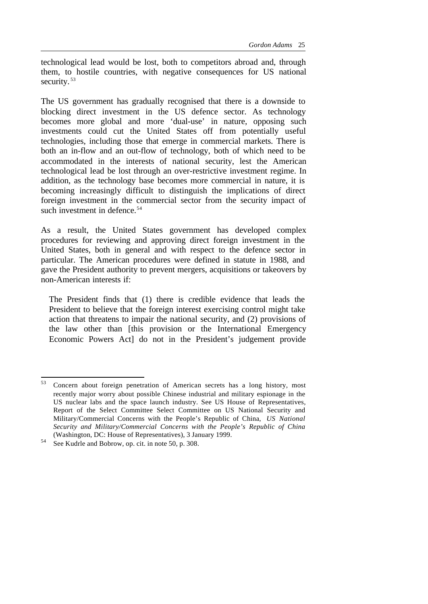technological lead would be lost, both to competitors abroad and, through them, to hostile countries, with negative consequences for US national security.<sup>53</sup>

The US government has gradually recognised that there is a downside to blocking direct investment in the US defence sector. As technology becomes more global and more 'dual-use' in nature, opposing such investments could cut the United States off from potentially useful technologies, including those that emerge in commercial markets. There is both an in-flow and an out-flow of technology, both of which need to be accommodated in the interests of national security, lest the American technological lead be lost through an over-restrictive investment regime. In addition, as the technology base becomes more commercial in nature, it is becoming increasingly difficult to distinguish the implications of direct foreign investment in the commercial sector from the security impact of such investment in defence.<sup>54</sup>

As a result, the United States government has developed complex procedures for reviewing and approving direct foreign investment in the United States, both in general and with respect to the defence sector in particular. The American procedures were defined in statute in 1988, and gave the President authority to prevent mergers, acquisitions or takeovers by non-American interests if:

The President finds that (1) there is credible evidence that leads the President to believe that the foreign interest exercising control might take action that threatens to impair the national security, and (2) provisions of the law other than [this provision or the International Emergency Economic Powers Act] do not in the President's judgement provide

 $53$ <sup>53</sup> Concern about foreign penetration of American secrets has a long history, most recently major worry about possible Chinese industrial and military espionage in the US nuclear labs and the space launch industry. See US House of Representatives, Report of the Select Committee Select Committee on US National Security and Military/Commercial Concerns with the People's Republic of China, *US National Security and Military/Commercial Concerns with the People's Republic of China* (Washington, DC: House of Representatives), 3 January 1999.

<sup>54</sup> See Kudrle and Bobrow, op. cit. in note 50, p. 308.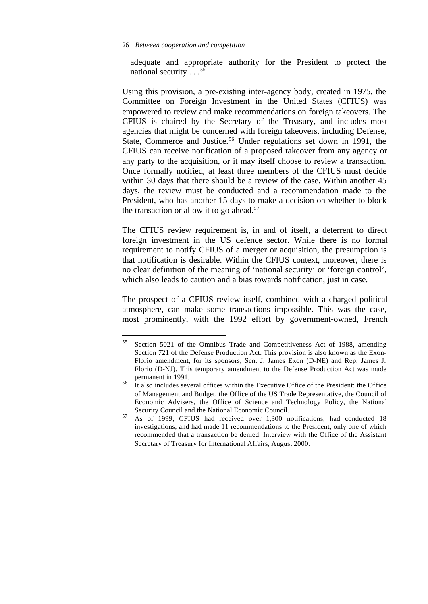adequate and appropriate authority for the President to protect the national security  $\ldots$ <sup>55</sup>

Using this provision, a pre-existing inter-agency body, created in 1975, the Committee on Foreign Investment in the United States (CFIUS) was empowered to review and make recommendations on foreign takeovers. The CFIUS is chaired by the Secretary of the Treasury, and includes most agencies that might be concerned with foreign takeovers, including Defense, State, Commerce and Justice.<sup>56</sup> Under regulations set down in 1991, the CFIUS can receive notification of a proposed takeover from any agency or any party to the acquisition, or it may itself choose to review a transaction. Once formally notified, at least three members of the CFIUS must decide within 30 days that there should be a review of the case. Within another 45 days, the review must be conducted and a recommendation made to the President, who has another 15 days to make a decision on whether to block the transaction or allow it to go ahead.<sup>57</sup>

The CFIUS review requirement is, in and of itself, a deterrent to direct foreign investment in the US defence sector. While there is no formal requirement to notify CFIUS of a merger or acquisition, the presumption is that notification is desirable. Within the CFIUS context, moreover, there is no clear definition of the meaning of 'national security' or 'foreign control', which also leads to caution and a bias towards notification, just in case.

The prospect of a CFIUS review itself, combined with a charged political atmosphere, can make some transactions impossible. This was the case, most prominently, with the 1992 effort by government-owned, French

<sup>55</sup> <sup>55</sup> Section 5021 of the Omnibus Trade and Competitiveness Act of 1988, amending Section 721 of the Defense Production Act. This provision is also known as the Exon-Florio amendment, for its sponsors, Sen. J. James Exon (D-NE) and Rep. James J. Florio (D-NJ). This temporary amendment to the Defense Production Act was made permanent in 1991.

<sup>56</sup> It also includes several offices within the Executive Office of the President: the Office of Management and Budget, the Office of the US Trade Representative, the Council of Economic Advisers, the Office of Science and Technology Policy, the National Security Council and the National Economic Council.

<sup>57</sup> As of 1999, CFIUS had received over 1,300 notifications, had conducted 18 investigations, and had made 11 recommendations to the President, only one of which recommended that a transaction be denied. Interview with the Office of the Assistant Secretary of Treasury for International Affairs, August 2000.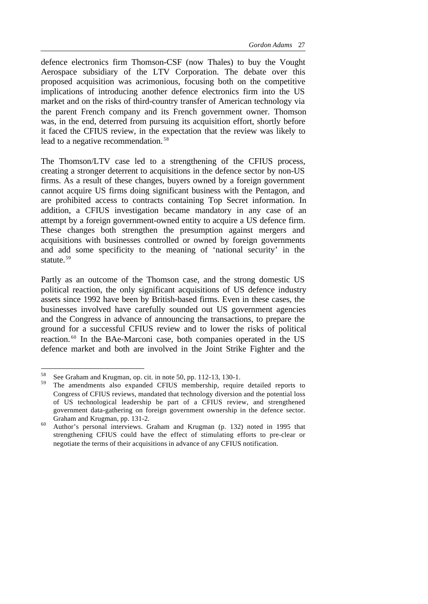defence electronics firm Thomson-CSF (now Thales) to buy the Vought Aerospace subsidiary of the LTV Corporation. The debate over this proposed acquisition was acrimonious, focusing both on the competitive implications of introducing another defence electronics firm into the US market and on the risks of third-country transfer of American technology via the parent French company and its French government owner. Thomson was, in the end, deterred from pursuing its acquisition effort, shortly before it faced the CFIUS review, in the expectation that the review was likely to lead to a negative recommendation. <sup>58</sup>

The Thomson/LTV case led to a strengthening of the CFIUS process, creating a stronger deterrent to acquisitions in the defence sector by non-US firms. As a result of these changes, buyers owned by a foreign government cannot acquire US firms doing significant business with the Pentagon, and are prohibited access to contracts containing Top Secret information. In addition, a CFIUS investigation became mandatory in any case of an attempt by a foreign government-owned entity to acquire a US defence firm. These changes both strengthen the presumption against mergers and acquisitions with businesses controlled or owned by foreign governments and add some specificity to the meaning of 'national security' in the statute.<sup>59</sup>

Partly as an outcome of the Thomson case, and the strong domestic US political reaction, the only significant acquisitions of US defence industry assets since 1992 have been by British-based firms. Even in these cases, the businesses involved have carefully sounded out US government agencies and the Congress in advance of announcing the transactions, to prepare the ground for a successful CFIUS review and to lower the risks of political reaction. <sup>60</sup> In the BAe-Marconi case, both companies operated in the US defence market and both are involved in the Joint Strike Fighter and the

 $58$  See Graham and Krugman, op. cit. in note 50, pp. 112-13, 130-1.

The amendments also expanded CFIUS membership, require detailed reports to Congress of CFIUS reviews, mandated that technology diversion and the potential loss of US technological leadership be part of a CFIUS review, and strengthened government data-gathering on foreign government ownership in the defence sector. Graham and Krugman, pp. 131-2.

<sup>60</sup> Author's personal interviews. Graham and Krugman (p. 132) noted in 1995 that strengthening CFIUS could have the effect of stimulating efforts to pre-clear or negotiate the terms of their acquisitions in advance of any CFIUS notification.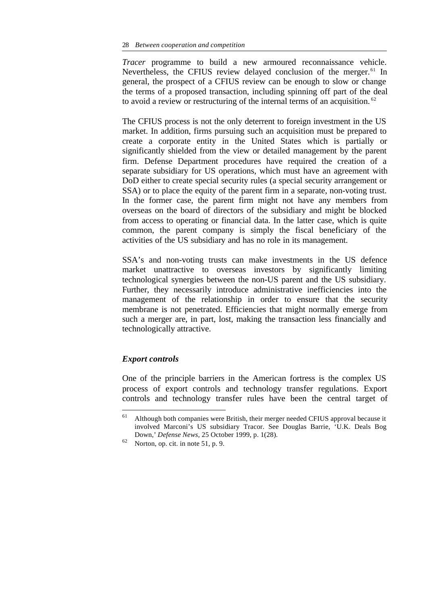*Tracer* programme to build a new armoured reconnaissance vehicle. Nevertheless, the CFIUS review delayed conclusion of the merger.<sup>61</sup> In general, the prospect of a CFIUS review can be enough to slow or change the terms of a proposed transaction, including spinning off part of the deal to avoid a review or restructuring of the internal terms of an acquisition.<sup>62</sup>

The CFIUS process is not the only deterrent to foreign investment in the US market. In addition, firms pursuing such an acquisition must be prepared to create a corporate entity in the United States which is partially or significantly shielded from the view or detailed management by the parent firm. Defense Department procedures have required the creation of a separate subsidiary for US operations, which must have an agreement with DoD either to create special security rules (a special security arrangement or SSA) or to place the equity of the parent firm in a separate, non-voting trust. In the former case, the parent firm might not have any members from overseas on the board of directors of the subsidiary and might be blocked from access to operating or financial data. In the latter case, which is quite common, the parent company is simply the fiscal beneficiary of the activities of the US subsidiary and has no role in its management.

SSA's and non-voting trusts can make investments in the US defence market unattractive to overseas investors by significantly limiting technological synergies between the non-US parent and the US subsidiary. Further, they necessarily introduce administrative inefficiencies into the management of the relationship in order to ensure that the security membrane is not penetrated. Efficiencies that might normally emerge from such a merger are, in part, lost, making the transaction less financially and technologically attractive.

#### *Export controls*

l

One of the principle barriers in the American fortress is the complex US process of export controls and technology transfer regulations. Export controls and technology transfer rules have been the central target of

 $61$  Although both companies were British, their merger needed CFIUS approval because it involved Marconi's US subsidiary Tracor. See Douglas Barrie, 'U.K. Deals Bog Down,' *Defense News*, 25 October 1999, p. 1(28).

 $62$  Norton, op. cit. in note 51, p. 9.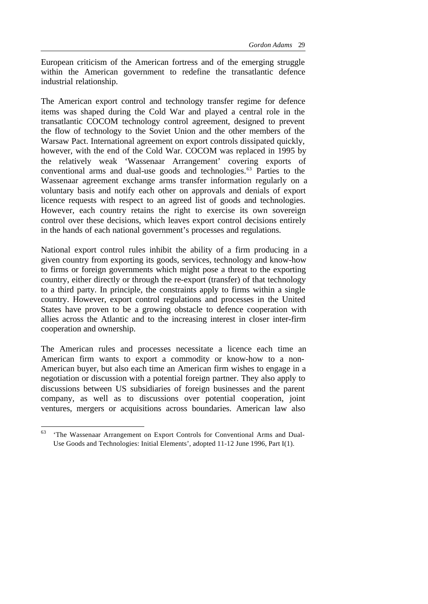European criticism of the American fortress and of the emerging struggle within the American government to redefine the transatlantic defence industrial relationship.

The American export control and technology transfer regime for defence items was shaped during the Cold War and played a central role in the transatlantic COCOM technology control agreement, designed to prevent the flow of technology to the Soviet Union and the other members of the Warsaw Pact. International agreement on export controls dissipated quickly, however, with the end of the Cold War. COCOM was replaced in 1995 by the relatively weak 'Wassenaar Arrangement' covering exports of conventional arms and dual-use goods and technologies.<sup>63</sup> Parties to the Wassenaar agreement exchange arms transfer information regularly on a voluntary basis and notify each other on approvals and denials of export licence requests with respect to an agreed list of goods and technologies. However, each country retains the right to exercise its own sovereign control over these decisions, which leaves export control decisions entirely in the hands of each national government's processes and regulations.

National export control rules inhibit the ability of a firm producing in a given country from exporting its goods, services, technology and know-how to firms or foreign governments which might pose a threat to the exporting country, either directly or through the re-export (transfer) of that technology to a third party. In principle, the constraints apply to firms within a single country. However, export control regulations and processes in the United States have proven to be a growing obstacle to defence cooperation with allies across the Atlantic and to the increasing interest in closer inter-firm cooperation and ownership.

The American rules and processes necessitate a licence each time an American firm wants to export a commodity or know-how to a non-American buyer, but also each time an American firm wishes to engage in a negotiation or discussion with a potential foreign partner. They also apply to discussions between US subsidiaries of foreign businesses and the parent company, as well as to discussions over potential cooperation, joint ventures, mergers or acquisitions across boundaries. American law also

<sup>63</sup> <sup>63</sup> 'The Wassenaar Arrangement on Export Controls for Conventional Arms and Dual-Use Goods and Technologies: Initial Elements', adopted 11-12 June 1996, Part I(1).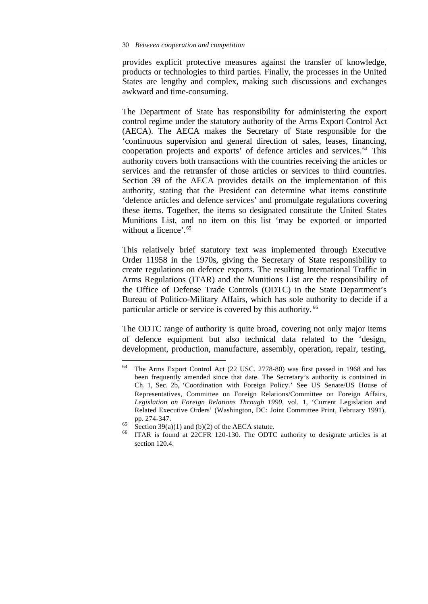provides explicit protective measures against the transfer of knowledge, products or technologies to third parties. Finally, the processes in the United States are lengthy and complex, making such discussions and exchanges awkward and time-consuming.

The Department of State has responsibility for administering the export control regime under the statutory authority of the Arms Export Control Act (AECA). The AECA makes the Secretary of State responsible for the 'continuous supervision and general direction of sales, leases, financing, cooperation projects and exports' of defence articles and services.<sup>64</sup> This authority covers both transactions with the countries receiving the articles or services and the retransfer of those articles or services to third countries. Section 39 of the AECA provides details on the implementation of this authority, stating that the President can determine what items constitute 'defence articles and defence services' and promulgate regulations covering these items. Together, the items so designated constitute the United States Munitions List, and no item on this list 'may be exported or imported without a licence'.<sup>65</sup>

This relatively brief statutory text was implemented through Executive Order 11958 in the 1970s, giving the Secretary of State responsibility to create regulations on defence exports. The resulting International Traffic in Arms Regulations (ITAR) and the Munitions List are the responsibility of the Office of Defense Trade Controls (ODTC) in the State Department's Bureau of Politico-Military Affairs, which has sole authority to decide if a particular article or service is covered by this authority. <sup>66</sup>

The ODTC range of authority is quite broad, covering not only major items of defence equipment but also technical data related to the 'design, development, production, manufacture, assembly, operation, repair, testing,

<sup>64</sup> The Arms Export Control Act (22 USC. 2778-80) was first passed in 1968 and has been frequently amended since that date. The Secretary's authority is contained in Ch. 1, Sec. 2b, 'Coordination with Foreign Policy.' See US Senate/US House of Representatives, Committee on Foreign Relations/Committee on Foreign Affairs, *Legislation on Foreign Relations Through 1990*, vol. 1, 'Current Legislation and Related Executive Orders' (Washington, DC: Joint Committee Print, February 1991), pp. 274-347.

<sup>&</sup>lt;sup>65</sup> Section 39(a)(1) and (b)(2) of the AECA statute.

ITAR is found at 22CFR 120-130. The ODTC authority to designate articles is at section 120.4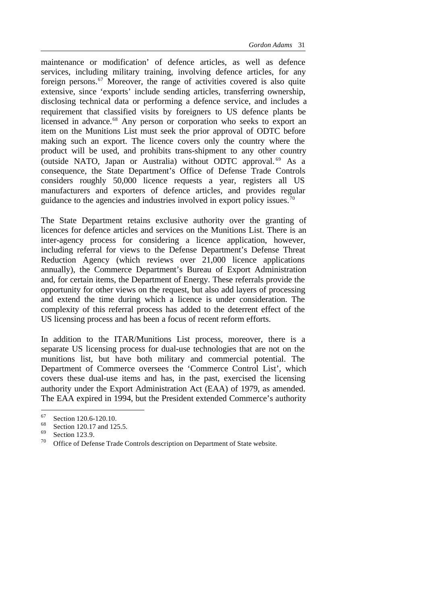maintenance or modification' of defence articles, as well as defence services, including military training, involving defence articles, for any foreign persons.<sup>67</sup> Moreover, the range of activities covered is also quite extensive, since 'exports' include sending articles, transferring ownership, disclosing technical data or performing a defence service, and includes a requirement that classified visits by foreigners to US defence plants be licensed in advance.<sup>68</sup> Any person or corporation who seeks to export an item on the Munitions List must seek the prior approval of ODTC before making such an export. The licence covers only the country where the product will be used, and prohibits trans-shipment to any other country (outside NATO, Japan or Australia) without ODTC approval. <sup>69</sup> As a consequence, the State Department's Office of Defense Trade Controls considers roughly 50,000 licence requests a year, registers all US manufacturers and exporters of defence articles, and provides regular guidance to the agencies and industries involved in export policy issues.<sup>70</sup>

The State Department retains exclusive authority over the granting of licences for defence articles and services on the Munitions List. There is an inter-agency process for considering a licence application, however, including referral for views to the Defense Department's Defense Threat Reduction Agency (which reviews over 21,000 licence applications annually), the Commerce Department's Bureau of Export Administration and, for certain items, the Department of Energy. These referrals provide the opportunity for other views on the request, but also add layers of processing and extend the time during which a licence is under consideration. The complexity of this referral process has added to the deterrent effect of the US licensing process and has been a focus of recent reform efforts.

In addition to the ITAR/Munitions List process, moreover, there is a separate US licensing process for dual-use technologies that are not on the munitions list, but have both military and commercial potential. The Department of Commerce oversees the 'Commerce Control List', which covers these dual-use items and has, in the past, exercised the licensing authority under the Export Administration Act (EAA) of 1979, as amended. The EAA expired in 1994, but the President extended Commerce's authority

 $^{67}$  Section 120.6-120.10.

 $^{68}$  Section 120.17 and 125.5.

 $^{69}$  Section 123.9.<br><sup>70</sup> Office of Defe

Office of Defense Trade Controls description on Department of State website.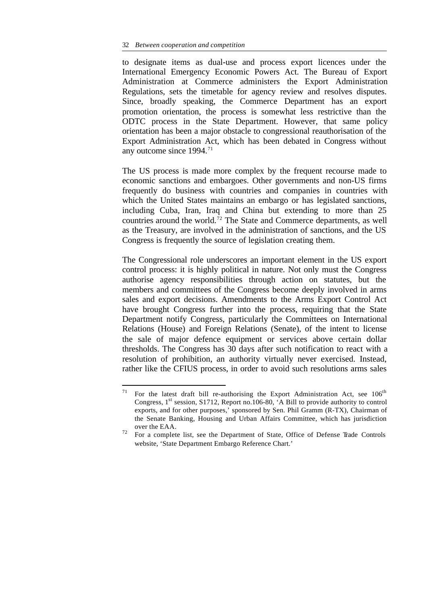to designate items as dual-use and process export licences under the International Emergency Economic Powers Act. The Bureau of Export Administration at Commerce administers the Export Administration Regulations, sets the timetable for agency review and resolves disputes. Since, broadly speaking, the Commerce Department has an export promotion orientation, the process is somewhat less restrictive than the ODTC process in the State Department. However, that same policy orientation has been a major obstacle to congressional reauthorisation of the Export Administration Act, which has been debated in Congress without any outcome since  $1994.<sup>71</sup>$ 

The US process is made more complex by the frequent recourse made to economic sanctions and embargoes. Other governments and non-US firms frequently do business with countries and companies in countries with which the United States maintains an embargo or has legislated sanctions, including Cuba, Iran, Iraq and China but extending to more than 25 countries around the world.<sup>72</sup> The State and Commerce departments, as well as the Treasury, are involved in the administration of sanctions, and the US Congress is frequently the source of legislation creating them.

The Congressional role underscores an important element in the US export control process: it is highly political in nature. Not only must the Congress authorise agency responsibilities through action on statutes, but the members and committees of the Congress become deeply involved in arms sales and export decisions. Amendments to the Arms Export Control Act have brought Congress further into the process, requiring that the State Department notify Congress, particularly the Committees on International Relations (House) and Foreign Relations (Senate), of the intent to license the sale of major defence equipment or services above certain dollar thresholds. The Congress has 30 days after such notification to react with a resolution of prohibition, an authority virtually never exercised. Instead, rather like the CFIUS process, in order to avoid such resolutions arms sales

<sup>71</sup> For the latest draft bill re-authorising the Export Administration Act, see 106<sup>th</sup> Congress,  $1<sup>st</sup>$  session, S1712, Report no.106-80, 'A Bill to provide authority to control exports, and for other purposes,' sponsored by Sen. Phil Gramm (R-TX), Chairman of the Senate Banking, Housing and Urban Affairs Committee, which has jurisdiction over the EAA.

<sup>72</sup> For a complete list, see the Department of State, Office of Defense Trade Controls website, 'State Department Embargo Reference Chart.'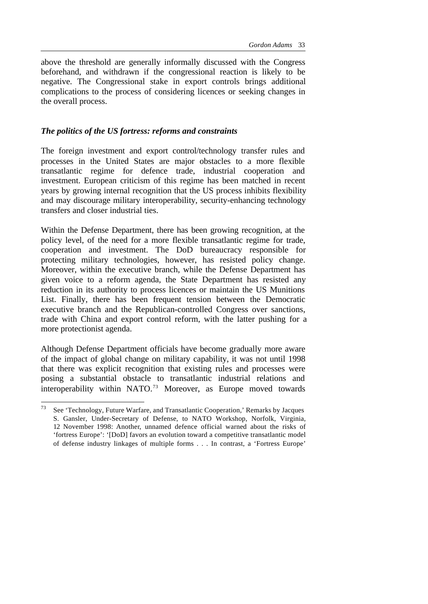above the threshold are generally informally discussed with the Congress beforehand, and withdrawn if the congressional reaction is likely to be negative. The Congressional stake in export controls brings additional complications to the process of considering licences or seeking changes in the overall process.

#### *The politics of the US fortress: reforms and constraints*

The foreign investment and export control/technology transfer rules and processes in the United States are major obstacles to a more flexible transatlantic regime for defence trade, industrial cooperation and investment. European criticism of this regime has been matched in recent years by growing internal recognition that the US process inhibits flexibility and may discourage military interoperability, security-enhancing technology transfers and closer industrial ties.

Within the Defense Department, there has been growing recognition, at the policy level, of the need for a more flexible transatlantic regime for trade, cooperation and investment. The DoD bureaucracy responsible for protecting military technologies, however, has resisted policy change. Moreover, within the executive branch, while the Defense Department has given voice to a reform agenda, the State Department has resisted any reduction in its authority to process licences or maintain the US Munitions List. Finally, there has been frequent tension between the Democratic executive branch and the Republican-controlled Congress over sanctions, trade with China and export control reform, with the latter pushing for a more protectionist agenda.

Although Defense Department officials have become gradually more aware of the impact of global change on military capability, it was not until 1998 that there was explicit recognition that existing rules and processes were posing a substantial obstacle to transatlantic industrial relations and interoperability within NATO.<sup>73</sup> Moreover, as Europe moved towards

<sup>73</sup> See 'Technology, Future Warfare, and Transatlantic Cooperation,' Remarks by Jacques S. Gansler, Under-Secretary of Defense, to NATO Workshop, Norfolk, Virginia, 12 November 1998: Another, unnamed defence official warned about the risks of 'fortress Europe': '[DoD] favors an evolution toward a competitive transatlantic model of defense industry linkages of multiple forms . . . In contrast, a 'Fortress Europe'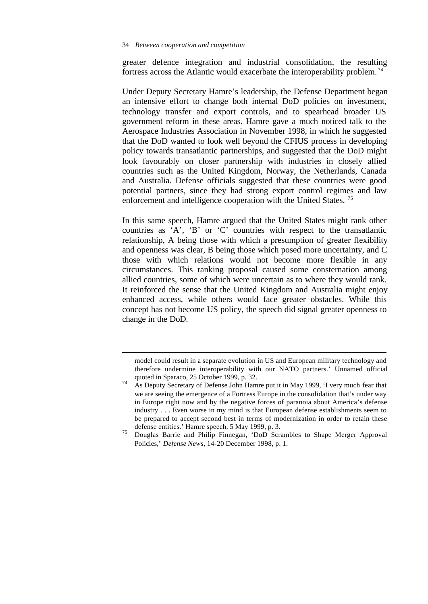l

greater defence integration and industrial consolidation, the resulting fortress across the Atlantic would exacerbate the interoperability problem. <sup>74</sup>

Under Deputy Secretary Hamre's leadership, the Defense Department began an intensive effort to change both internal DoD policies on investment, technology transfer and export controls, and to spearhead broader US government reform in these areas. Hamre gave a much noticed talk to the Aerospace Industries Association in November 1998, in which he suggested that the DoD wanted to look well beyond the CFIUS process in developing policy towards transatlantic partnerships, and suggested that the DoD might look favourably on closer partnership with industries in closely allied countries such as the United Kingdom, Norway, the Netherlands, Canada and Australia. Defense officials suggested that these countries were good potential partners, since they had strong export control regimes and law enforcement and intelligence cooperation with the United States.<sup>75</sup>

In this same speech, Hamre argued that the United States might rank other countries as 'A', 'B' or 'C' countries with respect to the transatlantic relationship, A being those with which a presumption of greater flexibility and openness was clear, B being those which posed more uncertainty, and C those with which relations would not become more flexible in any circumstances. This ranking proposal caused some consternation among allied countries, some of which were uncertain as to where they would rank. It reinforced the sense that the United Kingdom and Australia might enjoy enhanced access, while others would face greater obstacles. While this concept has not become US policy, the speech did signal greater openness to change in the DoD.

model could result in a separate evolution in US and European military technology and therefore undermine interoperability with our NATO partners.' Unnamed official quoted in Sparaco, 25 October 1999, p. 32.

 $74$  As Deputy Secretary of Defense John Hamre put it in May 1999, 'I very much fear that we are seeing the emergence of a Fortress Europe in the consolidation that's under way in Europe right now and by the negative forces of paranoia about America's defense industry . . . Even worse in my mind is that European defense establishments seem to be prepared to accept second best in terms of modernization in order to retain these defense entities.' Hamre speech, 5 May 1999, p. 3.

<sup>75</sup> Douglas Barrie and Philip Finnegan, 'DoD Scrambles to Shape Merger Approval Policies,' *Defense News*, 14-20 December 1998, p. 1.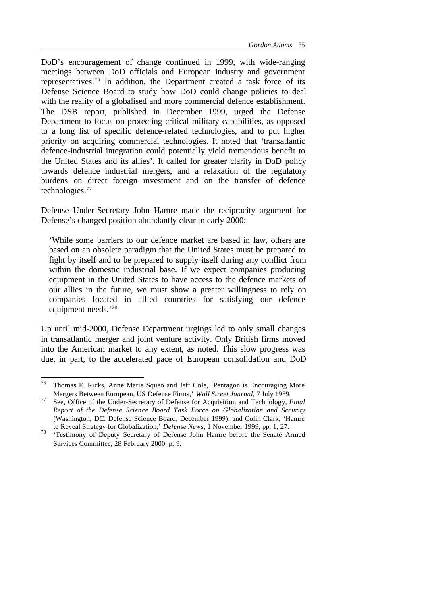DoD's encouragement of change continued in 1999, with wide-ranging meetings between DoD officials and European industry and government representatives.<sup>76</sup> In addition, the Department created a task force of its Defense Science Board to study how DoD could change policies to deal with the reality of a globalised and more commercial defence establishment. The DSB report, published in December 1999, urged the Defense Department to focus on protecting critical military capabilities, as opposed to a long list of specific defence-related technologies, and to put higher priority on acquiring commercial technologies. It noted that 'transatlantic defence-industrial integration could potentially yield tremendous benefit to the United States and its allies'. It called for greater clarity in DoD policy towards defence industrial mergers, and a relaxation of the regulatory burdens on direct foreign investment and on the transfer of defence technologies.<sup>77</sup>

Defense Under-Secretary John Hamre made the reciprocity argument for Defense's changed position abundantly clear in early 2000:

'While some barriers to our defence market are based in law, others are based on an obsolete paradigm that the United States must be prepared to fight by itself and to be prepared to supply itself during any conflict from within the domestic industrial base. If we expect companies producing equipment in the United States to have access to the defence markets of our allies in the future, we must show a greater willingness to rely on companies located in allied countries for satisfying our defence equipment needs.'<sup>78</sup>

Up until mid-2000, Defense Department urgings led to only small changes in transatlantic merger and joint venture activity. Only British firms moved into the American market to any extent, as noted. This slow progress was due, in part, to the accelerated pace of European consolidation and DoD

<sup>76</sup> Thomas E. Ricks, Anne Marie Squeo and Jeff Cole, 'Pentagon is Encouraging More Mergers Between European, US Defense Firms,' *Wall Street Journal*, 7 July 1989.

<sup>77</sup> See, Office of the Under-Secretary of Defense for Acquisition and Technology, *Final Report of the Defense Science Board Task Force on Globalization and Security* (Washington, DC: Defense Science Board, December 1999), and Colin Clark, 'Hamre to Reveal Strategy for Globalization,' *Defense News*, 1 November 1999, pp. 1, 27.

<sup>&</sup>lt;sup>78</sup> 'Testimony of Deputy Secretary of Defense John Hamre before the Senate Armed Services Committee, 28 February 2000, p. 9.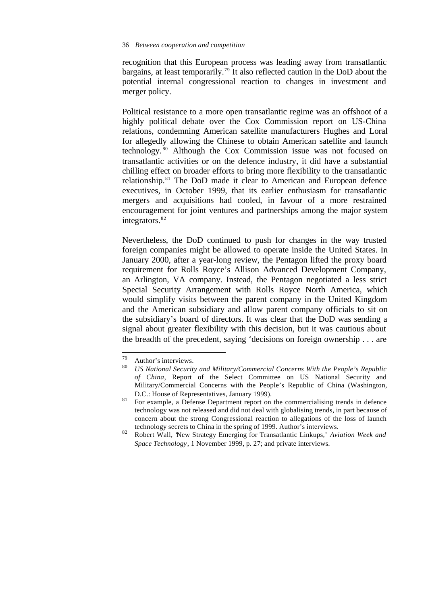recognition that this European process was leading away from transatlantic bargains, at least temporarily.<sup>79</sup> It also reflected caution in the DoD about the potential internal congressional reaction to changes in investment and merger policy.

Political resistance to a more open transatlantic regime was an offshoot of a highly political debate over the Cox Commission report on US-China relations, condemning American satellite manufacturers Hughes and Loral for allegedly allowing the Chinese to obtain American satellite and launch technology. <sup>80</sup> Although the Cox Commission issue was not focused on transatlantic activities or on the defence industry, it did have a substantial chilling effect on broader efforts to bring more flexibility to the transatlantic relationship.<sup>81</sup> The DoD made it clear to American and European defence executives, in October 1999, that its earlier enthusiasm for transatlantic mergers and acquisitions had cooled, in favour of a more restrained encouragement for joint ventures and partnerships among the major system integrators.<sup>82</sup>

Nevertheless, the DoD continued to push for changes in the way trusted foreign companies might be allowed to operate inside the United States. In January 2000, after a year-long review, the Pentagon lifted the proxy board requirement for Rolls Royce's Allison Advanced Development Company, an Arlington, VA company. Instead, the Pentagon negotiated a less strict Special Security Arrangement with Rolls Royce North America, which would simplify visits between the parent company in the United Kingdom and the American subsidiary and allow parent company officials to sit on the subsidiary's board of directors. It was clear that the DoD was sending a signal about greater flexibility with this decision, but it was cautious about the breadth of the precedent, saying 'decisions on foreign ownership . . . are

<sup>79</sup>  $^{79}$  Author's interviews.

<sup>80</sup> *US National Security and Military/Commercial Concerns With the People's Republic of China*, Report of the Select Committee on US National Security and Military/Commercial Concerns with the People's Republic of China (Washington, D.C.: House of Representatives, January 1999).

<sup>&</sup>lt;sup>81</sup> For example, a Defense Department report on the commercialising trends in defence technology was not released and did not deal with globalising trends, in part because of concern about the strong Congressional reaction to allegations of the loss of launch technology secrets to China in the spring of 1999. Author's interviews.

<sup>82</sup> Robert Wall, 'New Strategy Emerging for Transatlantic Linkups,' *Aviation Week and Space Technology*, 1 November 1999, p. 27; and private interviews.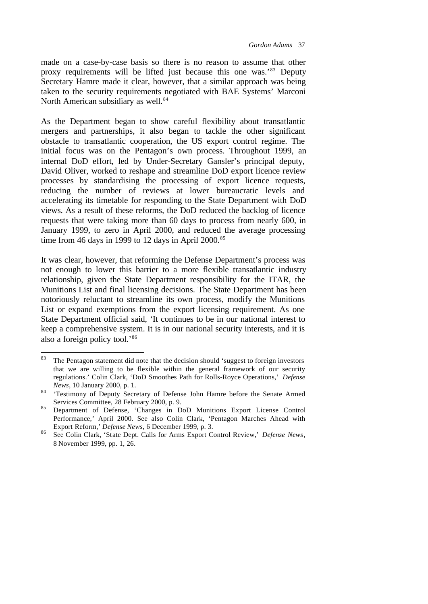made on a case-by-case basis so there is no reason to assume that other proxy requirements will be lifted just because this one was.'<sup>83</sup> Deputy Secretary Hamre made it clear, however, that a similar approach was being taken to the security requirements negotiated with BAE Systems' Marconi North American subsidiary as well.<sup>84</sup>

As the Department began to show careful flexibility about transatlantic mergers and partnerships, it also began to tackle the other significant obstacle to transatlantic cooperation, the US export control regime. The initial focus was on the Pentagon's own process. Throughout 1999, an internal DoD effort, led by Under-Secretary Gansler's principal deputy, David Oliver, worked to reshape and streamline DoD export licence review processes by standardising the processing of export licence requests, reducing the number of reviews at lower bureaucratic levels and accelerating its timetable for responding to the State Department with DoD views. As a result of these reforms, the DoD reduced the backlog of licence requests that were taking more than 60 days to process from nearly 600, in January 1999, to zero in April 2000, and reduced the average processing time from 46 days in 1999 to 12 days in April  $2000$ .<sup>85</sup>

It was clear, however, that reforming the Defense Department's process was not enough to lower this barrier to a more flexible transatlantic industry relationship, given the State Department responsibility for the ITAR, the Munitions List and final licensing decisions. The State Department has been notoriously reluctant to streamline its own process, modify the Munitions List or expand exemptions from the export licensing requirement. As one State Department official said, 'It continues to be in our national interest to keep a comprehensive system. It is in our national security interests, and it is also a foreign policy tool.'<sup>86</sup>

<sup>83</sup> The Pentagon statement did note that the decision should 'suggest to foreign investors that we are willing to be flexible within the general framework of our security regulations.' Colin Clark, 'DoD Smoothes Path for Rolls-Royce Operations,' *Defense News*, 10 January 2000, p. 1.

<sup>84 &#</sup>x27;Testimony of Deputy Secretary of Defense John Hamre before the Senate Armed Services Committee, 28 February 2000, p. 9.

<sup>85</sup> Department of Defense, 'Changes in DoD Munitions Export License Control Performance,' April 2000. See also Colin Clark, 'Pentagon Marches Ahead with Export Reform,' *Defense News*, 6 December 1999, p. 3.

<sup>86</sup> See Colin Clark, 'State Dept. Calls for Arms Export Control Review,' *Defense News*, 8 November 1999, pp. 1, 26.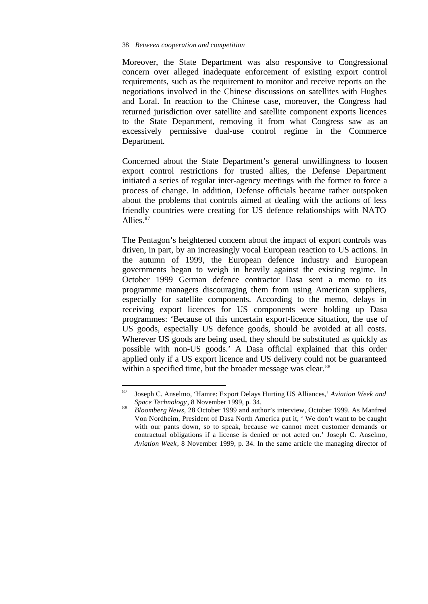Moreover, the State Department was also responsive to Congressional concern over alleged inadequate enforcement of existing export control requirements, such as the requirement to monitor and receive reports on the negotiations involved in the Chinese discussions on satellites with Hughes and Loral. In reaction to the Chinese case, moreover, the Congress had returned jurisdiction over satellite and satellite component exports licences to the State Department, removing it from what Congress saw as an excessively permissive dual-use control regime in the Commerce Department.

Concerned about the State Department's general unwillingness to loosen export control restrictions for trusted allies, the Defense Department initiated a series of regular inter-agency meetings with the former to force a process of change. In addition, Defense officials became rather outspoken about the problems that controls aimed at dealing with the actions of less friendly countries were creating for US defence relationships with NATO Allies.<sup>87</sup>

The Pentagon's heightened concern about the impact of export controls was driven, in part, by an increasingly vocal European reaction to US actions. In the autumn of 1999, the European defence industry and European governments began to weigh in heavily against the existing regime. In October 1999 German defence contractor Dasa sent a memo to its programme managers discouraging them from using American suppliers, especially for satellite components. According to the memo, delays in receiving export licences for US components were holding up Dasa programmes: 'Because of this uncertain export-licence situation, the use of US goods, especially US defence goods, should be avoided at all costs. Wherever US goods are being used, they should be substituted as quickly as possible with non-US goods.' A Dasa official explained that this order applied only if a US export licence and US delivery could not be guaranteed within a specified time, but the broader message was clear.<sup>88</sup>

 $\bf 87$ <sup>87</sup> Joseph C. Anselmo, 'Hamre: Export Delays Hurting US Alliances,' *Aviation Week and Space Technology*, 8 November 1999, p. 34.

<sup>88</sup> *Bloomberg News*, 28 October 1999 and author's interview, October 1999. As Manfred Von Nordheim, President of Dasa North America put it, ' We don't want to be caught with our pants down, so to speak, because we cannot meet customer demands or contractual obligations if a license is denied or not acted on.' Joseph C. Anselmo, *Aviation Week*, 8 November 1999, p. 34. In the same article the managing director of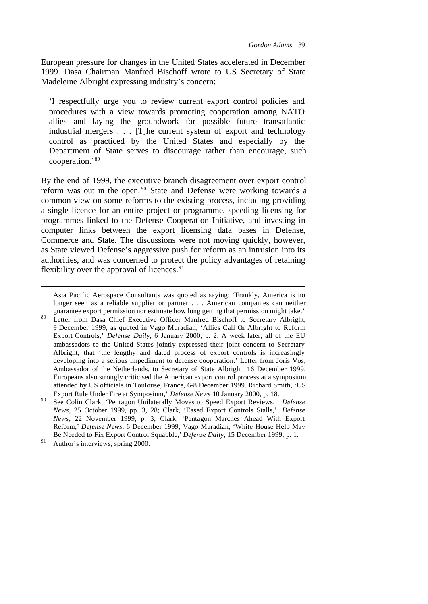European pressure for changes in the United States accelerated in December 1999. Dasa Chairman Manfred Bischoff wrote to US Secretary of State Madeleine Albright expressing industry's concern:

'I respectfully urge you to review current export control policies and procedures with a view towards promoting cooperation among NATO allies and laying the groundwork for possible future transatlantic industrial mergers . . . [T]he current system of export and technology control as practiced by the United States and especially by the Department of State serves to discourage rather than encourage, such cooperation.'<sup>89</sup>

By the end of 1999, the executive branch disagreement over export control reform was out in the open.<sup>90</sup> State and Defense were working towards a common view on some reforms to the existing process, including providing a single licence for an entire project or programme, speeding licensing for programmes linked to the Defense Cooperation Initiative, and investing in computer links between the export licensing data bases in Defense, Commerce and State. The discussions were not moving quickly, however, as State viewed Defense's aggressive push for reform as an intrusion into its authorities, and was concerned to protect the policy advantages of retaining flexibility over the approval of licences. $91$ 

Asia Pacific Aerospace Consultants was quoted as saying: 'Frankly, America is no longer seen as a reliable supplier or partner . . . American companies can neither guarantee export permission nor estimate how long getting that permission might take.'

<sup>89</sup> Letter from Dasa Chief Executive Officer Manfred Bischoff to Secretary Albright, 9 December 1999, as quoted in Vago Muradian, 'Allies Call On Albright to Reform Export Controls,' *Defense Daily*, 6 January 2000, p. 2. A week later, all of the EU ambassadors to the United States jointly expressed their joint concern to Secretary Albright, that 'the lengthy and dated process of export controls is increasingly developing into a serious impediment to defense cooperation.' Letter from Joris Vos, Ambassador of the Netherlands, to Secretary of State Albright, 16 December 1999. Europeans also strongly criticised the American export control process at a symposium attended by US officials in Toulouse, France, 6-8 December 1999. Richard Smith, 'US Export Rule Under Fire at Symposium,' *Defense News* 10 January 2000, p. 18.

<sup>90</sup> See Colin Clark, 'Pentagon Unilaterally Moves to Speed Export Reviews,' *Defense News*, 25 October 1999, pp. 3, 28; Clark, 'Eased Export Controls Stalls,' *Defense News*, 22 November 1999, p. 3; Clark, 'Pentagon Marches Ahead With Export Reform,' *Defense News*, 6 December 1999; Vago Muradian, 'White House Help May Be Needed to Fix Export Control Squabble,' *Defense Daily,* 15 December 1999, p. 1.

<sup>&</sup>lt;sup>91</sup> Author's interviews, spring 2000.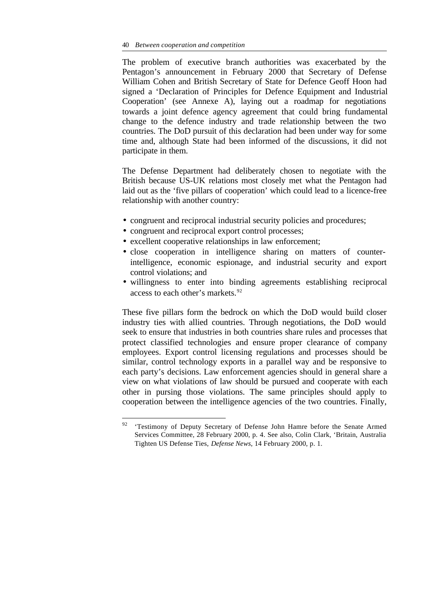The problem of executive branch authorities was exacerbated by the Pentagon's announcement in February 2000 that Secretary of Defense William Cohen and British Secretary of State for Defence Geoff Hoon had signed a 'Declaration of Principles for Defence Equipment and Industrial Cooperation' (see Annexe A), laying out a roadmap for negotiations towards a joint defence agency agreement that could bring fundamental change to the defence industry and trade relationship between the two countries. The DoD pursuit of this declaration had been under way for some time and, although State had been informed of the discussions, it did not participate in them.

The Defense Department had deliberately chosen to negotiate with the British because US-UK relations most closely met what the Pentagon had laid out as the 'five pillars of cooperation' which could lead to a licence-free relationship with another country:

- congruent and reciprocal industrial security policies and procedures;
- congruent and reciprocal export control processes;

l

- excellent cooperative relationships in law enforcement;
- close cooperation in intelligence sharing on matters of counterintelligence, economic espionage, and industrial security and export control violations; and
- willingness to enter into binding agreements establishing reciprocal access to each other's markets.<sup>92</sup>

These five pillars form the bedrock on which the DoD would build closer industry ties with allied countries. Through negotiations, the DoD would seek to ensure that industries in both countries share rules and processes that protect classified technologies and ensure proper clearance of company employees. Export control licensing regulations and processes should be similar, control technology exports in a parallel way and be responsive to each party's decisions. Law enforcement agencies should in general share a view on what violations of law should be pursued and cooperate with each other in pursing those violations. The same principles should apply to cooperation between the intelligence agencies of the two countries. Finally,

<sup>&</sup>lt;sup>92</sup> 'Testimony of Deputy Secretary of Defense John Hamre before the Senate Armed Services Committee, 28 February 2000, p. 4. See also, Colin Clark, 'Britain, Australia Tighten US Defense Ties, *Defense News*, 14 February 2000, p. 1.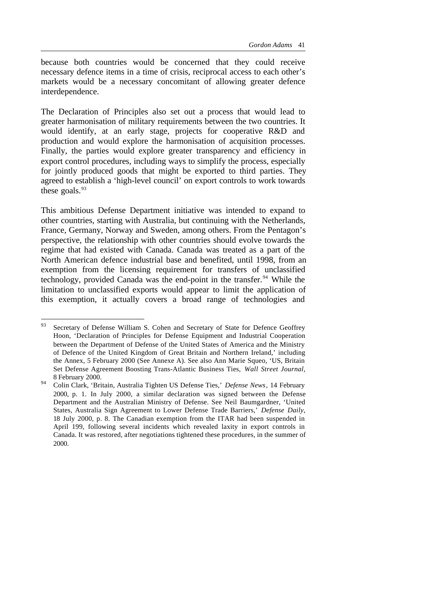because both countries would be concerned that they could receive necessary defence items in a time of crisis, reciprocal access to each other's markets would be a necessary concomitant of allowing greater defence interdependence.

The Declaration of Principles also set out a process that would lead to greater harmonisation of military requirements between the two countries. It would identify, at an early stage, projects for cooperative R&D and production and would explore the harmonisation of acquisition processes. Finally, the parties would explore greater transparency and efficiency in export control procedures, including ways to simplify the process, especially for jointly produced goods that might be exported to third parties. They agreed to establish a 'high-level council' on export controls to work towards these goals. $93$ 

This ambitious Defense Department initiative was intended to expand to other countries, starting with Australia, but continuing with the Netherlands, France, Germany, Norway and Sweden, among others. From the Pentagon's perspective, the relationship with other countries should evolve towards the regime that had existed with Canada. Canada was treated as a part of the North American defence industrial base and benefited, until 1998, from an exemption from the licensing requirement for transfers of unclassified technology, provided Canada was the end-point in the transfer.<sup>94</sup> While the limitation to unclassified exports would appear to limit the application of this exemption, it actually covers a broad range of technologies and

<sup>93</sup> Secretary of Defense William S. Cohen and Secretary of State for Defence Geoffrey Hoon, 'Declaration of Principles for Defense Equipment and Industrial Cooperation between the Department of Defense of the United States of America and the Ministry of Defence of the United Kingdom of Great Britain and Northern Ireland,' including the Annex, 5 February 2000 (See Annexe A). See also Ann Marie Squeo, 'US, Britain Set Defense Agreement Boosting Trans-Atlantic Business Ties, *Wall Street Journal*, 8 February 2000.

<sup>94</sup> Colin Clark, 'Britain, Australia Tighten US Defense Ties,' *Defense News*, 14 February 2000, p. 1. In July 2000, a similar declaration was signed between the Defense Department and the Australian Ministry of Defense. See Neil Baumgardner, 'United States, Australia Sign Agreement to Lower Defense Trade Barriers,' *Defense Daily*, 18 July 2000, p. 8. The Canadian exemption from the ITAR had been suspended in April 199, following several incidents which revealed laxity in export controls in Canada. It was restored, after negotiations tightened these procedures, in the summer of 2000.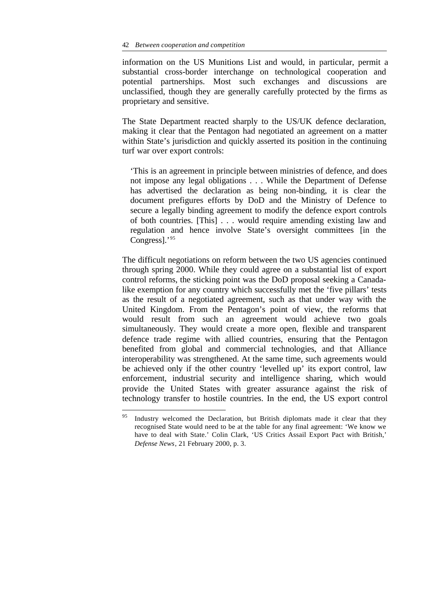l

information on the US Munitions List and would, in particular, permit a substantial cross-border interchange on technological cooperation and potential partnerships. Most such exchanges and discussions are unclassified, though they are generally carefully protected by the firms as proprietary and sensitive.

The State Department reacted sharply to the US/UK defence declaration, making it clear that the Pentagon had negotiated an agreement on a matter within State's jurisdiction and quickly asserted its position in the continuing turf war over export controls:

'This is an agreement in principle between ministries of defence, and does not impose any legal obligations . . . While the Department of Defense has advertised the declaration as being non-binding, it is clear the document prefigures efforts by DoD and the Ministry of Defence to secure a legally binding agreement to modify the defence export controls of both countries. [This] . . . would require amending existing law and regulation and hence involve State's oversight committees [in the Congress].'95

The difficult negotiations on reform between the two US agencies continued through spring 2000. While they could agree on a substantial list of export control reforms, the sticking point was the DoD proposal seeking a Canadalike exemption for any country which successfully met the 'five pillars' tests as the result of a negotiated agreement, such as that under way with the United Kingdom. From the Pentagon's point of view, the reforms that would result from such an agreement would achieve two goals simultaneously. They would create a more open, flexible and transparent defence trade regime with allied countries, ensuring that the Pentagon benefited from global and commercial technologies, and that Alliance interoperability was strengthened. At the same time, such agreements would be achieved only if the other country 'levelled up' its export control, law enforcement, industrial security and intelligence sharing, which would provide the United States with greater assurance against the risk of technology transfer to hostile countries. In the end, the US export control

Industry welcomed the Declaration, but British diplomats made it clear that they recognised State would need to be at the table for any final agreement: 'We know we have to deal with State.' Colin Clark, 'US Critics Assail Export Pact with British,' *Defense News*, 21 February 2000, p. 3.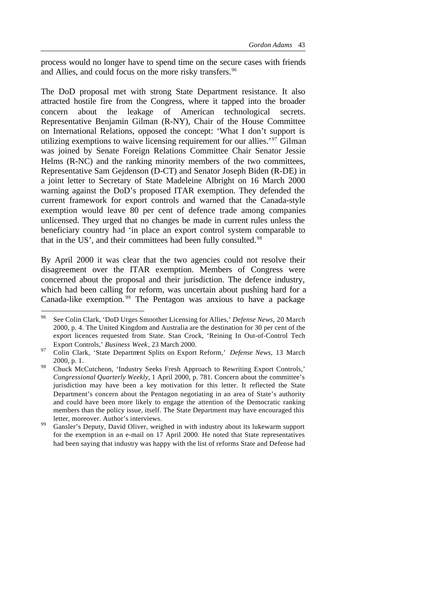process would no longer have to spend time on the secure cases with friends and Allies, and could focus on the more risky transfers.<sup>96</sup>

The DoD proposal met with strong State Department resistance. It also attracted hostile fire from the Congress, where it tapped into the broader concern about the leakage of American technological secrets. Representative Benjamin Gilman (R-NY), Chair of the House Committee on International Relations, opposed the concept: 'What I don't support is utilizing exemptions to waive licensing requirement for our allies.'<sup>97</sup> Gilman was joined by Senate Foreign Relations Committee Chair Senator Jessie Helms (R-NC) and the ranking minority members of the two committees, Representative Sam Gejdenson (D-CT) and Senator Joseph Biden (R-DE) in a joint letter to Secretary of State Madeleine Albright on 16 March 2000 warning against the DoD's proposed ITAR exemption. They defended the current framework for export controls and warned that the Canada-style exemption would leave 80 per cent of defence trade among companies unlicensed. They urged that no changes be made in current rules unless the beneficiary country had 'in place an export control system comparable to that in the US', and their committees had been fully consulted.<sup>98</sup>

By April 2000 it was clear that the two agencies could not resolve their disagreement over the ITAR exemption. Members of Congress were concerned about the proposal and their jurisdiction. The defence industry, which had been calling for reform, was uncertain about pushing hard for a Canada-like exemption. <sup>99</sup> The Pentagon was anxious to have a package

<sup>96</sup> See Colin Clark, 'DoD Urges Smoother Licensing for Allies,' *Defense News*, 20 March 2000, p. 4. The United Kingdom and Australia are the destination for 30 per cent of the export licences requested from State. Stan Crock, 'Reining In Out-of-Control Tech Export Controls,' *Business Week*, 23 March 2000.

<sup>97</sup> Colin Clark, 'State Department Splits on Export Reform,' *Defense News*, 13 March 2000, p. 1.

<sup>&</sup>lt;sup>98</sup> Chuck McCutcheon, 'Industry Seeks Fresh Approach to Rewriting Export Controls,' *Congressional Quarterly Weekly,* 1 April 2000, p. 781. Concern about the committee's jurisdiction may have been a key motivation for this letter. It reflected the State Department's concern about the Pentagon negotiating in an area of State's authority and could have been more likely to engage the attention of the Democratic ranking members than the policy issue, itself. The State Department may have encouraged this letter, moreover. Author's interviews.

<sup>&</sup>lt;sup>99</sup> Gansler's Deputy, David Oliver, weighed in with industry about its lukewarm support for the exemption in an e-mail on 17 April 2000. He noted that State representatives had been saying that industry was happy with the list of reforms State and Defense had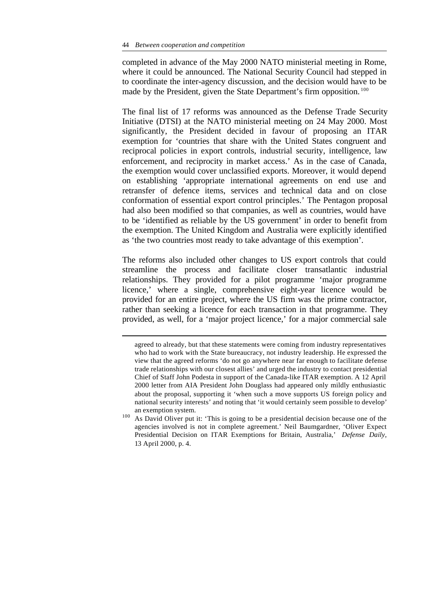l

completed in advance of the May 2000 NATO ministerial meeting in Rome, where it could be announced. The National Security Council had stepped in to coordinate the inter-agency discussion, and the decision would have to be made by the President, given the State Department's firm opposition. <sup>100</sup>

The final list of 17 reforms was announced as the Defense Trade Security Initiative (DTSI) at the NATO ministerial meeting on 24 May 2000. Most significantly, the President decided in favour of proposing an ITAR exemption for 'countries that share with the United States congruent and reciprocal policies in export controls, industrial security, intelligence, law enforcement, and reciprocity in market access.' As in the case of Canada, the exemption would cover unclassified exports. Moreover, it would depend on establishing 'appropriate international agreements on end use and retransfer of defence items, services and technical data and on close conformation of essential export control principles.' The Pentagon proposal had also been modified so that companies, as well as countries, would have to be 'identified as reliable by the US government' in order to benefit from the exemption. The United Kingdom and Australia were explicitly identified as 'the two countries most ready to take advantage of this exemption'.

The reforms also included other changes to US export controls that could streamline the process and facilitate closer transatlantic industrial relationships. They provided for a pilot programme 'major programme licence,' where a single, comprehensive eight-year licence would be provided for an entire project, where the US firm was the prime contractor, rather than seeking a licence for each transaction in that programme. They provided, as well, for a 'major project licence,' for a major commercial sale

agreed to already, but that these statements were coming from industry representatives who had to work with the State bureaucracy, not industry leadership. He expressed the view that the agreed reforms 'do not go anywhere near far enough to facilitate defense trade relationships with our closest allies' and urged the industry to contact presidential Chief of Staff John Podesta in support of the Canada-like ITAR exemption. A 12 April 2000 letter from AIA President John Douglass had appeared only mildly enthusiastic about the proposal, supporting it 'when such a move supports US foreign policy and national security interests' and noting that 'it would certainly seem possible to develop' an exemption system.

<sup>&</sup>lt;sup>100</sup> As David Oliver put it: 'This is going to be a presidential decision because one of the agencies involved is not in complete agreement.' Neil Baumgardner, 'Oliver Expect Presidential Decision on ITAR Exemptions for Britain, Australia,' *Defense Daily*, 13 April 2000, p. 4.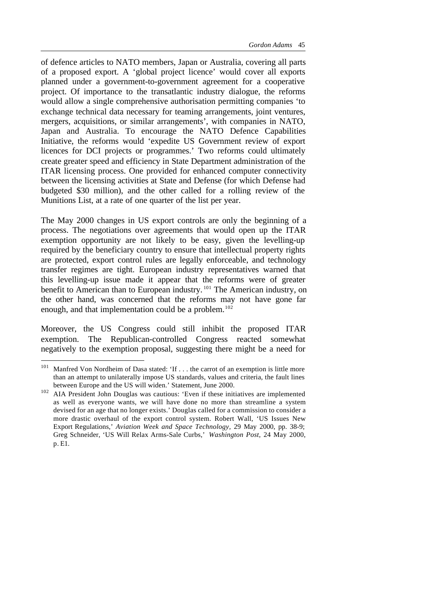of defence articles to NATO members, Japan or Australia, covering all parts of a proposed export. A 'global project licence' would cover all exports planned under a government-to-government agreement for a cooperative project. Of importance to the transatlantic industry dialogue, the reforms would allow a single comprehensive authorisation permitting companies 'to exchange technical data necessary for teaming arrangements, joint ventures, mergers, acquisitions, or similar arrangements', with companies in NATO, Japan and Australia. To encourage the NATO Defence Capabilities Initiative, the reforms would 'expedite US Government review of export licences for DCI projects or programmes.' Two reforms could ultimately create greater speed and efficiency in State Department administration of the ITAR licensing process. One provided for enhanced computer connectivity between the licensing activities at State and Defense (for which Defense had budgeted \$30 million), and the other called for a rolling review of the Munitions List, at a rate of one quarter of the list per year.

The May 2000 changes in US export controls are only the beginning of a process. The negotiations over agreements that would open up the ITAR exemption opportunity are not likely to be easy, given the levelling-up required by the beneficiary country to ensure that intellectual property rights are protected, export control rules are legally enforceable, and technology transfer regimes are tight. European industry representatives warned that this levelling-up issue made it appear that the reforms were of greater benefit to American than to European industry.<sup>101</sup> The American industry, on the other hand, was concerned that the reforms may not have gone far enough, and that implementation could be a problem.<sup>102</sup>

Moreover, the US Congress could still inhibit the proposed ITAR exemption. The Republican-controlled Congress reacted somewhat negatively to the exemption proposal, suggesting there might be a need for

<sup>&</sup>lt;sup>101</sup> Manfred Von Nordheim of Dasa stated: 'If . . . the carrot of an exemption is little more than an attempt to unilaterally impose US standards, values and criteria, the fault lines between Europe and the US will widen.' Statement, June 2000.

<sup>&</sup>lt;sup>102</sup> AIA President John Douglas was cautious: 'Even if these initiatives are implemented as well as everyone wants, we will have done no more than streamline a system devised for an age that no longer exists.' Douglas called for a commission to consider a more drastic overhaul of the export control system. Robert Wall, 'US Issues New Export Regulations,' *Aviation Week and Space Technology,* 29 May 2000, pp. 38-9; Greg Schneider, 'US Will Relax Arms-Sale Curbs,' *Washington Post*, 24 May 2000, p. E1.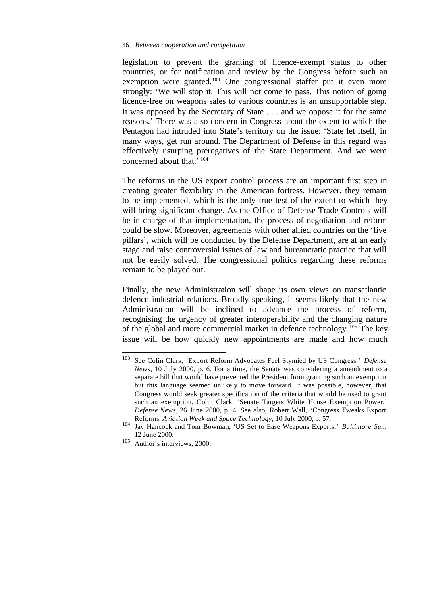legislation to prevent the granting of licence-exempt status to other countries, or for notification and review by the Congress before such an exemption were granted.<sup>103</sup> One congressional staffer put it even more strongly: 'We will stop it. This will not come to pass. This notion of going licence-free on weapons sales to various countries is an unsupportable step. It was opposed by the Secretary of State . . . and we oppose it for the same reasons.' There was also concern in Congress about the extent to which the Pentagon had intruded into State's territory on the issue: 'State let itself, in many ways, get run around. The Department of Defense in this regard was effectively usurping prerogatives of the State Department. And we were concerned about that.' <sup>104</sup>

The reforms in the US export control process are an important first step in creating greater flexibility in the American fortress. However, they remain to be implemented, which is the only true test of the extent to which they will bring significant change. As the Office of Defense Trade Controls will be in charge of that implementation, the process of negotiation and reform could be slow. Moreover, agreements with other allied countries on the 'five pillars', which will be conducted by the Defense Department, are at an early stage and raise controversial issues of law and bureaucratic practice that will not be easily solved. The congressional politics regarding these reforms remain to be played out.

Finally, the new Administration will shape its own views on transatlantic defence industrial relations. Broadly speaking, it seems likely that the new Administration will be inclined to advance the process of reform, recognising the urgency of greater interoperability and the changing nature of the global and more commercial market in defence technology. <sup>105</sup> The key issue will be how quickly new appointments are made and how much

<sup>103</sup> <sup>103</sup> See Colin Clark, 'Export Reform Advocates Feel Stymied by US Congress,' *Defense News*, 10 July 2000, p. 6. For a time, the Senate was considering a amendment to a separate bill that would have prevented the President from granting such an exemption but this language seemed unlikely to move forward. It was possible, however, that Congress would seek greater specification of the criteria that would be used to grant such an exemption. Colin Clark, 'Senate Targets White House Exemption Power,' *Defense News,* 26 June 2000, p. 4. See also, Robert Wall, 'Congress Tweaks Export Reforms, *Aviation Week and Space Technology*, 10 July 2000, p. 57.

<sup>104</sup> Jay Hancock and Tom Bowman, 'US Set to Ease Weapons Exports,' *Baltimore Sun*, 12 June 2000.

<sup>105</sup> Author's interviews, 2000.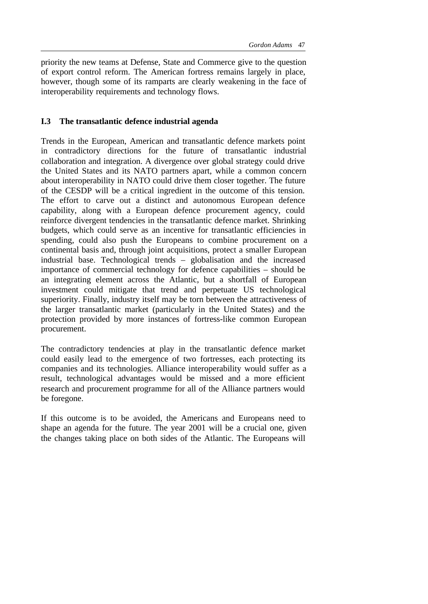priority the new teams at Defense, State and Commerce give to the question of export control reform. The American fortress remains largely in place, however, though some of its ramparts are clearly weakening in the face of interoperability requirements and technology flows.

## **I.3 The transatlantic defence industrial agenda**

Trends in the European, American and transatlantic defence markets point in contradictory directions for the future of transatlantic industrial collaboration and integration. A divergence over global strategy could drive the United States and its NATO partners apart, while a common concern about interoperability in NATO could drive them closer together. The future of the CESDP will be a critical ingredient in the outcome of this tension. The effort to carve out a distinct and autonomous European defence capability, along with a European defence procurement agency, could reinforce divergent tendencies in the transatlantic defence market. Shrinking budgets, which could serve as an incentive for transatlantic efficiencies in spending, could also push the Europeans to combine procurement on a continental basis and, through joint acquisitions, protect a smaller European industrial base. Technological trends – globalisation and the increased importance of commercial technology for defence capabilities – should be an integrating element across the Atlantic, but a shortfall of European investment could mitigate that trend and perpetuate US technological superiority. Finally, industry itself may be torn between the attractiveness of the larger transatlantic market (particularly in the United States) and the protection provided by more instances of fortress-like common European procurement.

The contradictory tendencies at play in the transatlantic defence market could easily lead to the emergence of two fortresses, each protecting its companies and its technologies. Alliance interoperability would suffer as a result, technological advantages would be missed and a more efficient research and procurement programme for all of the Alliance partners would be foregone.

If this outcome is to be avoided, the Americans and Europeans need to shape an agenda for the future. The year 2001 will be a crucial one, given the changes taking place on both sides of the Atlantic. The Europeans will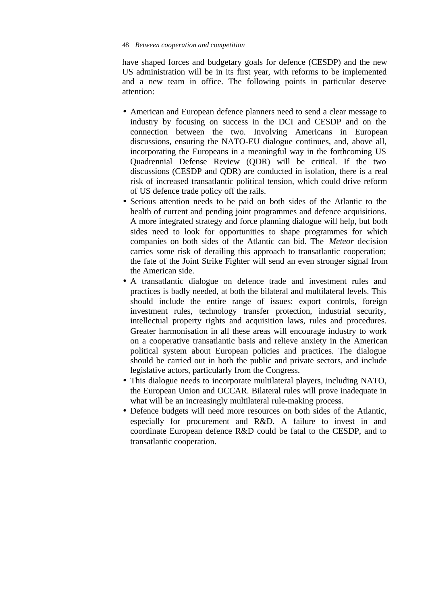have shaped forces and budgetary goals for defence (CESDP) and the new US administration will be in its first year, with reforms to be implemented and a new team in office. The following points in particular deserve attention:

- American and European defence planners need to send a clear message to industry by focusing on success in the DCI and CESDP and on the connection between the two. Involving Americans in European discussions, ensuring the NATO-EU dialogue continues, and, above all, incorporating the Europeans in a meaningful way in the forthcoming US Quadrennial Defense Review (QDR) will be critical. If the two discussions (CESDP and QDR) are conducted in isolation, there is a real risk of increased transatlantic political tension, which could drive reform of US defence trade policy off the rails.
- Serious attention needs to be paid on both sides of the Atlantic to the health of current and pending joint programmes and defence acquisitions. A more integrated strategy and force planning dialogue will help, but both sides need to look for opportunities to shape programmes for which companies on both sides of the Atlantic can bid. The *Meteor* decision carries some risk of derailing this approach to transatlantic cooperation; the fate of the Joint Strike Fighter will send an even stronger signal from the American side.
- A transatlantic dialogue on defence trade and investment rules and practices is badly needed, at both the bilateral and multilateral levels. This should include the entire range of issues: export controls, foreign investment rules, technology transfer protection, industrial security, intellectual property rights and acquisition laws, rules and procedures. Greater harmonisation in all these areas will encourage industry to work on a cooperative transatlantic basis and relieve anxiety in the American political system about European policies and practices. The dialogue should be carried out in both the public and private sectors, and include legislative actors, particularly from the Congress.
- This dialogue needs to incorporate multilateral players, including NATO, the European Union and OCCAR. Bilateral rules will prove inadequate in what will be an increasingly multilateral rule-making process.
- Defence budgets will need more resources on both sides of the Atlantic, especially for procurement and R&D. A failure to invest in and coordinate European defence R&D could be fatal to the CESDP, and to transatlantic cooperation.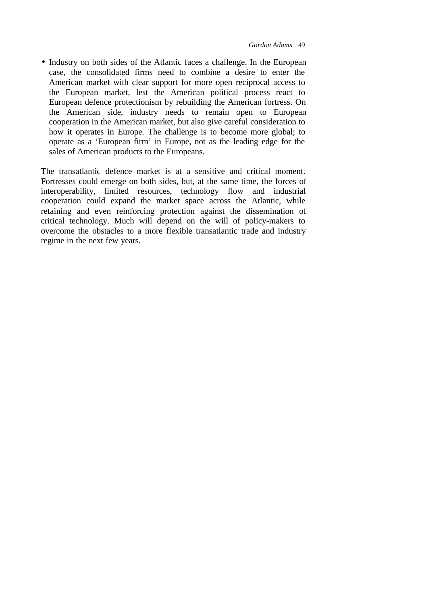• Industry on both sides of the Atlantic faces a challenge. In the European case, the consolidated firms need to combine a desire to enter the American market with clear support for more open reciprocal access to the European market, lest the American political process react to European defence protectionism by rebuilding the American fortress. On the American side, industry needs to remain open to European cooperation in the American market, but also give careful consideration to how it operates in Europe. The challenge is to become more global; to operate as a 'European firm' in Europe, not as the leading edge for the sales of American products to the Europeans.

The transatlantic defence market is at a sensitive and critical moment. Fortresses could emerge on both sides, but, at the same time, the forces of interoperability, limited resources, technology flow and industrial cooperation could expand the market space across the Atlantic, while retaining and even reinforcing protection against the dissemination of critical technology. Much will depend on the will of policy-makers to overcome the obstacles to a more flexible transatlantic trade and industry regime in the next few years.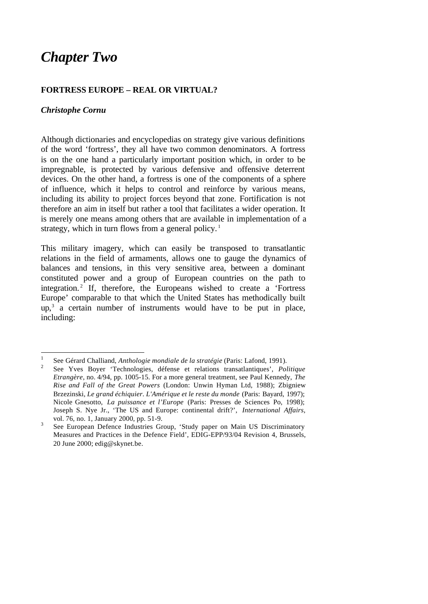# *Chapter Two*

## **FORTRESS EUROPE – REAL OR VIRTUAL?**

## *Christophe Cornu*

l

Although dictionaries and encyclopedias on strategy give various definitions of the word 'fortress', they all have two common denominators. A fortress is on the one hand a particularly important position which, in order to be impregnable, is protected by various defensive and offensive deterrent devices. On the other hand, a fortress is one of the components of a sphere of influence, which it helps to control and reinforce by various means, including its ability to project forces beyond that zone. Fortification is not therefore an aim in itself but rather a tool that facilitates a wider operation. It is merely one means among others that are available in implementation of a strategy, which in turn flows from a general policy.<sup>1</sup>

This military imagery, which can easily be transposed to transatlantic relations in the field of armaments, allows one to gauge the dynamics of balances and tensions, in this very sensitive area, between a dominant constituted power and a group of European countries on the path to integration.<sup>2</sup> If, therefore, the Europeans wished to create a 'Fortress Europe' comparable to that which the United States has methodically built  $up,3$  a certain number of instruments would have to be put in place, including:

<sup>1</sup> See Gérard Challiand, *Anthologie mondiale de la stratégie* (Paris: Lafond, 1991).

<sup>2</sup> See Yves Boyer 'Technologies, défense et relations transatlantiques', *Politique Etrangère*, no. 4/94, pp. 1005-15. For a more general treatment, see Paul Kennedy, *The Rise and Fall of the Great Powers* (London: Unwin Hyman Ltd, 1988); Zbigniew Brzezinski, *Le grand échiquier. L'Amérique et le reste du monde* (Paris: Bayard, 1997); Nicole Gnesotto, *La puissance et l'Europe* (Paris: Presses de Sciences Po, 1998); Joseph S. Nye Jr., 'The US and Europe: continental drift?', *International Affairs*, vol. 76, no. 1, January 2000, pp. 51-9.

<sup>3</sup> See European Defence Industries Group, 'Study paper on Main US Discriminatory Measures and Practices in the Defence Field', EDIG-EPP/93/04 Revision 4, Brussels, 20 June 2000; edig@skynet.be.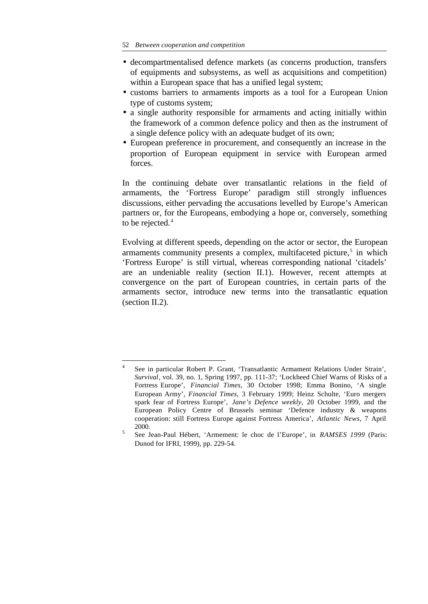l

- decompartmentalised defence markets (as concerns production, transfers of equipments and subsystems, as well as acquisitions and competition) within a European space that has a unified legal system;
- customs barriers to armaments imports as a tool for a European Union type of customs system;
- a single authority responsible for armaments and acting initially within the framework of a common defence policy and then as the instrument of a single defence policy with an adequate budget of its own;
- European preference in procurement, and consequently an increase in the proportion of European equipment in service with European armed forces.

In the continuing debate over transatlantic relations in the field of armaments, the 'Fortress Europe' paradigm still strongly influences discussions, either pervading the accusations levelled by Europe's American partners or, for the Europeans, embodying a hope or, conversely, something to be rejected.<sup>4</sup>

Evolving at different speeds, depending on the actor or sector, the European armaments community presents a complex, multifaceted picture,<sup>5</sup> in which 'Fortress Europe' is still virtual, whereas corresponding national 'citadels' are an undeniable reality (section II.1). However, recent attempts at convergence on the part of European countries, in certain parts of the armaments sector, introduce new terms into the transatlantic equation (section II.2).

<sup>4</sup> See in particular Robert P. Grant, 'Transatlantic Armament Relations Under Strain', *Survival*, vol. 39, no. 1, Spring 1997, pp. 111-37; 'Lockheed Chief Warns of Risks of a Fortress Europe', *Financial Times*, 30 October 1998; Emma Bonino, 'A single European Army', *Financial Times*, 3 February 1999; Heinz Schulte, 'Euro mergers spark fear of Fortress Europe', *Jane's Defence weekly*, 20 October 1999, and the European Policy Centre of Brussels seminar 'Defence industry & weapons cooperation: still Fortress Europe against Fortress America', *Atlantic News*, 7 April 2000.

<sup>5</sup> See Jean-Paul Hébert, 'Armement: le choc de l'Europe', in *RAMSES 1999* (Paris: Dunod for IFRI, 1999), pp. 229-54.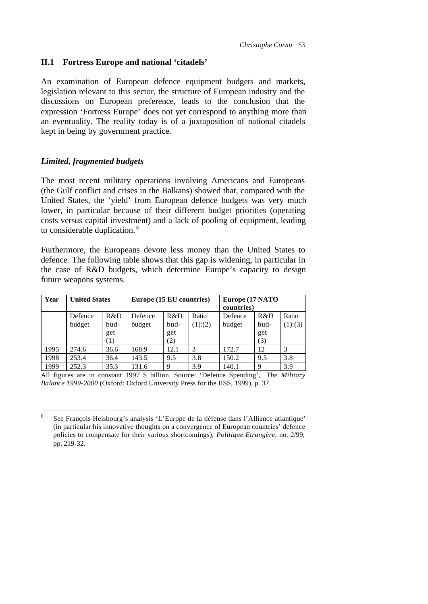## **II.1 Fortress Europe and national 'citadels'**

An examination of European defence equipment budgets and markets, legislation relevant to this sector, the structure of European industry and the discussions on European preference, leads to the conclusion that the expression 'Fortress Europe' does not yet correspond to anything more than an eventuality. The reality today is of a juxtaposition of national citadels kept in being by government practice.

### *Limited, fragmented budgets*

l

The most recent military operations involving Americans and Europeans (the Gulf conflict and crises in the Balkans) showed that, compared with the United States, the 'yield' from European defence budgets was very much lower, in particular because of their different budget priorities (operating costs versus capital investment) and a lack of pooling of equipment, leading to considerable duplication.<sup>6</sup>

Furthermore, the Europeans devote less money than the United States to defence. The following table shows that this gap is widening, in particular in the case of R&D budgets, which determine Europe's capacity to design future weapons systems.

| Year | <b>United States</b> |                  | Europe (15 EU countries) |      |        | Europe (17 NATO<br>countries) |             |         |
|------|----------------------|------------------|--------------------------|------|--------|-------------------------------|-------------|---------|
|      | Defence              | R&D              | Defence                  | R&D  | Ratio  | Defence                       | R&D         | Ratio   |
|      | budget               | bud-             | budget                   | bud- | (1)(2) | budget                        | bud-        | (1):(3) |
|      |                      | get              |                          | get  |        |                               | get         |         |
|      |                      | $\left(1\right)$ |                          | (2)  |        |                               | (3)         |         |
| 1995 | 274.6                | 36.6             | 168.9                    | 12.1 | 3      | 172.7                         | 12          |         |
| 1998 | 253.4                | 36.4             | 143.5                    | 9.5  | 3.8    | 150.2                         | 9.5         | 3.8     |
| 1999 | 252.3                | 35.3             | 131.6                    | 9    | 3.9    | 140.1                         | $\mathbf Q$ | 3.9     |

All figures are in constant 1997 \$ billion. Source: 'Defence Spending', *The Military Balance 1999-2000* (Oxford: Oxford University Press for the IISS, 1999), p. 37.

<sup>6</sup> See François Heisbourg's analysis 'L'Europe de la défense dans l'Alliance atlantique' (in particular his innovative thoughts on a convergence of European countries' defence policies to compensate for their various shortcomings), *Politique Etrangère*, no. 2/99, pp. 219-32.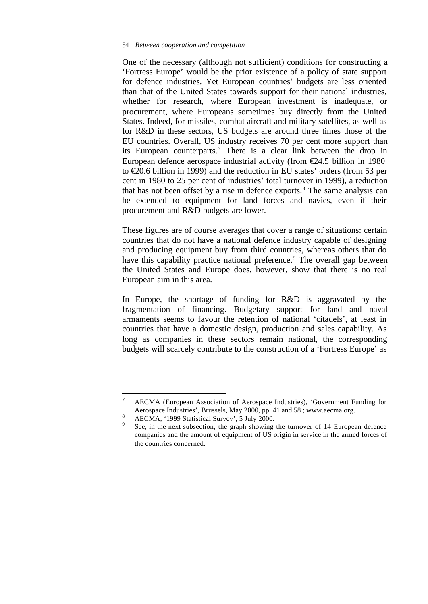One of the necessary (although not sufficient) conditions for constructing a 'Fortress Europe' would be the prior existence of a policy of state support for defence industries. Yet European countries' budgets are less oriented than that of the United States towards support for their national industries, whether for research, where European investment is inadequate, or procurement, where Europeans sometimes buy directly from the United States. Indeed, for missiles, combat aircraft and military satellites, as well as for R&D in these sectors, US budgets are around three times those of the EU countries. Overall, US industry receives 70 per cent more support than its European counterparts.<sup>7</sup> There is a clear link between the drop in European defence aerospace industrial activity (from  $\epsilon$ 24.5 billion in 1980 to €20.6 billion in 1999) and the reduction in EU states' orders (from 53 per cent in 1980 to 25 per cent of industries' total turnover in 1999), a reduction that has not been offset by a rise in defence exports.<sup>8</sup> The same analysis can be extended to equipment for land forces and navies, even if their procurement and R&D budgets are lower.

These figures are of course averages that cover a range of situations: certain countries that do not have a national defence industry capable of designing and producing equipment buy from third countries, whereas others that do have this capability practice national preference.<sup>9</sup> The overall gap between the United States and Europe does, however, show that there is no real European aim in this area.

In Europe, the shortage of funding for R&D is aggravated by the fragmentation of financing. Budgetary support for land and naval armaments seems to favour the retention of national 'citadels', at least in countries that have a domestic design, production and sales capability. As long as companies in these sectors remain national, the corresponding budgets will scarcely contribute to the construction of a 'Fortress Europe' as

<sup>7</sup> AECMA (European Association of Aerospace Industries), 'Government Funding for Aerospace Industries', Brussels, May 2000, pp. 41 and 58 ; www.aecma.org.

 $\lambda$ <sup>8</sup> AECMA, '1999 Statistical Survey', 5 July 2000.

<sup>9</sup> See, in the next subsection, the graph showing the turnover of 14 European defence companies and the amount of equipment of US origin in service in the armed forces of the countries concerned.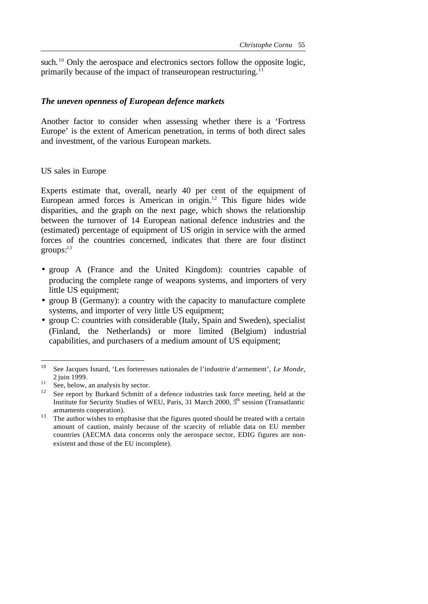such.<sup>10</sup> Only the aerospace and electronics sectors follow the opposite logic, primarily because of the impact of transeuropean restructuring.<sup>11</sup>

#### *The uneven openness of European defence markets*

Another factor to consider when assessing whether there is a 'Fortress Europe' is the extent of American penetration, in terms of both direct sales and investment, of the various European markets.

### US sales in Europe

Experts estimate that, overall, nearly 40 per cent of the equipment of European armed forces is American in origin.<sup>12</sup> This figure hides wide disparities, and the graph on the next page, which shows the relationship between the turnover of 14 European national defence industries and the (estimated) percentage of equipment of US origin in service with the armed forces of the countries concerned, indicates that there are four distinct  $groups: <sup>13</sup>$ 

- group A (France and the United Kingdom): countries capable of producing the complete range of weapons systems, and importers of very little US equipment;
- group B (Germany): a country with the capacity to manufacture complete systems, and importer of very little US equipment;
- group C: countries with considerable (Italy, Spain and Sweden), specialist (Finland, the Netherlands) or more limited (Belgium) industrial capabilities, and purchasers of a medium amount of US equipment;

<sup>10</sup> <sup>10</sup> See Jacques Isnard, 'Les forteresses nationales de l'industrie d'armement', *Le Monde*, 2 juin 1999.

 $\frac{11}{11}$  See, below, an analysis by sector.

<sup>&</sup>lt;sup>12</sup> See report by Burkard Schmitt of a defence industries task force meeting, held at the Institute for Security Studies of WEU, Paris, 31 March 2000,  $5<sup>h</sup>$  session (Transatlantic armaments cooperation).

<sup>&</sup>lt;sup>13</sup> The author wishes to emphasise that the figures quoted should be treated with a certain amount of caution, mainly because of the scarcity of reliable data on EU member countries (AECMA data concerns only the aerospace sector, EDIG figures are nonexistent and those of the EU incomplete).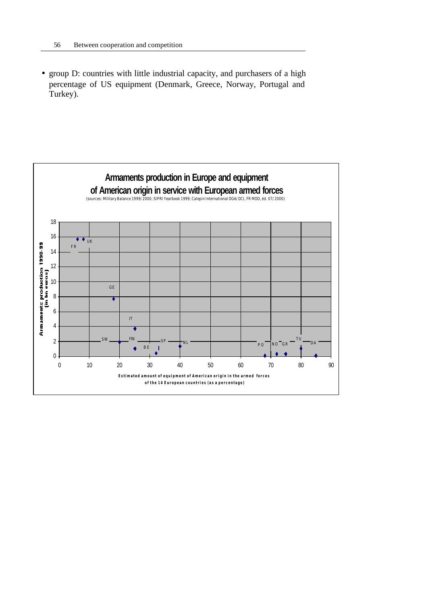• group D: countries with little industrial capacity, and purchasers of a high percentage of US equipment (Denmark, Greece, Norway, Portugal and Turkey).

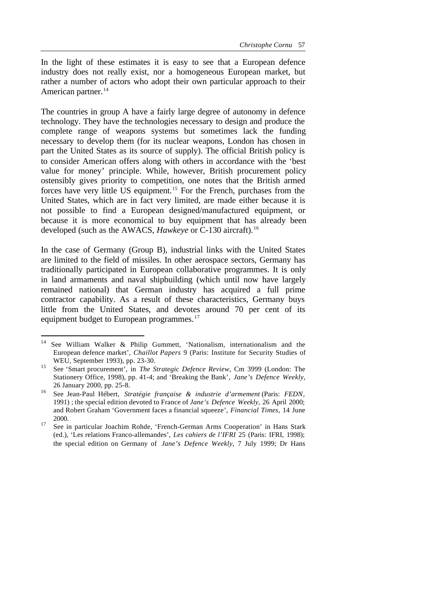In the light of these estimates it is easy to see that a European defence industry does not really exist, nor a homogeneous European market, but rather a number of actors who adopt their own particular approach to their American partner.<sup>14</sup>

The countries in group A have a fairly large degree of autonomy in defence technology. They have the technologies necessary to design and produce the complete range of weapons systems but sometimes lack the funding necessary to develop them (for its nuclear weapons, London has chosen in part the United States as its source of supply). The official British policy is to consider American offers along with others in accordance with the 'best value for money' principle. While, however, British procurement policy ostensibly gives priority to competition, one notes that the British armed forces have very little US equipment.<sup>15</sup> For the French, purchases from the United States, which are in fact very limited, are made either because it is not possible to find a European designed/manufactured equipment, or because it is more economical to buy equipment that has already been developed (such as the AWACS, *Hawkeye* or C-130 aircraft).<sup>16</sup>

In the case of Germany (Group B), industrial links with the United States are limited to the field of missiles. In other aerospace sectors, Germany has traditionally participated in European collaborative programmes. It is only in land armaments and naval shipbuilding (which until now have largely remained national) that German industry has acquired a full prime contractor capability. As a result of these characteristics, Germany buys little from the United States, and devotes around 70 per cent of its equipment budget to European programmes.<sup>17</sup>

<sup>14</sup> See William Walker & Philip Gummett, 'Nationalism, internationalism and the European defence market', *Chaillot Papers* 9 (Paris: Institute for Security Studies of WEU, September 1993), pp. 23-30.

<sup>15</sup> See 'Smart procurement', in *The Strategic Defence Review*, Cm 3999 (London: The Stationery Office, 1998), pp. 41-4; and 'Breaking the Bank', *Jane's Defence Weekly*, 26 January 2000, pp. 25-8.

<sup>16</sup> See Jean-Paul Hébert, *Stratégie française & industrie d'armement* (Paris: *FEDN*, 1991) ; the special edition devoted to France of *Jane's Defence Weekly*, 26 April 2000; and Robert Graham 'Government faces a financial squeeze', *Financial Times*, 14 June 2000.

<sup>&</sup>lt;sup>17</sup> See in particular Joachim Rohde, 'French-German Arms Cooperation' in Hans Stark (ed.), 'Les relations Franco-allemandes', *Les cahiers de l'IFRI* 25 (Paris: IFRI, 1998); the special edition on Germany of *Jane's Defence Weekly*, 7 July 1999; Dr Hans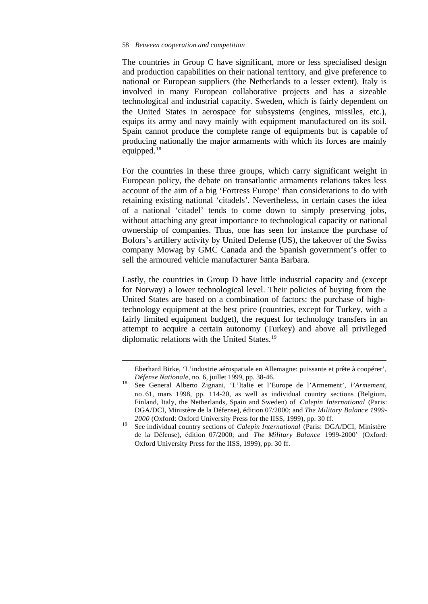l

The countries in Group C have significant, more or less specialised design and production capabilities on their national territory, and give preference to national or European suppliers (the Netherlands to a lesser extent). Italy is involved in many European collaborative projects and has a sizeable technological and industrial capacity. Sweden, which is fairly dependent on the United States in aerospace for subsystems (engines, missiles, etc.), equips its army and navy mainly with equipment manufactured on its soil. Spain cannot produce the complete range of equipments but is capable of producing nationally the major armaments with which its forces are mainly equipped. $18$ 

For the countries in these three groups, which carry significant weight in European policy, the debate on transatlantic armaments relations takes less account of the aim of a big 'Fortress Europe' than considerations to do with retaining existing national 'citadels'. Nevertheless, in certain cases the idea of a national 'citadel' tends to come down to simply preserving jobs, without attaching any great importance to technological capacity or national ownership of companies. Thus, one has seen for instance the purchase of Bofors's artillery activity by United Defense (US), the takeover of the Swiss company Mowag by GMC Canada and the Spanish government's offer to sell the armoured vehicle manufacturer Santa Barbara.

Lastly, the countries in Group D have little industrial capacity and (except for Norway) a lower technological level. Their policies of buying from the United States are based on a combination of factors: the purchase of hightechnology equipment at the best price (countries, except for Turkey, with a fairly limited equipment budget), the request for technology transfers in an attempt to acquire a certain autonomy (Turkey) and above all privileged diplomatic relations with the United States.<sup>19</sup>

Eberhard Birke, 'L'industrie aérospatiale en Allemagne: puissante et prête à coopérer', *Défense Nationale*, no. 6, juillet 1999, pp. 38-46.

<sup>18</sup> See General Alberto Zignani, 'L'Italie et l'Europe de l'Armement', *l'Armement*, no. 61, mars 1998, pp. 114-20, as well as individual country sections (Belgium, Finland, Italy, the Netherlands, Spain and Sweden) of *Calepin International* (Paris: DGA/DCI, Ministère de la Défense), édition 07/2000; and *The Military Balance 1999- 2000* (Oxford: Oxford University Press for the IISS, 1999), pp. 30 ff.

<sup>19</sup> See individual country sections of *Calepin International* (Paris: DGA/DCI, Ministère de la Défense), édition 07/2000; and *The Military Balance* 1999-2000' (Oxford: Oxford University Press for the IISS, 1999), pp. 30 ff.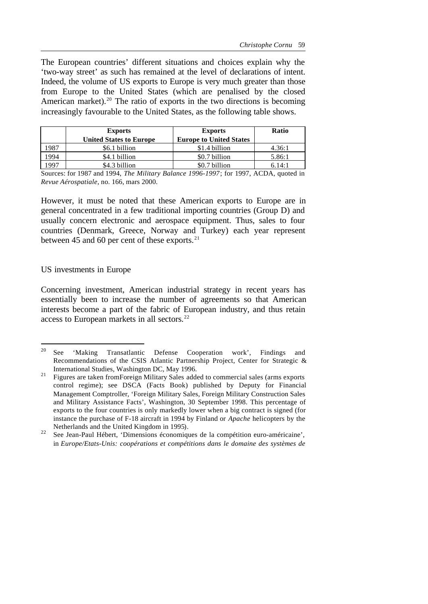The European countries' different situations and choices explain why the 'two-way street' as such has remained at the level of declarations of intent. Indeed, the volume of US exports to Europe is very much greater than those from Europe to the United States (which are penalised by the closed American market).<sup>20</sup> The ratio of exports in the two directions is becoming increasingly favourable to the United States, as the following table shows.

|      | <b>Exports</b>                 | <b>Exports</b>                 | Ratio  |
|------|--------------------------------|--------------------------------|--------|
|      | <b>United States to Europe</b> | <b>Europe to United States</b> |        |
| 1987 | \$6.1 billion                  | \$1.4 billion                  | 4.36:1 |
| 1994 | \$4.1 billion                  | \$0.7 billion                  | 5.86:1 |
| 1997 | \$4.3 billion                  | \$0.7 billion                  | 6.14:1 |

Sources: for 1987 and 1994, *The Military Balance 1996-1997*; for 1997, ACDA, quoted in *Revue Aérospatiale*, no. 166, mars 2000.

However, it must be noted that these American exports to Europe are in general concentrated in a few traditional importing countries (Group D) and usually concern electronic and aerospace equipment. Thus, sales to four countries (Denmark, Greece, Norway and Turkey) each year represent between 45 and 60 per cent of these exports. $21$ 

#### US investments in Europe

Concerning investment, American industrial strategy in recent years has essentially been to increase the number of agreements so that American interests become a part of the fabric of European industry, and thus retain access to European markets in all sectors.<sup>22</sup>

 $20\,$ <sup>20</sup> See 'Making Transatlantic Defense Cooperation work', Findings and Recommendations of the CSIS Atlantic Partnership Project, Center for Strategic & International Studies, Washington DC, May 1996.

<sup>&</sup>lt;sup>21</sup> Figures are taken from Foreign Military Sales added to commercial sales (arms exports control regime); see DSCA (Facts Book) published by Deputy for Financial Management Comptroller, 'Foreign Military Sales, Foreign Military Construction Sales and Military Assistance Facts', Washington, 30 September 1998. This percentage of exports to the four countries is only markedly lower when a big contract is signed (for instance the purchase of F-18 aircraft in 1994 by Finland or *Apache* helicopters by the Netherlands and the United Kingdom in 1995).

<sup>&</sup>lt;sup>22</sup> See Jean-Paul Hébert, 'Dimensions économiques de la compétition euro-américaine', in *Europe/Etats-Unis: coopérations et compétitions dans le domaine des systèmes de*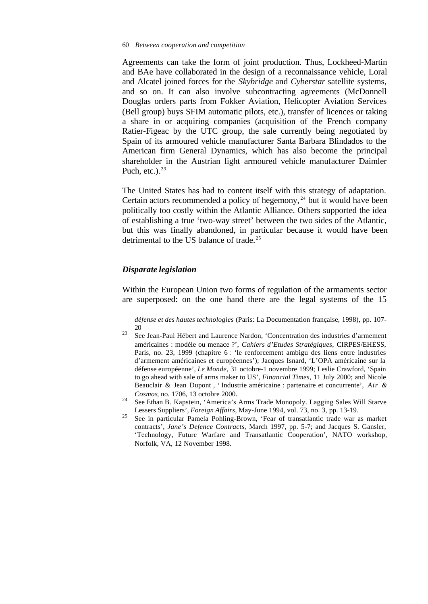Agreements can take the form of joint production. Thus, Lockheed-Martin and BAe have collaborated in the design of a reconnaissance vehicle, Loral and Alcatel joined forces for the *Skybridge* and *Cyberstar* satellite systems, and so on. It can also involve subcontracting agreements (McDonnell Douglas orders parts from Fokker Aviation, Helicopter Aviation Services (Bell group) buys SFIM automatic pilots, etc.), transfer of licences or taking a share in or acquiring companies (acquisition of the French company Ratier-Figeac by the UTC group, the sale currently being negotiated by Spain of its armoured vehicle manufacturer Santa Barbara Blindados to the American firm General Dynamics, which has also become the principal shareholder in the Austrian light armoured vehicle manufacturer Daimler Puch, etc.). $23$ 

The United States has had to content itself with this strategy of adaptation. Certain actors recommended a policy of hegemony, <sup>24</sup> but it would have been politically too costly within the Atlantic Alliance. Others supported the idea of establishing a true 'two-way street' between the two sides of the Atlantic, but this was finally abandoned, in particular because it would have been detrimental to the US balance of trade.<sup>25</sup>

### *Disparate legislation*

l

Within the European Union two forms of regulation of the armaments sector are superposed: on the one hand there are the legal systems of the 15

*défense et des hautes technologies* (Paris: La Documentation française, 1998), pp. 107- 20

<sup>23</sup> See Jean-Paul Hébert and Laurence Nardon, 'Concentration des industries d'armement américaines : modèle ou menace ?', *Cahiers d'Etudes Stratégiques*, CIRPES/EHESS, Paris, no. 23, 1999 (chapitre 6 : 'le renforcement ambigu des liens entre industries d'armement américaines et européennes'); Jacques Isnard, 'L'OPA américaine sur la défense européenne', *Le Monde*, 31 octobre-1 novembre 1999; Leslie Crawford, 'Spain to go ahead with sale of arms maker to US', *Financial Times*, 11 July 2000; and Nicole Beauclair & Jean Dupont , ' Industrie américaine : partenaire et concurrente', *Air & Cosmos*, no. 1706, 13 octobre 2000.

<sup>24</sup> See Ethan B. Kapstein, 'America's Arms Trade Monopoly. Lagging Sales Will Starve Lessers Suppliers', *Foreign Affairs,* May-June 1994, vol. 73, no. 3, pp. 13-19.

<sup>25</sup> See in particular Pamela Pohling-Brown, 'Fear of transatlantic trade war as market contracts', *Jane's Defence Contracts*, March 1997, pp. 5-7; and Jacques S. Gansler, 'Technology, Future Warfare and Transatlantic Cooperation', NATO workshop, Norfolk, VA, 12 November 1998.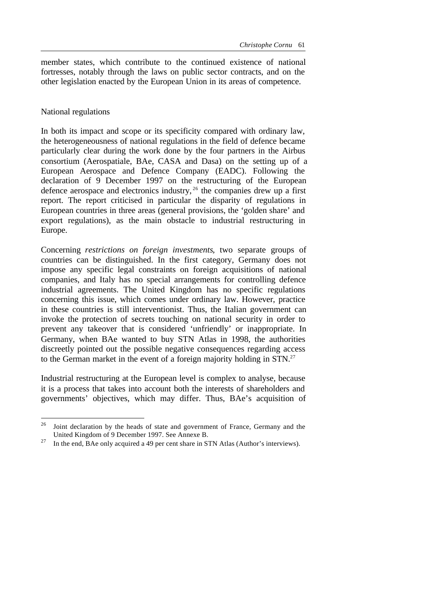member states, which contribute to the continued existence of national fortresses, notably through the laws on public sector contracts, and on the other legislation enacted by the European Union in its areas of competence.

### National regulations

l

In both its impact and scope or its specificity compared with ordinary law, the heterogeneousness of national regulations in the field of defence became particularly clear during the work done by the four partners in the Airbus consortium (Aerospatiale, BAe, CASA and Dasa) on the setting up of a European Aerospace and Defence Company (EADC). Following the declaration of 9 December 1997 on the restructuring of the European defence aerospace and electronics industry,  $26$  the companies drew up a first report. The report criticised in particular the disparity of regulations in European countries in three areas (general provisions, the 'golden share' and export regulations), as the main obstacle to industrial restructuring in Europe.

Concerning *restrictions on foreign investments*, two separate groups of countries can be distinguished. In the first category, Germany does not impose any specific legal constraints on foreign acquisitions of national companies, and Italy has no special arrangements for controlling defence industrial agreements. The United Kingdom has no specific regulations concerning this issue, which comes under ordinary law. However, practice in these countries is still interventionist. Thus, the Italian government can invoke the protection of secrets touching on national security in order to prevent any takeover that is considered 'unfriendly' or inappropriate. In Germany, when BAe wanted to buy STN Atlas in 1998, the authorities discreetly pointed out the possible negative consequences regarding access to the German market in the event of a foreign majority holding in STN.<sup>27</sup>

Industrial restructuring at the European level is complex to analyse, because it is a process that takes into account both the interests of shareholders and governments' objectives, which may differ. Thus, BAe's acquisition of

<sup>&</sup>lt;sup>26</sup> Joint declaration by the heads of state and government of France, Germany and the United Kingdom of 9 December 1997. See Annexe B.

<sup>&</sup>lt;sup>27</sup> In the end, BAe only acquired a 49 per cent share in STN Atlas (Author's interviews).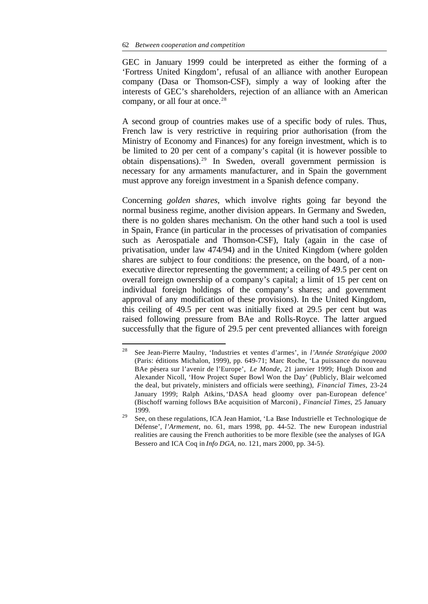GEC in January 1999 could be interpreted as either the forming of a 'Fortress United Kingdom', refusal of an alliance with another European company (Dasa or Thomson-CSF), simply a way of looking after the interests of GEC's shareholders, rejection of an alliance with an American company, or all four at once.<sup>28</sup>

A second group of countries makes use of a specific body of rules. Thus, French law is very restrictive in requiring prior authorisation (from the Ministry of Economy and Finances) for any foreign investment, which is to be limited to 20 per cent of a company's capital (it is however possible to obtain dispensations).<sup>29</sup> In Sweden, overall government permission is necessary for any armaments manufacturer, and in Spain the government must approve any foreign investment in a Spanish defence company.

Concerning *golden shares*, which involve rights going far beyond the normal business regime, another division appears. In Germany and Sweden, there is no golden shares mechanism. On the other hand such a tool is used in Spain, France (in particular in the processes of privatisation of companies such as Aerospatiale and Thomson-CSF), Italy (again in the case of privatisation, under law 474/94) and in the United Kingdom (where golden shares are subject to four conditions: the presence, on the board, of a nonexecutive director representing the government; a ceiling of 49.5 per cent on overall foreign ownership of a company's capital; a limit of 15 per cent on individual foreign holdings of the company's shares; and government approval of any modification of these provisions). In the United Kingdom, this ceiling of 49.5 per cent was initially fixed at 29.5 per cent but was raised following pressure from BAe and Rolls-Royce. The latter argued successfully that the figure of 29.5 per cent prevented alliances with foreign

 $2\sqrt{8}$ <sup>28</sup> See Jean-Pierre Maulny, 'Industries et ventes d'armes', in *l'Année Stratégique 2000* (Paris: éditions Michalon, 1999), pp. 649-71; Marc Roche, 'La puissance du nouveau BAe pèsera sur l'avenir de l'Europe', *Le Monde*, 21 janvier 1999; Hugh Dixon and Alexander Nicoll, 'How Project Super Bowl Won the Day' (Publicly, Blair welcomed the deal, but privately, ministers and officials were seething), *Financial Times*, 23-24 January 1999; Ralph Atkins, 'DASA head gloomy over pan-European defence' (Bischoff warning follows BAe acquisition of Marconi) , *Financial Times*, 25 January 1999.

<sup>29</sup> See, on these regulations, ICA Jean Hamiot, 'La Base Industrielle et Technologique de Défense', *l'Armement*, no. 61, mars 1998, pp. 44-52. The new European industrial realities are causing the French authorities to be more flexible (see the analyses of IGA Bessero and ICA Coq in *Info DGA*, no. 121, mars 2000, pp. 34-5).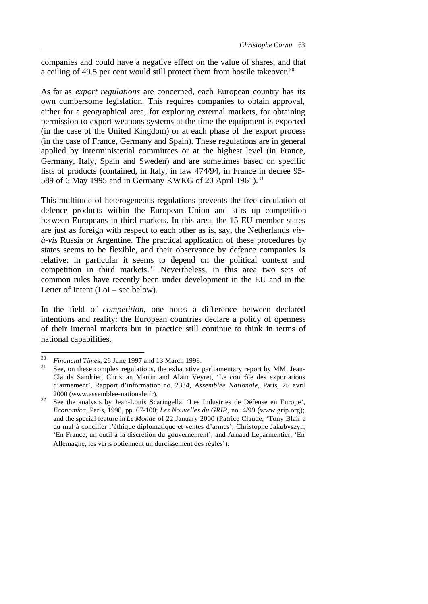companies and could have a negative effect on the value of shares, and that a ceiling of 49.5 per cent would still protect them from hostile takeover.<sup>30</sup>

As far as *export regulations* are concerned, each European country has its own cumbersome legislation. This requires companies to obtain approval, either for a geographical area, for exploring external markets, for obtaining permission to export weapons systems at the time the equipment is exported (in the case of the United Kingdom) or at each phase of the export process (in the case of France, Germany and Spain). These regulations are in general applied by interministerial committees or at the highest level (in France, Germany, Italy, Spain and Sweden) and are sometimes based on specific lists of products (contained, in Italy, in law 474/94, in France in decree 95- 589 of 6 May 1995 and in Germany KWKG of 20 April 1961).<sup>31</sup>

This multitude of heterogeneous regulations prevents the free circulation of defence products within the European Union and stirs up competition between Europeans in third markets. In this area, the 15 EU member states are just as foreign with respect to each other as is, say, the Netherlands *visà-vis* Russia or Argentine. The practical application of these procedures by states seems to be flexible, and their observance by defence companies is relative: in particular it seems to depend on the political context and competition in third markets.<sup>32</sup> Nevertheless, in this area two sets of common rules have recently been under development in the EU and in the Letter of Intent (LoI – see below).

In the field of *competition*, one notes a difference between declared intentions and reality: the European countries declare a policy of openness of their internal markets but in practice still continue to think in terms of national capabilities.

<sup>30</sup> <sup>30</sup> *Financial Times*, 26 June 1997 and 13 March 1998.

See, on these complex regulations, the exhaustive parliamentary report by MM. Jean-Claude Sandrier, Christian Martin and Alain Veyret, 'Le contrôle des exportations d'armement', Rapport d'information no. 2334, *Assemblée Nationale*, Paris, 25 avril 2000 (www.assemblee-nationale.fr).

<sup>&</sup>lt;sup>32</sup> See the analysis by Jean-Louis Scaringella, 'Les Industries de Défense en Europe', *Economica*, Paris, 1998, pp. 67-100; *Les Nouvelles du GRIP*, no. 4/99 (www.grip.org); and the special feature in *Le Monde* of 22 January 2000 (Patrice Claude, 'Tony Blair a du mal à concilier l'éthique diplomatique et ventes d'armes'; Christophe Jakubyszyn, 'En France, un outil à la discrétion du gouvernement'; and Arnaud Leparmentier, 'En Allemagne, les verts obtiennent un durcissement des règles').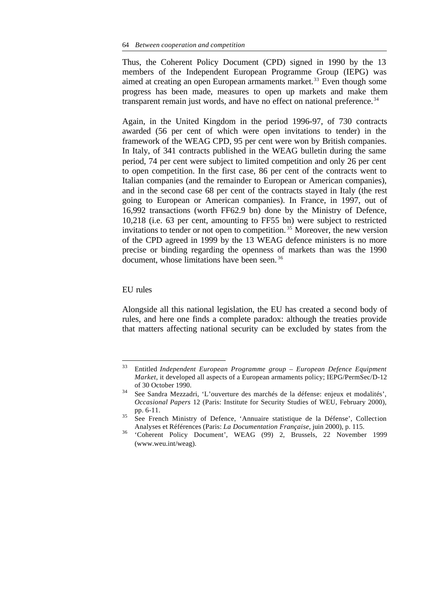Thus, the Coherent Policy Document (CPD) signed in 1990 by the 13 members of the Independent European Programme Group (IEPG) was aimed at creating an open European armaments market.<sup>33</sup> Even though some progress has been made, measures to open up markets and make them transparent remain just words, and have no effect on national preference.<sup>34</sup>

Again, in the United Kingdom in the period 1996-97, of 730 contracts awarded (56 per cent of which were open invitations to tender) in the framework of the WEAG CPD, 95 per cent were won by British companies. In Italy, of 341 contracts published in the WEAG bulletin during the same period, 74 per cent were subject to limited competition and only 26 per cent to open competition. In the first case, 86 per cent of the contracts went to Italian companies (and the remainder to European or American companies), and in the second case 68 per cent of the contracts stayed in Italy (the rest going to European or American companies). In France, in 1997, out of 16,992 transactions (worth FF62.9 bn) done by the Ministry of Defence, 10,218 (i.e. 63 per cent, amounting to FF55 bn) were subject to restricted invitations to tender or not open to competition. <sup>35</sup> Moreover, the new version of the CPD agreed in 1999 by the 13 WEAG defence ministers is no more precise or binding regarding the openness of markets than was the 1990 document, whose limitations have been seen. <sup>36</sup>

#### EU rules

l

Alongside all this national legislation, the EU has created a second body of rules, and here one finds a complete paradox: although the treaties provide that matters affecting national security can be excluded by states from the

<sup>33</sup> Entitled *Independent European Programme group – European Defence Equipment Market*, it developed all aspects of a European armaments policy; IEPG/PermSec/D-12 of 30 October 1990.

<sup>34</sup> See Sandra Mezzadri, 'L'ouverture des marchés de la défense: enjeux et modalités', *Occasional Papers* 12 (Paris: Institute for Security Studies of WEU, February 2000), pp. 6-11.

<sup>35</sup> See French Ministry of Defence, 'Annuaire statistique de la Défense', Collection Analyses et Références (Paris: *La Documentation Française*, juin 2000), p. 115.

<sup>36</sup> 'Coherent Policy Document', WEAG (99) 2, Brussels, 22 November 1999 (www.weu.int/weag).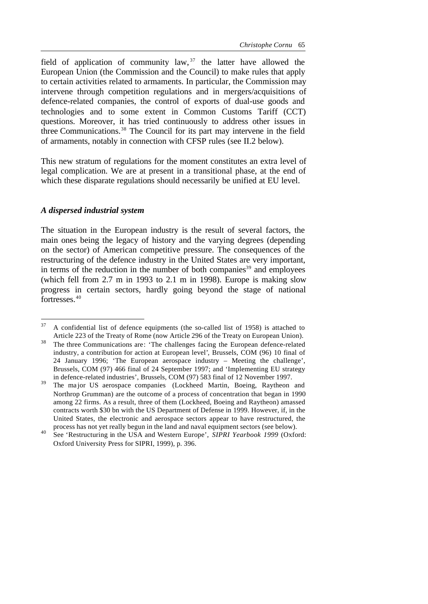field of application of community law,  $37$  the latter have allowed the European Union (the Commission and the Council) to make rules that apply to certain activities related to armaments. In particular, the Commission may intervene through competition regulations and in mergers/acquisitions of defence-related companies, the control of exports of dual-use goods and technologies and to some extent in Common Customs Tariff (CCT) questions. Moreover, it has tried continuously to address other issues in three Communications.<sup>38</sup> The Council for its part may intervene in the field of armaments, notably in connection with CFSP rules (see II.2 below).

This new stratum of regulations for the moment constitutes an extra level of legal complication. We are at present in a transitional phase, at the end of which these disparate regulations should necessarily be unified at EU level.

#### *A dispersed industrial system*

The situation in the European industry is the result of several factors, the main ones being the legacy of history and the varying degrees (depending on the sector) of American competitive pressure. The consequences of the restructuring of the defence industry in the United States are very important, in terms of the reduction in the number of both companies<sup>39</sup> and employees (which fell from 2.7 m in 1993 to 2.1 m in 1998). Europe is making slow progress in certain sectors, hardly going beyond the stage of national fortresses.<sup>40</sup>

<sup>37</sup> <sup>37</sup> A confidential list of defence equipments (the so-called list of 1958) is attached to Article 223 of the Treaty of Rome (now Article 296 of the Treaty on European Union).

<sup>38</sup> The three Communications are: 'The challenges facing the European defence-related industry, a contribution for action at European level', Brussels, COM (96) 10 final of 24 January 1996; 'The European aerospace industry – Meeting the challenge', Brussels, COM (97) 466 final of 24 September 1997; and 'Implementing EU strategy in defence-related industries', Brussels, COM (97) 583 final of 12 November 1997.

<sup>&</sup>lt;sup>39</sup> The major US aerospace companies (Lockheed Martin, Boeing, Raytheon and Northrop Grumman) are the outcome of a process of concentration that began in 1990 among 22 firms. As a result, three of them (Lockheed, Boeing and Raytheon) amassed contracts worth \$30 bn with the US Department of Defense in 1999. However, if, in the United States, the electronic and aerospace sectors appear to have restructured, the process has not yet really begun in the land and naval equipment sectors (see below).

<sup>40</sup> See 'Restructuring in the USA and Western Europe', *SIPRI Yearbook 1999* (Oxford: Oxford University Press for SIPRI, 1999), p. 396.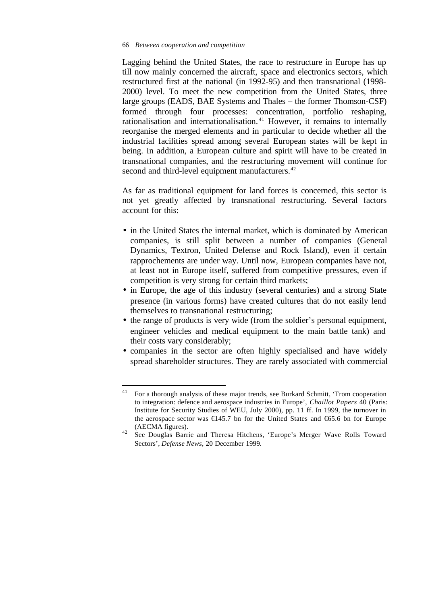Lagging behind the United States, the race to restructure in Europe has up till now mainly concerned the aircraft, space and electronics sectors, which restructured first at the national (in 1992-95) and then transnational (1998- 2000) level. To meet the new competition from the United States, three large groups (EADS, BAE Systems and Thales – the former Thomson-CSF) formed through four processes: concentration, portfolio reshaping, rationalisation and internationalisation. <sup>41</sup> However, it remains to internally reorganise the merged elements and in particular to decide whether all the industrial facilities spread among several European states will be kept in being. In addition, a European culture and spirit will have to be created in transnational companies, and the restructuring movement will continue for second and third-level equipment manufacturers.<sup>42</sup>

As far as traditional equipment for land forces is concerned, this sector is not yet greatly affected by transnational restructuring. Several factors account for this:

- in the United States the internal market, which is dominated by American companies, is still split between a number of companies (General Dynamics, Textron, United Defense and Rock Island), even if certain rapprochements are under way. Until now, European companies have not, at least not in Europe itself, suffered from competitive pressures, even if competition is very strong for certain third markets;
- in Europe, the age of this industry (several centuries) and a strong State presence (in various forms) have created cultures that do not easily lend themselves to transnational restructuring;
- the range of products is very wide (from the soldier's personal equipment, engineer vehicles and medical equipment to the main battle tank) and their costs vary considerably;
- companies in the sector are often highly specialised and have widely spread shareholder structures. They are rarely associated with commercial

 $41$ <sup>41</sup> For a thorough analysis of these major trends, see Burkard Schmitt, 'From cooperation to integration: defence and aerospace industries in Europe', *Chaillot Papers* 40 (Paris: Institute for Security Studies of WEU, July 2000), pp. 11 ff. In 1999, the turnover in the aerospace sector was €145.7 bn for the United States and €65.6 bn for Europe (AECMA figures).

<sup>42</sup> See Douglas Barrie and Theresa Hitchens, 'Europe's Merger Wave Rolls Toward Sectors', *Defense News*, 20 December 1999.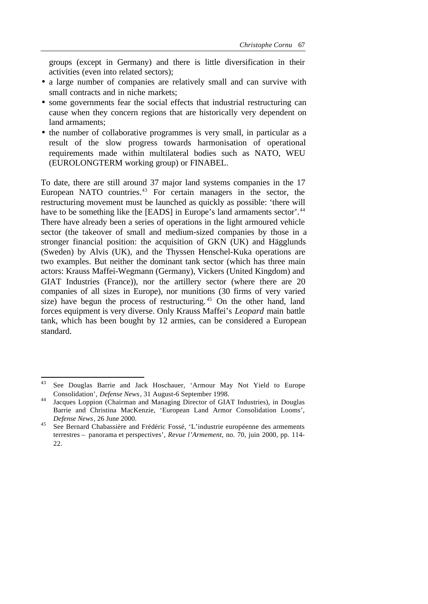groups (except in Germany) and there is little diversification in their activities (even into related sectors);

- a large number of companies are relatively small and can survive with small contracts and in niche markets;
- some governments fear the social effects that industrial restructuring can cause when they concern regions that are historically very dependent on land armaments;
- the number of collaborative programmes is very small, in particular as a result of the slow progress towards harmonisation of operational requirements made within multilateral bodies such as NATO, WEU (EUROLONGTERM working group) or FINABEL.

To date, there are still around 37 major land systems companies in the 17 European NATO countries. $43$  For certain managers in the sector, the restructuring movement must be launched as quickly as possible: 'there will have to be something like the [EADS] in Europe's land armaments sector'.<sup>44</sup> There have already been a series of operations in the light armoured vehicle sector (the takeover of small and medium-sized companies by those in a stronger financial position: the acquisition of GKN (UK) and Hägglunds (Sweden) by Alvis (UK), and the Thyssen Henschel-Kuka operations are two examples. But neither the dominant tank sector (which has three main actors: Krauss Maffei-Wegmann (Germany), Vickers (United Kingdom) and GIAT Industries (France)), nor the artillery sector (where there are 20 companies of all sizes in Europe), nor munitions (30 firms of very varied size) have begun the process of restructuring.<sup>45</sup> On the other hand, land forces equipment is very diverse. Only Krauss Maffei's *Leopard* main battle tank, which has been bought by 12 armies, can be considered a European standard.

 $43$ See Douglas Barrie and Jack Hoschauer, 'Armour May Not Yield to Europe Consolidation', *Defense News*, 31 August-6 September 1998.

<sup>44</sup> Jacques Loppion (Chairman and Managing Director of GIAT Industries), in Douglas Barrie and Christina MacKenzie, 'European Land Armor Consolidation Looms', *Defense News*, 26 June 2000.

<sup>45</sup> See Bernard Chabassière and Frédéric Fossé, 'L'industrie européenne des armements terrestres – panorama et perspectives', *Revue l'Armement*, no. 70, juin 2000, pp. 114- 22.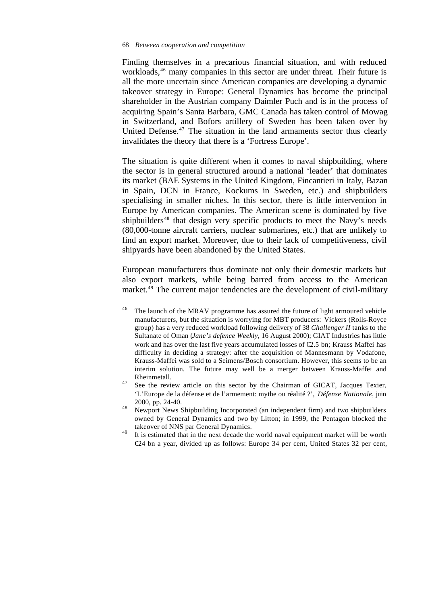#### 68 *Between cooperation and competition*

Finding themselves in a precarious financial situation, and with reduced workloads,<sup>46</sup> many companies in this sector are under threat. Their future is all the more uncertain since American companies are developing a dynamic takeover strategy in Europe: General Dynamics has become the principal shareholder in the Austrian company Daimler Puch and is in the process of acquiring Spain's Santa Barbara, GMC Canada has taken control of Mowag in Switzerland, and Bofors artillery of Sweden has been taken over by United Defense. $47$  The situation in the land armaments sector thus clearly invalidates the theory that there is a 'Fortress Europe'.

The situation is quite different when it comes to naval shipbuilding, where the sector is in general structured around a national 'leader' that dominates its market (BAE Systems in the United Kingdom, Fincantieri in Italy, Bazan in Spain, DCN in France, Kockums in Sweden, etc.) and shipbuilders specialising in smaller niches. In this sector, there is little intervention in Europe by American companies. The American scene is dominated by five shipbuilders<sup>48</sup> that design very specific products to meet the Navy's needs (80,000-tonne aircraft carriers, nuclear submarines, etc.) that are unlikely to find an export market. Moreover, due to their lack of competitiveness, civil shipyards have been abandoned by the United States.

European manufacturers thus dominate not only their domestic markets but also export markets, while being barred from access to the American market.<sup>49</sup> The current major tendencies are the development of civil-military

 $46\,$ The launch of the MRAV programme has assured the future of light armoured vehicle manufacturers, but the situation is worrying for MBT producers: Vickers (Rolls-Royce group) has a very reduced workload following delivery of 38 *Challenger II* tanks to the Sultanate of Oman (*Jane's defence Weekly*, 16 August 2000); GIAT Industries has little work and has over the last five years accumulated losses of  $\epsilon$ 2.5 bn; Krauss Maffei has difficulty in deciding a strategy: after the acquisition of Mannesmann by Vodafone, Krauss-Maffei was sold to a Seimens/Bosch consortium. However, this seems to be an interim solution. The future may well be a merger between Krauss-Maffei and Rheinmetall.

<sup>&</sup>lt;sup>47</sup> See the review article on this sector by the Chairman of GICAT, Jacques Texier, 'L'Europe de la défense et de l'armement: mythe ou réalité ?', *Défense Nationale*, juin 2000, pp. 24-40.

<sup>48</sup> Newport News Shipbuilding Incorporated (an independent firm) and two shipbuilders owned by General Dynamics and two by Litton; in 1999, the Pentagon blocked the takeover of NNS par General Dynamics.

<sup>&</sup>lt;sup>49</sup> It is estimated that in the next decade the world naval equipment market will be worth €24 bn a year, divided up as follows: Europe 34 per cent, United States 32 per cent,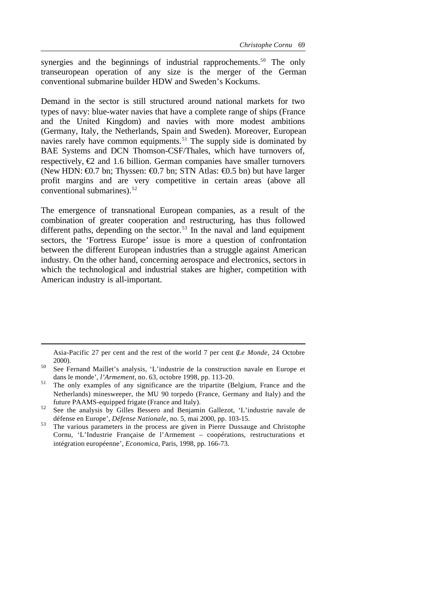synergies and the beginnings of industrial rapprochements.<sup>50</sup> The only transeuropean operation of any size is the merger of the German conventional submarine builder HDW and Sweden's Kockums.

Demand in the sector is still structured around national markets for two types of navy: blue-water navies that have a complete range of ships (France and the United Kingdom) and navies with more modest ambitions (Germany, Italy, the Netherlands, Spain and Sweden). Moreover, European navies rarely have common equipments.<sup>51</sup> The supply side is dominated by BAE Systems and DCN Thomson-CSF/Thales, which have turnovers of, respectively,  $\epsilon$  and 1.6 billion. German companies have smaller turnovers (New HDN:  $\Theta$ ). The 1 states Theory is stated that  $\Theta$ . The STN Atlas:  $\Theta$ ). States have larger profit margins and are very competitive in certain areas (above all conventional submarines). $52$ 

The emergence of transnational European companies, as a result of the combination of greater cooperation and restructuring, has thus followed different paths, depending on the sector.<sup>53</sup> In the naval and land equipment sectors, the 'Fortress Europe' issue is more a question of confrontation between the different European industries than a struggle against American industry. On the other hand, concerning aerospace and electronics, sectors in which the technological and industrial stakes are higher, competition with American industry is all-important.

Asia-Pacific 27 per cent and the rest of the world 7 per cent (*Le Monde*, 24 Octobre 2000).

<sup>50</sup> See Fernand Maillet's analysis, 'L'industrie de la construction navale en Europe et dans le monde', *l'Armement*, no. 63, octobre 1998, pp. 113-20.

<sup>&</sup>lt;sup>51</sup> The only examples of any significance are the tripartite (Belgium, France and the Netherlands) minesweeper, the MU 90 torpedo (France, Germany and Italy) and the future PAAMS-equipped frigate (France and Italy).

<sup>52</sup> See the analysis by Gilles Bessero and Benjamin Gallezot, 'L'industrie navale de défense en Europe', *Défense Nationale*, no. 5, mai 2000, pp. 103-15.

<sup>&</sup>lt;sup>53</sup> The various parameters in the process are given in Pierre Dussauge and Christophe Cornu, 'L'Industrie Française de l'Armement – coopérations, restructurations et intégration européenne', *Economica*, Paris, 1998, pp. 166-73.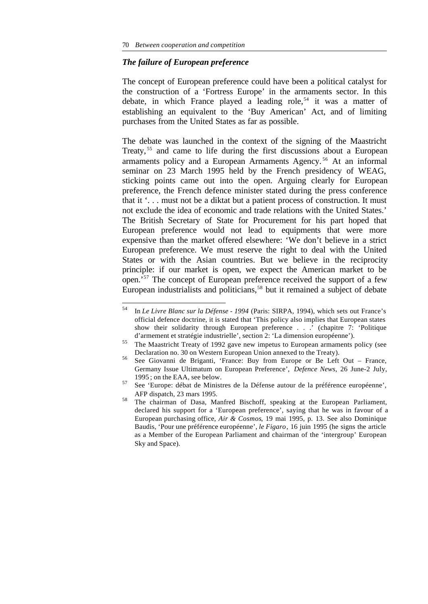## *The failure of European preference*

The concept of European preference could have been a political catalyst for the construction of a 'Fortress Europe' in the armaments sector. In this debate, in which France played a leading role,<sup>54</sup> it was a matter of establishing an equivalent to the 'Buy American' Act, and of limiting purchases from the United States as far as possible.

The debate was launched in the context of the signing of the Maastricht Treaty,<sup>55</sup> and came to life during the first discussions about a European armaments policy and a European Armaments Agency. <sup>56</sup> At an informal seminar on 23 March 1995 held by the French presidency of WEAG, sticking points came out into the open. Arguing clearly for European preference, the French defence minister stated during the press conference that it '. . . must not be a diktat but a patient process of construction. It must not exclude the idea of economic and trade relations with the United States.' The British Secretary of State for Procurement for his part hoped that European preference would not lead to equipments that were more expensive than the market offered elsewhere: 'We don't believe in a strict European preference. We must reserve the right to deal with the United States or with the Asian countries. But we believe in the reciprocity principle: if our market is open, we expect the American market to be open.'<sup>57</sup> The concept of European preference received the support of a few European industrialists and politicians,<sup>58</sup> but it remained a subject of debate

<sup>54</sup> <sup>54</sup> In *Le Livre Blanc sur la Défense - 1994* (Paris: SIRPA, 1994), which sets out France's official defence doctrine, it is stated that 'This policy also implies that European states show their solidarity through European preference . . .  $\cdot$  (chapitre 7: 'Politique d'armement et stratégie industrielle', section 2: 'La dimension européenne').

<sup>&</sup>lt;sup>55</sup> The Maastricht Treaty of 1992 gave new impetus to European armaments policy (see Declaration no. 30 on Western European Union annexed to the Treaty).

<sup>56</sup> See Giovanni de Briganti, 'France: Buy from Europe or Be Left Out – France, Germany Issue Ultimatum on European Preference', *Defence News*, 26 June-2 July, 1995 ; on the EAA, see below.

<sup>57</sup> See 'Europe: débat de Ministres de la Défense autour de la préférence européenne', AFP dispatch, 23 mars 1995.

<sup>&</sup>lt;sup>58</sup> The chairman of Dasa, Manfred Bischoff, speaking at the European Parliament, declared his support for a 'European preference', saying that he was in favour of a European purchasing office, *Air & Cosmos*, 19 mai 1995, p. 13. See also Dominique Baudis, 'Pour une préférence européenne', *le Figaro*, 16 juin 1995 (he signs the article as a Member of the European Parliament and chairman of the 'intergroup' European Sky and Space).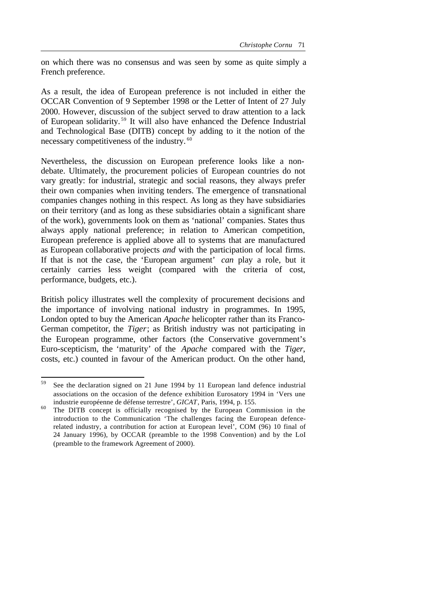on which there was no consensus and was seen by some as quite simply a French preference.

As a result, the idea of European preference is not included in either the OCCAR Convention of 9 September 1998 or the Letter of Intent of 27 July 2000. However, discussion of the subject served to draw attention to a lack of European solidarity. <sup>59</sup> It will also have enhanced the Defence Industrial and Technological Base (DITB) concept by adding to it the notion of the necessary competitiveness of the industry. <sup>60</sup>

Nevertheless, the discussion on European preference looks like a nondebate. Ultimately, the procurement policies of European countries do not vary greatly: for industrial, strategic and social reasons, they always prefer their own companies when inviting tenders. The emergence of transnational companies changes nothing in this respect. As long as they have subsidiaries on their territory (and as long as these subsidiaries obtain a significant share of the work), governments look on them as 'national' companies. States thus always apply national preference; in relation to American competition, European preference is applied above all to systems that are manufactured as European collaborative projects *and* with the participation of local firms. If that is not the case, the 'European argument' *can* play a role, but it certainly carries less weight (compared with the criteria of cost, performance, budgets, etc.).

British policy illustrates well the complexity of procurement decisions and the importance of involving national industry in programmes. In 1995, London opted to buy the American *Apache* helicopter rather than its Franco-German competitor, the *Tiger*; as British industry was not participating in the European programme, other factors (the Conservative government's Euro-scepticism, the 'maturity' of the *Apache* compared with the *Tiger*, costs, etc.) counted in favour of the American product. On the other hand,

<sup>59</sup> See the declaration signed on 21 June 1994 by 11 European land defence industrial associations on the occasion of the defence exhibition Eurosatory 1994 in 'Vers une industrie européenne de défense terrestre', *GICAT*, Paris, 1994, p. 155.

<sup>&</sup>lt;sup>60</sup> The DITB concept is officially recognised by the European Commission in the introduction to the Communication 'The challenges facing the European defencerelated industry, a contribution for action at European level', COM (96) 10 final of 24 January 1996), by OCCAR (preamble to the 1998 Convention) and by the LoI (preamble to the framework Agreement of 2000).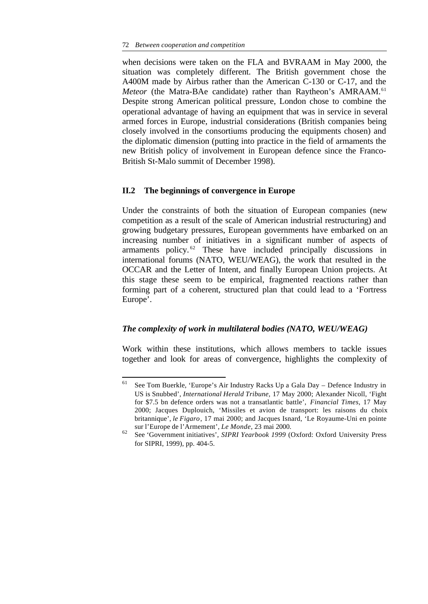when decisions were taken on the FLA and BVRAAM in May 2000, the situation was completely different. The British government chose the A400M made by Airbus rather than the American C-130 or C-17, and the *Meteor* (the Matra-BAe candidate) rather than Raytheon's AMRAAM.<sup>61</sup> Despite strong American political pressure, London chose to combine the operational advantage of having an equipment that was in service in several armed forces in Europe, industrial considerations (British companies being closely involved in the consortiums producing the equipments chosen) and the diplomatic dimension (putting into practice in the field of armaments the new British policy of involvement in European defence since the Franco-British St-Malo summit of December 1998).

# **II.2 The beginnings of convergence in Europe**

Under the constraints of both the situation of European companies (new competition as a result of the scale of American industrial restructuring) and growing budgetary pressures, European governments have embarked on an increasing number of initiatives in a significant number of aspects of armaments policy. <sup>62</sup> These have included principally discussions in international forums (NATO, WEU/WEAG), the work that resulted in the OCCAR and the Letter of Intent, and finally European Union projects. At this stage these seem to be empirical, fragmented reactions rather than forming part of a coherent, structured plan that could lead to a 'Fortress Europe'.

# *The complexity of work in multilateral bodies (NATO, WEU/WEAG)*

Work within these institutions, which allows members to tackle issues together and look for areas of convergence, highlights the complexity of

<sup>61</sup> <sup>61</sup> See Tom Buerkle, 'Europe's Air Industry Racks Up a Gala Day – Defence Industry in US is Snubbed', *International Herald Tribune*, 17 May 2000; Alexander Nicoll, 'Fight for \$7.5 bn defence orders was not a transatlantic battle', *Financial Times*, 17 May 2000; Jacques Duplouich, 'Missiles et avion de transport: les raisons du choix britannique', *le Figaro*, 17 mai 2000; and Jacques Isnard, 'Le Royaume-Uni en pointe sur l'Europe de l'Armement', *Le Monde*, 23 mai 2000.

<sup>62</sup> See 'Government initiatives', *SIPRI Yearbook 1999* (Oxford: Oxford University Press for SIPRI, 1999), pp. 404-5.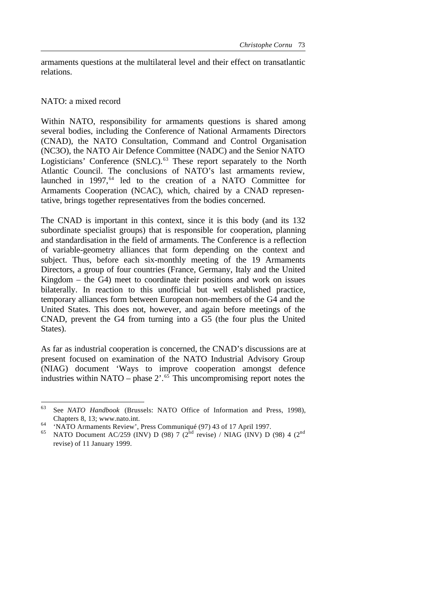armaments questions at the multilateral level and their effect on transatlantic relations.

# NATO: a mixed record

l

Within NATO, responsibility for armaments questions is shared among several bodies, including the Conference of National Armaments Directors (CNAD), the NATO Consultation, Command and Control Organisation (NC3O), the NATO Air Defence Committee (NADC) and the Senior NATO Logisticians' Conference (SNLC).<sup>63</sup> These report separately to the North Atlantic Council. The conclusions of NATO's last armaments review, launched in 1997,<sup>64</sup> led to the creation of a NATO Committee for Armaments Cooperation (NCAC), which, chaired by a CNAD representative, brings together representatives from the bodies concerned.

The CNAD is important in this context, since it is this body (and its 132 subordinate specialist groups) that is responsible for cooperation, planning and standardisation in the field of armaments. The Conference is a reflection of variable-geometry alliances that form depending on the context and subject. Thus, before each six-monthly meeting of the 19 Armaments Directors, a group of four countries (France, Germany, Italy and the United Kingdom – the G4) meet to coordinate their positions and work on issues bilaterally. In reaction to this unofficial but well established practice, temporary alliances form between European non-members of the G4 and the United States. This does not, however, and again before meetings of the CNAD, prevent the G4 from turning into a G5 (the four plus the United States).

As far as industrial cooperation is concerned, the CNAD's discussions are at present focused on examination of the NATO Industrial Advisory Group (NIAG) document 'Ways to improve cooperation amongst defence industries within NATO – phase  $2^{1.65}$  This uncompromising report notes the

<sup>63</sup> See *NATO Handbook* (Brussels: NATO Office of Information and Press, 1998), Chapters 8, 13; www.nato.int.

<sup>64</sup> 'NATO Armaments Review', Press Communiqué (97) 43 of 17 April 1997.

<sup>&</sup>lt;sup>65</sup> NATO Document AC/259 (INV) D (98) 7 (2<sup>nd</sup> revise) / NIAG (INV) D (98) 4 (2<sup>nd</sup> revise) of 11 January 1999.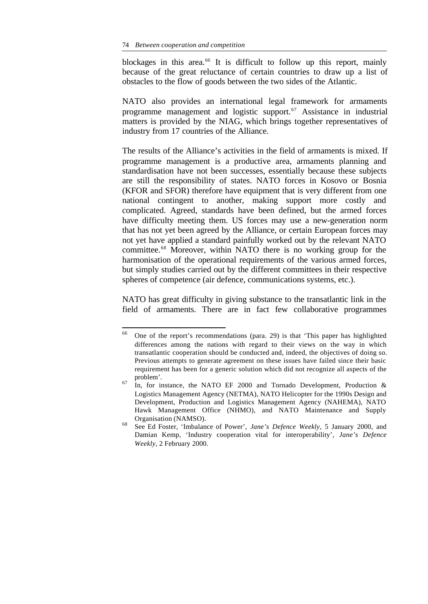blockages in this area.<sup>66</sup> It is difficult to follow up this report, mainly because of the great reluctance of certain countries to draw up a list of obstacles to the flow of goods between the two sides of the Atlantic.

NATO also provides an international legal framework for armaments programme management and logistic support.<sup>67</sup> Assistance in industrial matters is provided by the NIAG, which brings together representatives of industry from 17 countries of the Alliance.

The results of the Alliance's activities in the field of armaments is mixed. If programme management is a productive area, armaments planning and standardisation have not been successes, essentially because these subjects are still the responsibility of states. NATO forces in Kosovo or Bosnia (KFOR and SFOR) therefore have equipment that is very different from one national contingent to another, making support more costly and complicated. Agreed, standards have been defined, but the armed forces have difficulty meeting them. US forces may use a new-generation norm that has not yet been agreed by the Alliance, or certain European forces may not yet have applied a standard painfully worked out by the relevant NATO committee.<sup>68</sup> Moreover, within NATO there is no working group for the harmonisation of the operational requirements of the various armed forces, but simply studies carried out by the different committees in their respective spheres of competence (air defence, communications systems, etc.).

NATO has great difficulty in giving substance to the transatlantic link in the field of armaments. There are in fact few collaborative programmes

<sup>66</sup> <sup>66</sup> One of the report's recommendations (para. 29) is that 'This paper has highlighted differences among the nations with regard to their views on the way in which transatlantic cooperation should be conducted and, indeed, the objectives of doing so. Previous attempts to generate agreement on these issues have failed since their basic requirement has been for a generic solution which did not recognize all aspects of the problem'.

 $67$  In, for instance, the NATO EF 2000 and Tornado Development, Production & Logistics Management Agency (NETMA), NATO Helicopter for the 1990s Design and Development, Production and Logistics Management Agency (NAHEMA), NATO Hawk Management Office (NHMO), and NATO Maintenance and Supply Organisation (NAMSO).

<sup>68</sup> See Ed Foster, 'Imbalance of Power', *Jane's Defence Weekly*, 5 January 2000, and Damian Kemp, 'Industry cooperation vital for interoperability', *Jane's Defence Weekly*, 2 February 2000.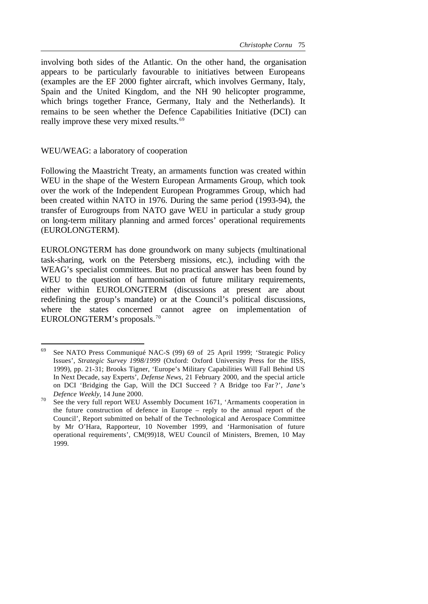involving both sides of the Atlantic. On the other hand, the organisation appears to be particularly favourable to initiatives between Europeans (examples are the EF 2000 fighter aircraft, which involves Germany, Italy, Spain and the United Kingdom, and the NH 90 helicopter programme, which brings together France, Germany, Italy and the Netherlands). It remains to be seen whether the Defence Capabilities Initiative (DCI) can really improve these very mixed results.<sup>69</sup>

## WEU/WEAG: a laboratory of cooperation

Following the Maastricht Treaty, an armaments function was created within WEU in the shape of the Western European Armaments Group, which took over the work of the Independent European Programmes Group, which had been created within NATO in 1976. During the same period (1993-94), the transfer of Eurogroups from NATO gave WEU in particular a study group on long-term military planning and armed forces' operational requirements (EUROLONGTERM).

EUROLONGTERM has done groundwork on many subjects (multinational task-sharing, work on the Petersberg missions, etc.), including with the WEAG's specialist committees. But no practical answer has been found by WEU to the question of harmonisation of future military requirements, either within EUROLONGTERM (discussions at present are about redefining the group's mandate) or at the Council's political discussions, where the states concerned cannot agree on implementation of EUROLONGTERM's proposals.<sup>70</sup>

<sup>69</sup> <sup>69</sup> See NATO Press Communiqué NAC-S (99) 69 of 25 April 1999; 'Strategic Policy Issues', *Strategic Survey 1998/1999* (Oxford: Oxford University Press for the IISS, 1999), pp. 21-31; Brooks Tigner, 'Europe's Military Capabilities Will Fall Behind US In Next Decade, say Experts', *Defense News*, 21 February 2000, and the special article on DCI 'Bridging the Gap, Will the DCI Succeed ? A Bridge too Far ?', *Jane's Defence Weekly*, 14 June 2000.

<sup>&</sup>lt;sup>70</sup> See the very full report WEU Assembly Document 1671, 'Armaments cooperation in the future construction of defence in Europe – reply to the annual report of the Council', Report submitted on behalf of the Technological and Aerospace Committee by Mr O'Hara, Rapporteur, 10 November 1999, and 'Harmonisation of future operational requirements', CM(99)18, WEU Council of Ministers, Bremen, 10 May 1999.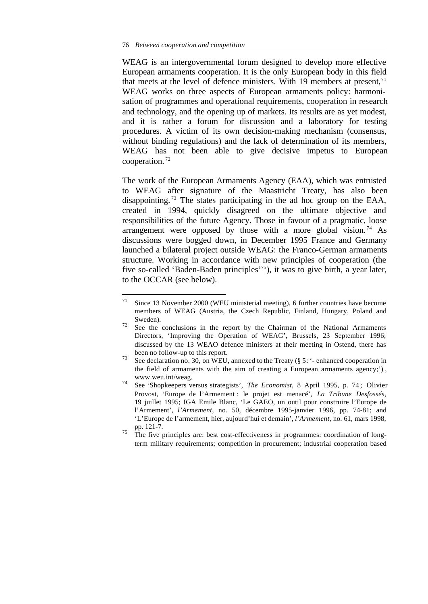l

WEAG is an intergovernmental forum designed to develop more effective European armaments cooperation. It is the only European body in this field that meets at the level of defence ministers. With 19 members at present,  $\frac{1}{1}$ WEAG works on three aspects of European armaments policy: harmonisation of programmes and operational requirements, cooperation in research and technology, and the opening up of markets. Its results are as yet modest, and it is rather a forum for discussion and a laboratory for testing procedures. A victim of its own decision-making mechanism (consensus, without binding regulations) and the lack of determination of its members, WEAG has not been able to give decisive impetus to European cooperation. <sup>72</sup>

The work of the European Armaments Agency (EAA), which was entrusted to WEAG after signature of the Maastricht Treaty, has also been disappointing. <sup>73</sup> The states participating in the ad hoc group on the EAA, created in 1994, quickly disagreed on the ultimate objective and responsibilities of the future Agency. Those in favour of a pragmatic, loose arrangement were opposed by those with a more global vision.<sup>74</sup> As discussions were bogged down, in December 1995 France and Germany launched a bilateral project outside WEAG: the Franco-German armaments structure. Working in accordance with new principles of cooperation (the five so-called 'Baden-Baden principles'<sup>75</sup>), it was to give birth, a year later, to the OCCAR (see below).

<sup>71</sup> Since 13 November 2000 (WEU ministerial meeting), 6 further countries have become members of WEAG (Austria, the Czech Republic, Finland, Hungary, Poland and Sweden).

 $72$  See the conclusions in the report by the Chairman of the National Armaments Directors, 'Improving the Operation of WEAG', Brussels, 23 September 1996; discussed by the 13 WEAO defence ministers at their meeting in Ostend, there has been no follow-up to this report.

<sup>&</sup>lt;sup>73</sup> See declaration no. 30, on WEU, annexed to the Treaty ( $\S 5$ :  $\degree$ - enhanced cooperation in the field of armaments with the aim of creating a European armaments agency;') , www.weu.int/weag.

<sup>74</sup> See 'Shopkeepers versus strategists', *The Economist*, 8 April 1995, p. 74 ; Olivier Provost, 'Europe de l'Armement : le projet est menacé', *La Tribune Desfossés*, 19 juillet 1995; IGA Emile Blanc, 'Le GAEO, un outil pour construire l'Europe de l'Armement', *l'Armement*, no. 50, décembre 1995-janvier 1996, pp. 74-81; and 'L'Europe de l'armement, hier, aujourd'hui et demain', *l'Armement*, no. 61, mars 1998, pp. 121-7.

<sup>&</sup>lt;sup>75</sup> The five principles are: best cost-effectiveness in programmes: coordination of longterm military requirements; competition in procurement; industrial cooperation based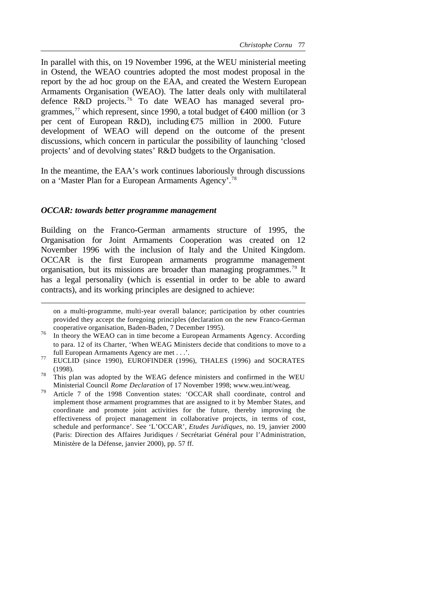In parallel with this, on 19 November 1996, at the WEU ministerial meeting in Ostend, the WEAO countries adopted the most modest proposal in the report by the ad hoc group on the EAA, and created the Western European Armaments Organisation (WEAO). The latter deals only with multilateral defence R&D projects.76 To date WEAO has managed several programmes,<sup>77</sup> which represent, since 1990, a total budget of  $\epsilon$ 400 million (or 3 per cent of European R&D), including €75 million in 2000. Future development of WEAO will depend on the outcome of the present discussions, which concern in particular the possibility of launching 'closed projects' and of devolving states' R&D budgets to the Organisation.

In the meantime, the EAA's work continues laboriously through discussions on a 'Master Plan for a European Armaments Agency'.<sup>78</sup>

## *OCCAR: towards better programme management*

l

Building on the Franco-German armaments structure of 1995, the Organisation for Joint Armaments Cooperation was created on 12 November 1996 with the inclusion of Italy and the United Kingdom. OCCAR is the first European armaments programme management organisation, but its missions are broader than managing programmes.<sup>79</sup> It has a legal personality (which is essential in order to be able to award contracts), and its working principles are designed to achieve:

on a multi-programme, multi-year overall balance; participation by other countries provided they accept the foregoing principles (declaration on the new Franco-German cooperative organisation, Baden-Baden, 7 December 1995).

<sup>76</sup> In theory the WEAO can in time become a European Armaments Agency. According to para. 12 of its Charter, 'When WEAG Ministers decide that conditions to move to a full European Armaments Agency are met . . .'.

<sup>&</sup>lt;sup>77</sup> EUCLID (since 1990), EUROFINDER (1996), THALES (1996) and SOCRATES (1998).

<sup>&</sup>lt;sup>78</sup> This plan was adopted by the WEAG defence ministers and confirmed in the WEU Ministerial Council *Rome Declaration* of 17 November 1998; www.weu.int/weag.

<sup>79</sup> Article 7 of the 1998 Convention states: 'OCCAR shall coordinate, control and implement those armament programmes that are assigned to it by Member States, and coordinate and promote joint activities for the future, thereby improving the effectiveness of project management in collaborative projects, in terms of cost, schedule and performance'. See 'L'OCCAR', *Etudes Juridiques*, no. 19, janvier 2000 (Paris: Direction des Affaires Juridiques / Secrétariat Général pour l'Administration, Ministère de la Défense, janvier 2000), pp. 57 ff.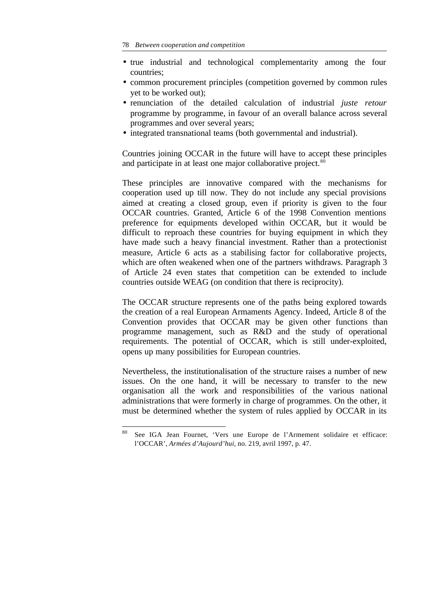- true industrial and technological complementarity among the four countries;
- common procurement principles (competition governed by common rules yet to be worked out);
- renunciation of the detailed calculation of industrial *juste retour* programme by programme, in favour of an overall balance across several programmes and over several years;
- integrated transnational teams (both governmental and industrial).

Countries joining OCCAR in the future will have to accept these principles and participate in at least one major collaborative project.<sup>80</sup>

These principles are innovative compared with the mechanisms for cooperation used up till now. They do not include any special provisions aimed at creating a closed group, even if priority is given to the four OCCAR countries. Granted, Article 6 of the 1998 Convention mentions preference for equipments developed within OCCAR, but it would be difficult to reproach these countries for buying equipment in which they have made such a heavy financial investment. Rather than a protectionist measure, Article 6 acts as a stabilising factor for collaborative projects, which are often weakened when one of the partners withdraws. Paragraph 3 of Article 24 even states that competition can be extended to include countries outside WEAG (on condition that there is reciprocity).

The OCCAR structure represents one of the paths being explored towards the creation of a real European Armaments Agency. Indeed, Article 8 of the Convention provides that OCCAR may be given other functions than programme management, such as R&D and the study of operational requirements. The potential of OCCAR, which is still under-exploited, opens up many possibilities for European countries.

Nevertheless, the institutionalisation of the structure raises a number of new issues. On the one hand, it will be necessary to transfer to the new organisation all the work and responsibilities of the various national administrations that were formerly in charge of programmes. On the other, it must be determined whether the system of rules applied by OCCAR in its

See IGA Jean Fournet, 'Vers une Europe de l'Armement solidaire et efficace: l'OCCAR', *Armées d'Aujourd'hui*, no. 219, avril 1997, p. 47.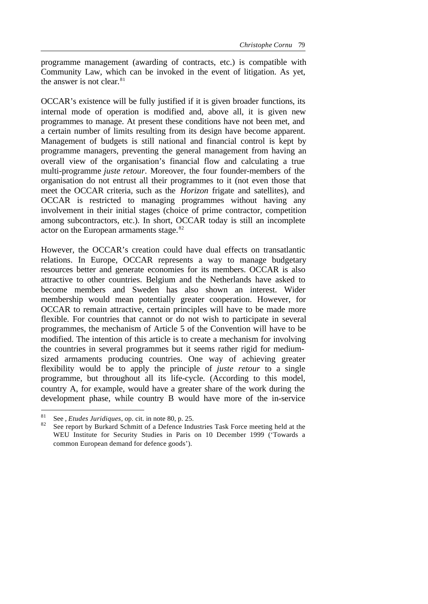programme management (awarding of contracts, etc.) is compatible with Community Law, which can be invoked in the event of litigation. As yet, the answer is not clear. $81$ 

OCCAR's existence will be fully justified if it is given broader functions, its internal mode of operation is modified and, above all, it is given new programmes to manage. At present these conditions have not been met, and a certain number of limits resulting from its design have become apparent. Management of budgets is still national and financial control is kept by programme managers, preventing the general management from having an overall view of the organisation's financial flow and calculating a true multi-programme *juste retour*. Moreover, the four founder-members of the organisation do not entrust all their programmes to it (not even those that meet the OCCAR criteria, such as the *Horizon* frigate and satellites), and OCCAR is restricted to managing programmes without having any involvement in their initial stages (choice of prime contractor, competition among subcontractors, etc.). In short, OCCAR today is still an incomplete actor on the European armaments stage.<sup>82</sup>

However, the OCCAR's creation could have dual effects on transatlantic relations. In Europe, OCCAR represents a way to manage budgetary resources better and generate economies for its members. OCCAR is also attractive to other countries. Belgium and the Netherlands have asked to become members and Sweden has also shown an interest. Wider membership would mean potentially greater cooperation. However, for OCCAR to remain attractive, certain principles will have to be made more flexible. For countries that cannot or do not wish to participate in several programmes, the mechanism of Article 5 of the Convention will have to be modified. The intention of this article is to create a mechanism for involving the countries in several programmes but it seems rather rigid for mediumsized armaments producing countries. One way of achieving greater flexibility would be to apply the principle of *juste retour* to a single programme, but throughout all its life-cycle. (According to this model, country A, for example, would have a greater share of the work during the development phase, while country B would have more of the in-service

<sup>81</sup> See , *Etudes Juridiques*, op. cit. in note 80, p. 25.

See report by Burkard Schmitt of a Defence Industries Task Force meeting held at the WEU Institute for Security Studies in Paris on 10 December 1999 ('Towards a common European demand for defence goods').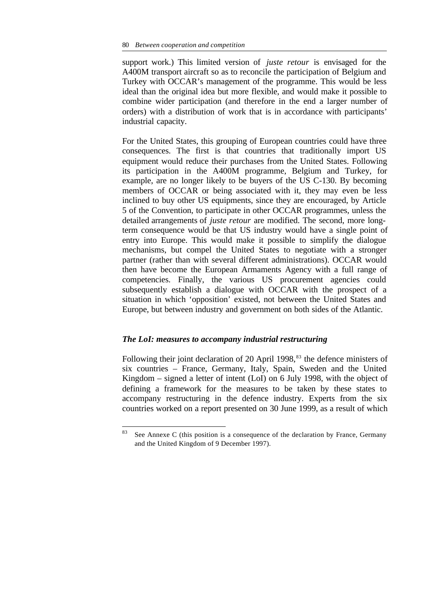support work.) This limited version of *juste retour* is envisaged for the A400M transport aircraft so as to reconcile the participation of Belgium and Turkey with OCCAR's management of the programme. This would be less ideal than the original idea but more flexible, and would make it possible to combine wider participation (and therefore in the end a larger number of orders) with a distribution of work that is in accordance with participants' industrial capacity.

For the United States, this grouping of European countries could have three consequences. The first is that countries that traditionally import US equipment would reduce their purchases from the United States. Following its participation in the A400M programme, Belgium and Turkey, for example, are no longer likely to be buyers of the US C-130. By becoming members of OCCAR or being associated with it, they may even be less inclined to buy other US equipments, since they are encouraged, by Article 5 of the Convention, to participate in other OCCAR programmes, unless the detailed arrangements of *juste retour* are modified. The second, more longterm consequence would be that US industry would have a single point of entry into Europe. This would make it possible to simplify the dialogue mechanisms, but compel the United States to negotiate with a stronger partner (rather than with several different administrations). OCCAR would then have become the European Armaments Agency with a full range of competencies. Finally, the various US procurement agencies could subsequently establish a dialogue with OCCAR with the prospect of a situation in which 'opposition' existed, not between the United States and Europe, but between industry and government on both sides of the Atlantic.

## *The LoI: measures to accompany industrial restructuring*

Following their joint declaration of 20 April 1998,<sup>83</sup> the defence ministers of six countries – France, Germany, Italy, Spain, Sweden and the United Kingdom – signed a letter of intent (LoI) on 6 July 1998, with the object of defining a framework for the measures to be taken by these states to accompany restructuring in the defence industry. Experts from the six countries worked on a report presented on 30 June 1999, as a result of which

<sup>83</sup> See Annexe C (this position is a consequence of the declaration by France, Germany and the United Kingdom of 9 December 1997).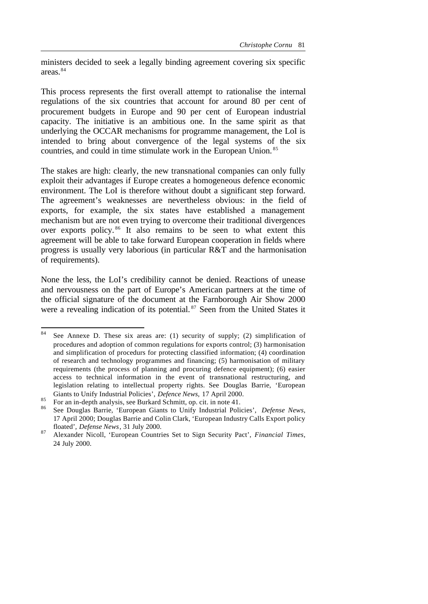ministers decided to seek a legally binding agreement covering six specific areas.<sup>84</sup>

This process represents the first overall attempt to rationalise the internal regulations of the six countries that account for around 80 per cent of procurement budgets in Europe and 90 per cent of European industrial capacity. The initiative is an ambitious one. In the same spirit as that underlying the OCCAR mechanisms for programme management, the LoI is intended to bring about convergence of the legal systems of the six countries, and could in time stimulate work in the European Union. <sup>85</sup>

The stakes are high: clearly, the new transnational companies can only fully exploit their advantages if Europe creates a homogeneous defence economic environment. The LoI is therefore without doubt a significant step forward. The agreement's weaknesses are nevertheless obvious: in the field of exports, for example, the six states have established a management mechanism but are not even trying to overcome their traditional divergences over exports policy. <sup>86</sup> It also remains to be seen to what extent this agreement will be able to take forward European cooperation in fields where progress is usually very laborious (in particular R&T and the harmonisation of requirements).

None the less, the LoI's credibility cannot be denied. Reactions of unease and nervousness on the part of Europe's American partners at the time of the official signature of the document at the Farnborough Air Show 2000 were a revealing indication of its potential.<sup>87</sup> Seen from the United States it

<sup>84</sup> See Annexe D. These six areas are: (1) security of supply; (2) simplification of procedures and adoption of common regulations for exports control; (3) harmonisation and simplification of procedurs for protecting classified information; (4) coordination of research and technology programmes and financing; (5) harmonisation of military requirements (the process of planning and procuring defence equipment); (6) easier access to technical information in the event of transnational restructuring, and legislation relating to intellectual property rights. See Douglas Barrie, 'European Giants to Unify Industrial Policies', *Defence News,* 17 April 2000.

 $\frac{85}{25}$  For an in-depth analysis, see Burkard Schmitt, op. cit. in note 41.

<sup>86</sup> See Douglas Barrie, 'European Giants to Unify Industrial Policies', *Defense News*, 17 April 2000; Douglas Barrie and Colin Clark, 'European Industry Calls Export policy floated', *Defense News*, 31 July 2000.

<sup>87</sup> Alexander Nicoll, 'European Countries Set to Sign Security Pact', *Financial Times*, 24 July 2000.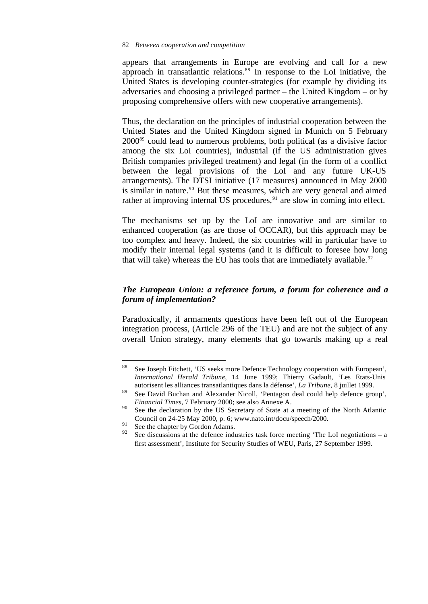appears that arrangements in Europe are evolving and call for a new approach in transatlantic relations.<sup>88</sup> In response to the LoI initiative, the United States is developing counter-strategies (for example by dividing its adversaries and choosing a privileged partner – the United Kingdom – or by proposing comprehensive offers with new cooperative arrangements).

Thus, the declaration on the principles of industrial cooperation between the United States and the United Kingdom signed in Munich on 5 February 2000<sup>89</sup> could lead to numerous problems, both political (as a divisive factor among the six LoI countries), industrial (if the US administration gives British companies privileged treatment) and legal (in the form of a conflict between the legal provisions of the LoI and any future UK-US arrangements). The DTSI initiative (17 measures) announced in May 2000 is similar in nature.<sup>90</sup> But these measures, which are very general and aimed rather at improving internal US procedures,<sup>91</sup> are slow in coming into effect.

The mechanisms set up by the LoI are innovative and are similar to enhanced cooperation (as are those of OCCAR), but this approach may be too complex and heavy. Indeed, the six countries will in particular have to modify their internal legal systems (and it is difficult to foresee how long that will take) whereas the EU has tools that are immediately available. $92$ 

# *The European Union: a reference forum, a forum for coherence and a forum of implementation?*

Paradoxically, if armaments questions have been left out of the European integration process, (Article 296 of the TEU) and are not the subject of any overall Union strategy, many elements that go towards making up a real

<sup>88</sup> See Joseph Fitchett, 'US seeks more Defence Technology cooperation with European', *International Herald Tribune*, 14 June 1999; Thierry Gadault, 'Les Etats-Unis autorisent les alliances transatlantiques dans la défense', *La Tribune*, 8 juillet 1999.

<sup>89</sup> See David Buchan and Alexander Nicoll, 'Pentagon deal could help defence group', *Financial Times*, 7 February 2000; see also Annexe A.

<sup>&</sup>lt;sup>90</sup> See the declaration by the US Secretary of State at a meeting of the North Atlantic Council on 24-25 May 2000, p. 6; www.nato.int/docu/speech/2000.

 $^{91}$  See the chapter by Gordon Adams.

See discussions at the defence industries task force meeting 'The LoI negotiations – a first assessment', Institute for Security Studies of WEU, Paris, 27 September 1999.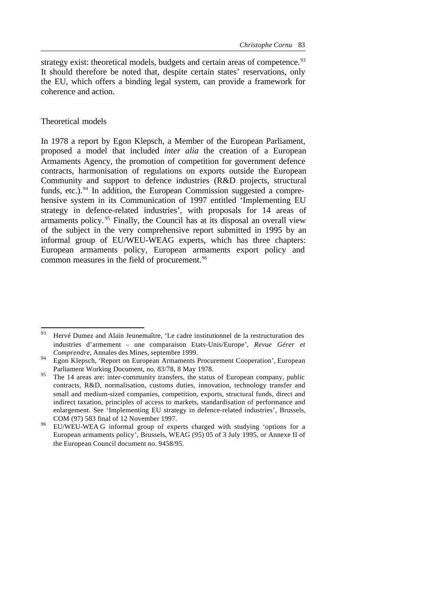strategy exist: theoretical models, budgets and certain areas of competence.<sup>93</sup> It should therefore be noted that, despite certain states' reservations, only the EU, which offers a binding legal system, can provide a framework for coherence and action.

## Theoretical models

In 1978 a report by Egon Klepsch, a Member of the European Parliament, proposed a model that included *inter alia* the creation of a European Armaments Agency, the promotion of competition for government defence contracts, harmonisation of regulations on exports outside the European Community and support to defence industries (R&D projects, structural funds, etc.). $94$  In addition, the European Commission suggested a comprehensive system in its Communication of 1997 entitled 'Implementing EU strategy in defence-related industries', with proposals for 14 areas of armaments policy. <sup>95</sup> Finally, the Council has at its disposal an overall view of the subject in the very comprehensive report submitted in 1995 by an informal group of EU/WEU-WEAG experts, which has three chapters: European armaments policy, European armaments export policy and common measures in the field of procurement.<sup>96</sup>

<sup>93</sup> <sup>93</sup> Hervé Dumez and Alain Jeunemaître, 'Le cadre institutionnel de la restructuration des industries d'armement – une comparaison Etats-Unis/Europe', *Revue Gérer et Comprendre*, Annales des Mines, septembre 1999.

<sup>&</sup>lt;sup>94</sup> Egon Klepsch, 'Report on European Armaments Procurement Cooperation', European Parliament Working Document, no. 83/78, 8 May 1978.

<sup>&</sup>lt;sup>95</sup> The 14 areas are: inter-community transfers, the status of European company, public contracts, R&D, normalisation, customs duties, innovation, technology transfer and small and medium-sized companies, competition, exports, structural funds, direct and indirect taxation, principles of access to markets, standardisation of performance and enlargement. See 'Implementing EU strategy in defence-related industries', Brussels, COM (97) 583 final of 12 November 1997.

 $^{96}$  EU/WEU-WEA G informal group of experts charged with studying 'options for a European armaments policy', Brussels, WEAG (95) 05 of 3 July 1995, or Annexe II of the European Council document no. 9458/95.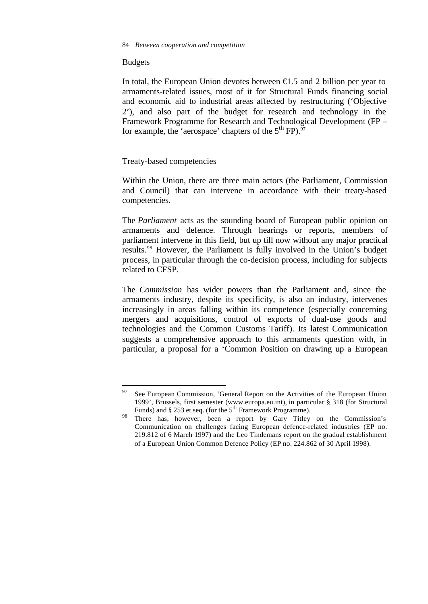#### Budgets

l

In total, the European Union devotes between  $\epsilon$ 1.5 and 2 billion per year to armaments-related issues, most of it for Structural Funds financing social and economic aid to industrial areas affected by restructuring ('Objective 2'), and also part of the budget for research and technology in the Framework Programme for Research and Technological Development (FP – for example, the 'aerospace' chapters of the  $5<sup>th</sup> FP$ ).<sup>97</sup>

## Treaty-based competencies

Within the Union, there are three main actors (the Parliament, Commission and Council) that can intervene in accordance with their treaty-based competencies.

The *Parliament* acts as the sounding board of European public opinion on armaments and defence. Through hearings or reports, members of parliament intervene in this field, but up till now without any major practical results.<sup>98</sup> However, the Parliament is fully involved in the Union's budget process, in particular through the co-decision process, including for subjects related to CFSP.

The *Commission* has wider powers than the Parliament and, since the armaments industry, despite its specificity, is also an industry, intervenes increasingly in areas falling within its competence (especially concerning mergers and acquisitions, control of exports of dual-use goods and technologies and the Common Customs Tariff). Its latest Communication suggests a comprehensive approach to this armaments question with, in particular, a proposal for a 'Common Position on drawing up a European

<sup>&</sup>lt;sup>97</sup> See European Commission, 'General Report on the Activities of the European Union 1999', Brussels, first semester (www.europa.eu.int), in particular § 318 (for Structural Funds) and § 253 et seq. (for the 5<sup>th</sup> Framework Programme).

<sup>&</sup>lt;sup>98</sup> There has, however, been a report by Gary Titley on the Commission's Communication on challenges facing European defence-related industries (EP no. 219.812 of 6 March 1997) and the Leo Tindemans report on the gradual establishment of a European Union Common Defence Policy (EP no. 224.862 of 30 April 1998).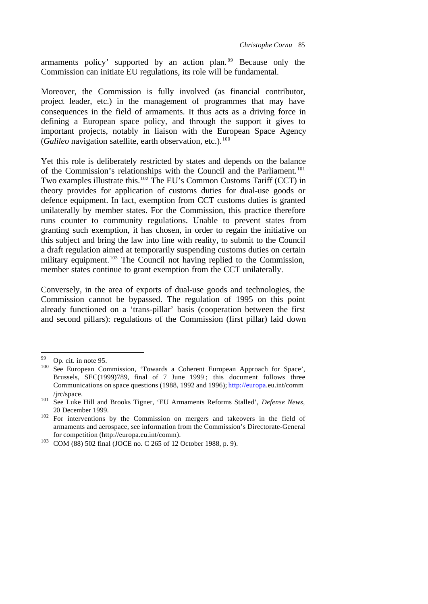armaments policy' supported by an action plan. <sup>99</sup> Because only the Commission can initiate EU regulations, its role will be fundamental.

Moreover, the Commission is fully involved (as financial contributor, project leader, etc.) in the management of programmes that may have consequences in the field of armaments. It thus acts as a driving force in defining a European space policy, and through the support it gives to important projects, notably in liaison with the European Space Agency (*Galileo* navigation satellite, earth observation, etc.).<sup>100</sup>

Yet this role is deliberately restricted by states and depends on the balance of the Commission's relationships with the Council and the Parliament.<sup>101</sup> Two examples illustrate this.<sup>102</sup> The EU's Common Customs Tariff (CCT) in theory provides for application of customs duties for dual-use goods or defence equipment. In fact, exemption from CCT customs duties is granted unilaterally by member states. For the Commission, this practice therefore runs counter to community regulations. Unable to prevent states from granting such exemption, it has chosen, in order to regain the initiative on this subject and bring the law into line with reality, to submit to the Council a draft regulation aimed at temporarily suspending customs duties on certain military equipment.<sup>103</sup> The Council not having replied to the Commission, member states continue to grant exemption from the CCT unilaterally.

Conversely, in the area of exports of dual-use goods and technologies, the Commission cannot be bypassed. The regulation of 1995 on this point already functioned on a 'trans-pillar' basis (cooperation between the first and second pillars): regulations of the Commission (first pillar) laid down

<sup>99</sup> Op. cit. in note 95.

<sup>&</sup>lt;sup>100</sup> See European Commission, 'Towards a Coherent European Approach for Space', Brussels, SEC(1999)789, final of 7 June 1999 ; this document follows three Communications on space questions (1988, 1992 and 1996); http://europa.eu.int/comm /jrc/space.

<sup>101</sup> See Luke Hill and Brooks Tigner, 'EU Armaments Reforms Stalled', *Defense News*, 20 December 1999.

<sup>&</sup>lt;sup>102</sup> For interventions by the Commission on mergers and takeovers in the field of armaments and aerospace, see information from the Commission's Directorate-General for competition (http://europa.eu.int/comm).

<sup>103</sup> COM (88) 502 final (JOCE no. C 265 of 12 October 1988, p. 9).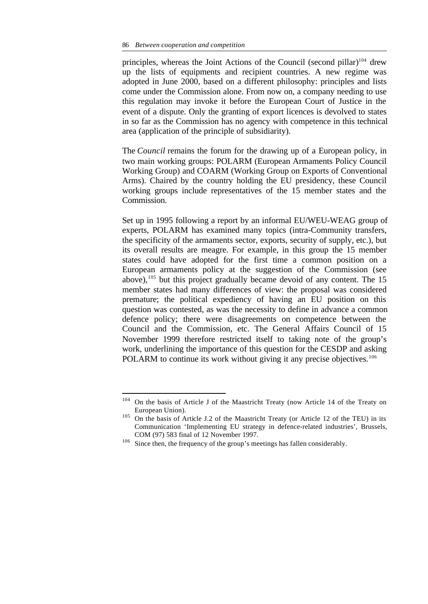principles, whereas the Joint Actions of the Council (second pillar)<sup>104</sup> drew up the lists of equipments and recipient countries. A new regime was adopted in June 2000, based on a different philosophy: principles and lists come under the Commission alone. From now on, a company needing to use this regulation may invoke it before the European Court of Justice in the event of a dispute. Only the granting of export licences is devolved to states in so far as the Commission has no agency with competence in this technical area (application of the principle of subsidiarity).

The *Council* remains the forum for the drawing up of a European policy, in two main working groups: POLARM (European Armaments Policy Council Working Group) and COARM (Working Group on Exports of Conventional Arms). Chaired by the country holding the EU presidency, these Council working groups include representatives of the 15 member states and the Commission.

Set up in 1995 following a report by an informal EU/WEU-WEAG group of experts, POLARM has examined many topics (intra-Community transfers, the specificity of the armaments sector, exports, security of supply, etc.), but its overall results are meagre. For example, in this group the 15 member states could have adopted for the first time a common position on a European armaments policy at the suggestion of the Commission (see above),  $105$  but this project gradually became devoid of any content. The 15 member states had many differences of view: the proposal was considered premature; the political expediency of having an EU position on this question was contested, as was the necessity to define in advance a common defence policy; there were disagreements on competence between the Council and the Commission, etc. The General Affairs Council of 15 November 1999 therefore restricted itself to taking note of the group's work, underlining the importance of this question for the CESDP and asking POLARM to continue its work without giving it any precise objectives.<sup>106</sup>

<sup>104</sup> On the basis of Article J of the Maastricht Treaty (now Article 14 of the Treaty on European Union).

<sup>&</sup>lt;sup>105</sup> On the basis of Article J.2 of the Maastricht Treaty (or Article 12 of the TEU) in its Communication 'Implementing EU strategy in defence-related industries', Brussels, COM (97) 583 final of 12 November 1997.

<sup>&</sup>lt;sup>106</sup> Since then, the frequency of the group's meetings has fallen considerably.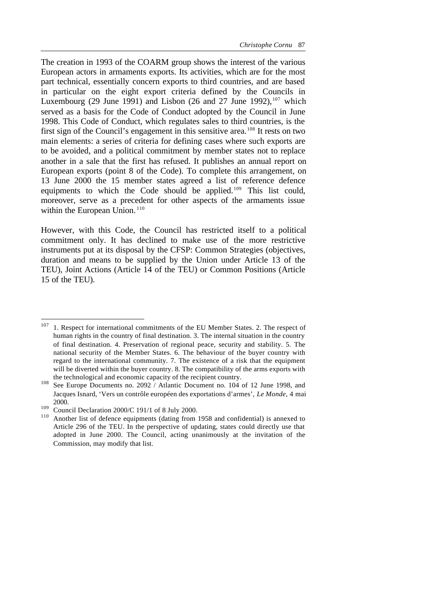The creation in 1993 of the COARM group shows the interest of the various European actors in armaments exports. Its activities, which are for the most part technical, essentially concern exports to third countries, and are based in particular on the eight export criteria defined by the Councils in Luxembourg (29 June 1991) and Lisbon (26 and 27 June 1992), $107$  which served as a basis for the Code of Conduct adopted by the Council in June 1998. This Code of Conduct, which regulates sales to third countries, is the first sign of the Council's engagement in this sensitive area.<sup>108</sup> It rests on two main elements: a series of criteria for defining cases where such exports are to be avoided, and a political commitment by member states not to replace another in a sale that the first has refused. It publishes an annual report on European exports (point 8 of the Code). To complete this arrangement, on 13 June 2000 the 15 member states agreed a list of reference defence equipments to which the Code should be applied.<sup>109</sup> This list could, moreover, serve as a precedent for other aspects of the armaments issue within the European Union.<sup>110</sup>

However, with this Code, the Council has restricted itself to a political commitment only. It has declined to make use of the more restrictive instruments put at its disposal by the CFSP: Common Strategies (objectives, duration and means to be supplied by the Union under Article 13 of the TEU), Joint Actions (Article 14 of the TEU) or Common Positions (Article 15 of the TEU).

<sup>&</sup>lt;sup>107</sup> 1. Respect for international commitments of the EU Member States. 2. The respect of human rights in the country of final destination. 3. The internal situation in the country of final destination. 4. Preservation of regional peace, security and stability. 5. The national security of the Member States. 6. The behaviour of the buyer country with regard to the international community. 7. The existence of a risk that the equipment will be diverted within the buyer country. 8. The compatibility of the arms exports with the technological and economic capacity of the recipient country.

<sup>108</sup> See Europe Documents no. 2092 / Atlantic Document no. 104 of 12 June 1998, and Jacques Isnard, 'Vers un contrôle européen des exportations d'armes', *Le Monde*, 4 mai 2000.

<sup>&</sup>lt;sup>109</sup> Council Declaration 2000/C 191/1 of 8 July 2000.

Another list of defence equipments (dating from 1958 and confidential) is annexed to Article 296 of the TEU. In the perspective of updating, states could directly use that adopted in June 2000. The Council, acting unanimously at the invitation of the Commission, may modify that list.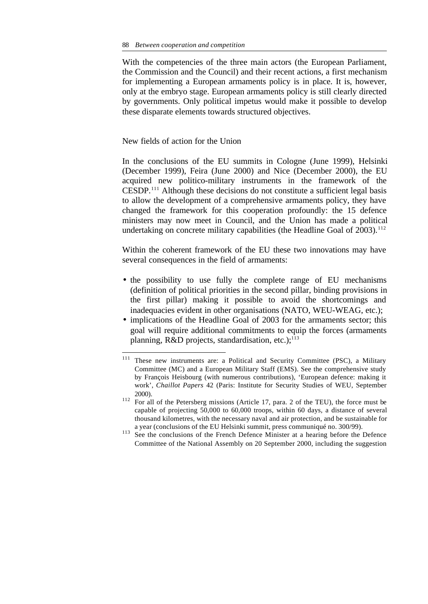With the competencies of the three main actors (the European Parliament, the Commission and the Council) and their recent actions, a first mechanism for implementing a European armaments policy is in place. It is, however, only at the embryo stage. European armaments policy is still clearly directed by governments. Only political impetus would make it possible to develop these disparate elements towards structured objectives.

New fields of action for the Union

l

In the conclusions of the EU summits in Cologne (June 1999), Helsinki (December 1999), Feira (June 2000) and Nice (December 2000), the EU acquired new politico-military instruments in the framework of the CESDP.<sup>111</sup> Although these decisions do not constitute a sufficient legal basis to allow the development of a comprehensive armaments policy, they have changed the framework for this cooperation profoundly: the 15 defence ministers may now meet in Council, and the Union has made a political undertaking on concrete military capabilities (the Headline Goal of  $2003$ ).<sup>112</sup>

Within the coherent framework of the EU these two innovations may have several consequences in the field of armaments:

- the possibility to use fully the complete range of EU mechanisms (definition of political priorities in the second pillar, binding provisions in the first pillar) making it possible to avoid the shortcomings and inadequacies evident in other organisations (NATO, WEU-WEAG, etc.);
- implications of the Headline Goal of 2003 for the armaments sector; this goal will require additional commitments to equip the forces (armaments planning, R&D projects, standardisation, etc.); $^{113}$

<sup>&</sup>lt;sup>111</sup> These new instruments are: a Political and Security Committee (PSC), a Military Committee (MC) and a European Military Staff (EMS). See the comprehensive study by François Heisbourg (with numerous contributions), 'European defence: making it work', *Chaillot Papers* 42 (Paris: Institute for Security Studies of WEU, September 2000).

<sup>&</sup>lt;sup>112</sup> For all of the Petersberg missions (Article 17, para. 2 of the TEU), the force must be capable of projecting 50,000 to 60,000 troops, within 60 days, a distance of several thousand kilometres, with the necessary naval and air protection, and be sustainable for a year (conclusions of the EU Helsinki summit, press communiqué no. 300/99).

<sup>&</sup>lt;sup>113</sup> See the conclusions of the French Defence Minister at a hearing before the Defence Committee of the National Assembly on 20 September 2000, including the suggestion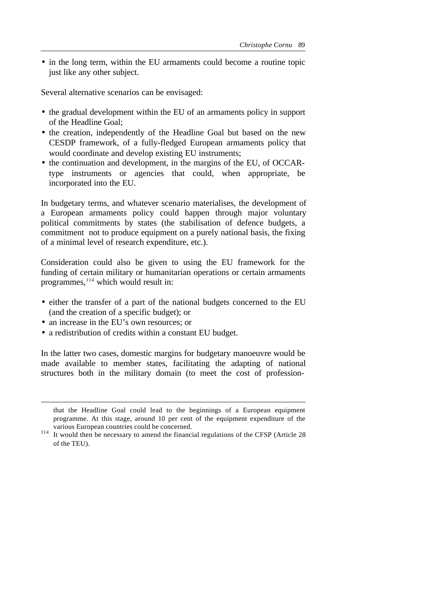• in the long term, within the EU armaments could become a routine topic just like any other subject.

Several alternative scenarios can be envisaged:

- the gradual development within the EU of an armaments policy in support of the Headline Goal;
- the creation, independently of the Headline Goal but based on the new CESDP framework, of a fully-fledged European armaments policy that would coordinate and develop existing EU instruments;
- the continuation and development, in the margins of the EU, of OCCARtype instruments or agencies that could, when appropriate, be incorporated into the EU.

In budgetary terms, and whatever scenario materialises, the development of a European armaments policy could happen through major voluntary political commitments by states (the stabilisation of defence budgets, a commitment not to produce equipment on a purely national basis, the fixing of a minimal level of research expenditure, etc.).

Consideration could also be given to using the EU framework for the funding of certain military or humanitarian operations or certain armaments programmes,<sup>114</sup> which would result in:

- either the transfer of a part of the national budgets concerned to the EU (and the creation of a specific budget); or
- an increase in the EU's own resources; or

l

• a redistribution of credits within a constant EU budget.

In the latter two cases, domestic margins for budgetary manoeuvre would be made available to member states, facilitating the adapting of national structures both in the military domain (to meet the cost of profession-

that the Headline Goal could lead to the beginnings of a European equipment programme. At this stage, around 10 per cent of the equipment expenditure of the various European countries could be concerned.

<sup>&</sup>lt;sup>114</sup> It would then be necessary to amend the financial regulations of the CFSP (Article 28 of the TEU).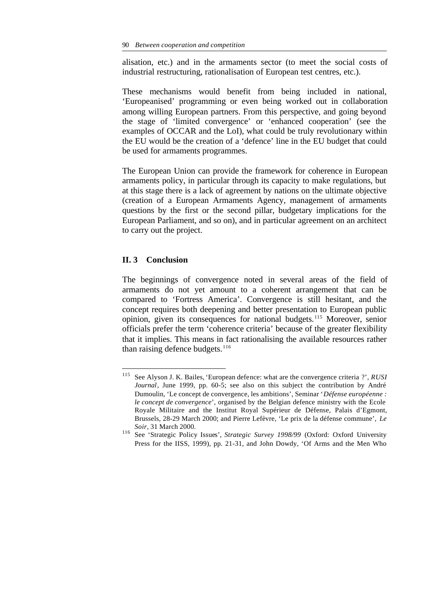alisation, etc.) and in the armaments sector (to meet the social costs of industrial restructuring, rationalisation of European test centres, etc.).

These mechanisms would benefit from being included in national, 'Europeanised' programming or even being worked out in collaboration among willing European partners. From this perspective, and going beyond the stage of 'limited convergence' or 'enhanced cooperation' (see the examples of OCCAR and the LoI), what could be truly revolutionary within the EU would be the creation of a 'defence' line in the EU budget that could be used for armaments programmes.

The European Union can provide the framework for coherence in European armaments policy, in particular through its capacity to make regulations, but at this stage there is a lack of agreement by nations on the ultimate objective (creation of a European Armaments Agency, management of armaments questions by the first or the second pillar, budgetary implications for the European Parliament, and so on), and in particular agreement on an architect to carry out the project.

# **II. 3 Conclusion**

l

The beginnings of convergence noted in several areas of the field of armaments do not yet amount to a coherent arrangement that can be compared to 'Fortress America'. Convergence is still hesitant, and the concept requires both deepening and better presentation to European public opinion, given its consequences for national budgets.<sup>115</sup> Moreover, senior officials prefer the term 'coherence criteria' because of the greater flexibility that it implies. This means in fact rationalising the available resources rather than raising defence budgets. $116$ 

<sup>115</sup> See Alyson J. K. Bailes, 'European defence: what are the convergence criteria ?', *RUSI Journal*, June 1999, pp. 60-5; see also on this subject the contribution by André Dumoulin, 'Le concept de convergence, les ambitions', Seminar '*Défense européenne : le concept de convergence*', organised by the Belgian defence ministry with the Ecole Royale Militaire and the Institut Royal Supérieur de Défense, Palais d'Egmont, Brussels, 28-29 March 2000; and Pierre Lefèvre, 'Le prix de la défense commune', *Le Soir*, 31 March 2000.

<sup>116</sup> See 'Strategic Policy Issues', *Strategic Survey 1998/99* (Oxford: Oxford University Press for the IISS, 1999), pp. 21-31, and John Dowdy, 'Of Arms and the Men Who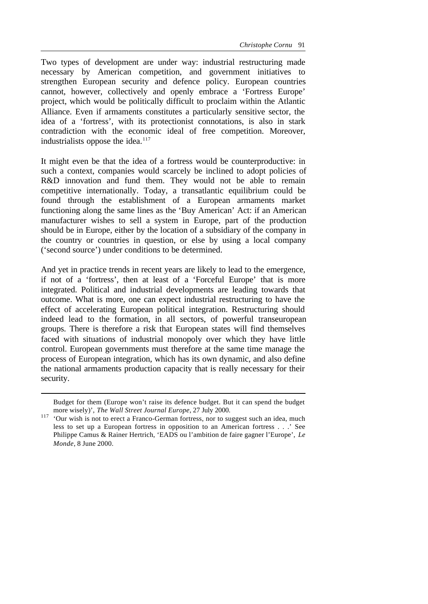Two types of development are under way: industrial restructuring made necessary by American competition, and government initiatives to strengthen European security and defence policy. European countries cannot, however, collectively and openly embrace a 'Fortress Europe' project, which would be politically difficult to proclaim within the Atlantic Alliance. Even if armaments constitutes a particularly sensitive sector, the idea of a 'fortress', with its protectionist connotations, is also in stark contradiction with the economic ideal of free competition. Moreover, industrialists oppose the idea. $117$ 

It might even be that the idea of a fortress would be counterproductive: in such a context, companies would scarcely be inclined to adopt policies of R&D innovation and fund them. They would not be able to remain competitive internationally. Today, a transatlantic equilibrium could be found through the establishment of a European armaments market functioning along the same lines as the 'Buy American' Act: if an American manufacturer wishes to sell a system in Europe, part of the production should be in Europe, either by the location of a subsidiary of the company in the country or countries in question, or else by using a local company ('second source') under conditions to be determined.

And yet in practice trends in recent years are likely to lead to the emergence, if not of a 'fortress', then at least of a 'Forceful Europe' that is more integrated. Political and industrial developments are leading towards that outcome. What is more, one can expect industrial restructuring to have the effect of accelerating European political integration. Restructuring should indeed lead to the formation, in all sectors, of powerful transeuropean groups. There is therefore a risk that European states will find themselves faced with situations of industrial monopoly over which they have little control. European governments must therefore at the same time manage the process of European integration, which has its own dynamic, and also define the national armaments production capacity that is really necessary for their security.

Budget for them (Europe won't raise its defence budget. But it can spend the budget more wisely)', *The Wall Street Journal Europe*, 27 July 2000.

<sup>&</sup>lt;sup>117</sup> 'Our wish is not to erect a Franco-German fortress, nor to suggest such an idea, much less to set up a European fortress in opposition to an American fortress . . .' See Philippe Camus & Rainer Hertrich, 'EADS ou l'ambition de faire gagner l'Europe', *Le Monde*, 8 June 2000.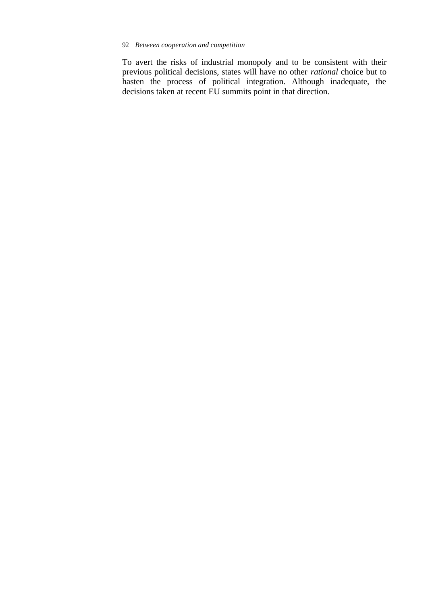To avert the risks of industrial monopoly and to be consistent with their previous political decisions, states will have no other *rational* choice but to hasten the process of political integration. Although inadequate, the decisions taken at recent EU summits point in that direction.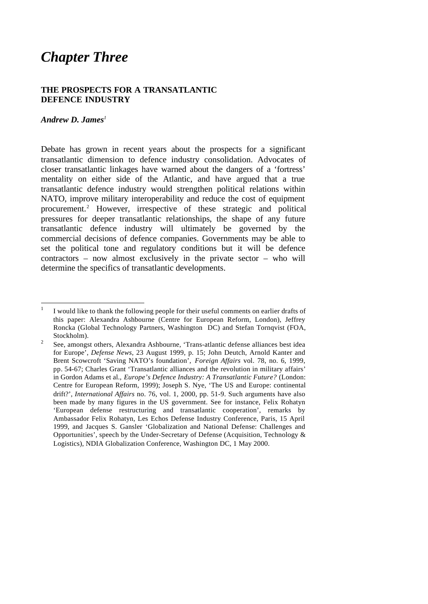# *Chapter Three*

# **THE PROSPECTS FOR A TRANSATLANTIC DEFENCE INDUSTRY**

# *Andrew D. James<sup>1</sup>*

Debate has grown in recent years about the prospects for a significant transatlantic dimension to defence industry consolidation. Advocates of closer transatlantic linkages have warned about the dangers of a 'fortress' mentality on either side of the Atlantic, and have argued that a true transatlantic defence industry would strengthen political relations within NATO, improve military interoperability and reduce the cost of equipment procurement.<sup>2</sup> However, irrespective of these strategic and political pressures for deeper transatlantic relationships, the shape of any future transatlantic defence industry will ultimately be governed by the commercial decisions of defence companies. Governments may be able to set the political tone and regulatory conditions but it will be defence contractors – now almost exclusively in the private sector – who will determine the specifics of transatlantic developments.

 $\frac{1}{1}$ I would like to thank the following people for their useful comments on earlier drafts of this paper: Alexandra Ashbourne (Centre for European Reform, London), Jeffrey Roncka (Global Technology Partners, Washington DC) and Stefan Tornqvist (FOA, Stockholm).

<sup>2</sup> See, amongst others, Alexandra Ashbourne, 'Trans-atlantic defense alliances best idea for Europe', *Defense News*, 23 August 1999, p. 15; John Deutch, Arnold Kanter and Brent Scowcroft 'Saving NATO's foundation', *Foreign Affairs* vol. 78, no. 6, 1999, pp. 54-67; Charles Grant 'Transatlantic alliances and the revolution in military affairs' in Gordon Adams et al., *Europe's Defence Industry: A Transatlantic Future?* (London: Centre for European Reform, 1999); Joseph S. Nye, 'The US and Europe: continental drift?', *International Affairs* no. 76, vol. 1, 2000, pp. 51-9. Such arguments have also been made by many figures in the US government. See for instance, Felix Rohatyn 'European defense restructuring and transatlantic cooperation', remarks by Ambassador Felix Rohatyn, Les Echos Defense Industry Conference, Paris, 15 April 1999, and Jacques S. Gansler 'Globalization and National Defense: Challenges and Opportunities', speech by the Under-Secretary of Defense (Acquisition, Technology & Logistics), NDIA Globalization Conference, Washington DC, 1 May 2000.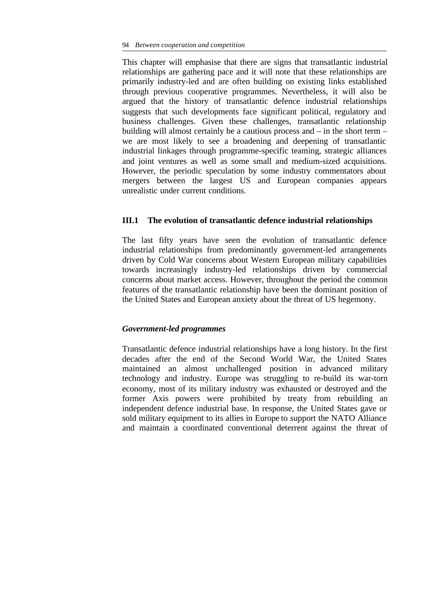This chapter will emphasise that there are signs that transatlantic industrial relationships are gathering pace and it will note that these relationships are primarily industry-led and are often building on existing links established through previous cooperative programmes. Nevertheless, it will also be argued that the history of transatlantic defence industrial relationships suggests that such developments face significant political, regulatory and business challenges. Given these challenges, transatlantic relationship building will almost certainly be a cautious process and – in the short term – we are most likely to see a broadening and deepening of transatlantic industrial linkages through programme-specific teaming, strategic alliances and joint ventures as well as some small and medium-sized acquisitions. However, the periodic speculation by some industry commentators about mergers between the largest US and European companies appears unrealistic under current conditions.

## **III.1 The evolution of transatlantic defence industrial relationships**

The last fifty years have seen the evolution of transatlantic defence industrial relationships from predominantly government-led arrangements driven by Cold War concerns about Western European military capabilities towards increasingly industry-led relationships driven by commercial concerns about market access. However, throughout the period the common features of the transatlantic relationship have been the dominant position of the United States and European anxiety about the threat of US hegemony.

# *Government-led programmes*

Transatlantic defence industrial relationships have a long history. In the first decades after the end of the Second World War, the United States maintained an almost unchallenged position in advanced military technology and industry. Europe was struggling to re-build its war-torn economy, most of its military industry was exhausted or destroyed and the former Axis powers were prohibited by treaty from rebuilding an independent defence industrial base. In response, the United States gave or sold military equipment to its allies in Europe to support the NATO Alliance and maintain a coordinated conventional deterrent against the threat of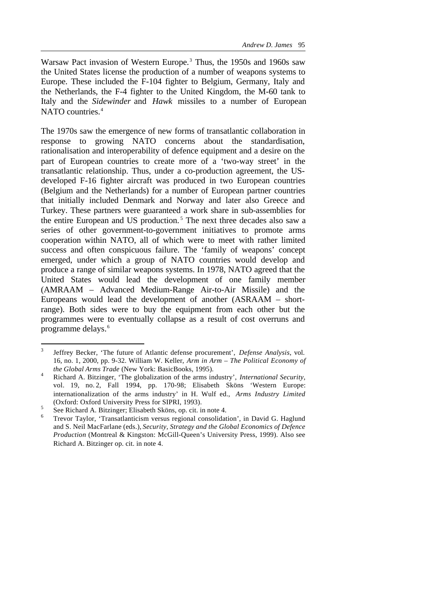Warsaw Pact invasion of Western Europe.<sup>3</sup> Thus, the 1950s and 1960s saw the United States license the production of a number of weapons systems to Europe. These included the F-104 fighter to Belgium, Germany, Italy and the Netherlands, the F-4 fighter to the United Kingdom, the M-60 tank to Italy and the *Sidewinder* and *Hawk* missiles to a number of European NATO countries.<sup>4</sup>

The 1970s saw the emergence of new forms of transatlantic collaboration in response to growing NATO concerns about the standardisation, rationalisation and interoperability of defence equipment and a desire on the part of European countries to create more of a 'two-way street' in the transatlantic relationship. Thus, under a co-production agreement, the USdeveloped F-16 fighter aircraft was produced in two European countries (Belgium and the Netherlands) for a number of European partner countries that initially included Denmark and Norway and later also Greece and Turkey. These partners were guaranteed a work share in sub-assemblies for the entire European and US production.<sup>5</sup> The next three decades also saw a series of other government-to-government initiatives to promote arms cooperation within NATO, all of which were to meet with rather limited success and often conspicuous failure. The 'family of weapons' concept emerged, under which a group of NATO countries would develop and produce a range of similar weapons systems. In 1978, NATO agreed that the United States would lead the development of one family member (AMRAAM – Advanced Medium-Range Air-to-Air Missile) and the Europeans would lead the development of another (ASRAAM – shortrange). Both sides were to buy the equipment from each other but the programmes were to eventually collapse as a result of cost overruns and programme delays.<sup>6</sup>

<sup>3</sup> Jeffrey Becker, 'The future of Atlantic defense procurement', *Defense Analysis*, vol. 16, no. 1, 2000, pp. 9-32. William W. Keller, *Arm in Arm – The Political Economy of the Global Arms Trade* (New York: BasicBooks, 1995).

<sup>4</sup> Richard A. Bitzinger, 'The globalization of the arms industry', *International Security*, vol. 19, no. 2, Fall 1994, pp. 170-98; Elisabeth Sköns 'Western Europe: internationalization of the arms industry' in H. Wulf ed., *Arms Industry Limited* (Oxford: Oxford University Press for SIPRI, 1993). 5

See Richard A. Bitzinger; Elisabeth Sköns, op. cit. in note 4.

<sup>6</sup> Trevor Taylor, 'Transatlanticism versus regional consolidation', in David G. Haglund and S. Neil MacFarlane (eds.), *Security, Strategy and the Global Economics of Defence Production* (Montreal & Kingston: McGill-Queen's University Press, 1999). Also see Richard A. Bitzinger op. cit. in note 4.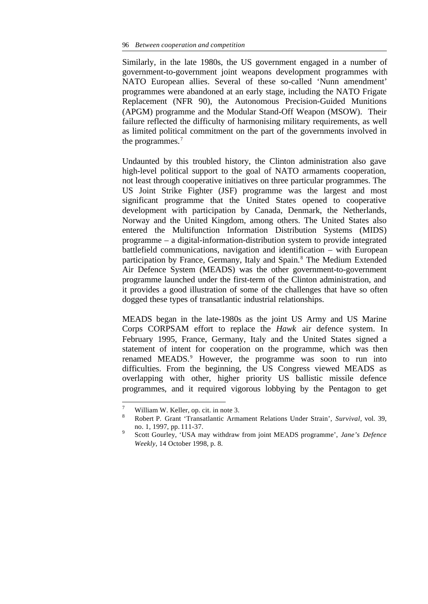Similarly, in the late 1980s, the US government engaged in a number of government-to-government joint weapons development programmes with NATO European allies. Several of these so-called 'Nunn amendment' programmes were abandoned at an early stage, including the NATO Frigate Replacement (NFR 90), the Autonomous Precision-Guided Munitions (APGM) programme and the Modular Stand-Off Weapon (MSOW). Their failure reflected the difficulty of harmonising military requirements, as well as limited political commitment on the part of the governments involved in the programmes.<sup>7</sup>

Undaunted by this troubled history, the Clinton administration also gave high-level political support to the goal of NATO armaments cooperation, not least through cooperative initiatives on three particular programmes. The US Joint Strike Fighter (JSF) programme was the largest and most significant programme that the United States opened to cooperative development with participation by Canada, Denmark, the Netherlands, Norway and the United Kingdom, among others. The United States also entered the Multifunction Information Distribution Systems (MIDS) programme – a digital-information-distribution system to provide integrated battlefield communications, navigation and identification – with European participation by France, Germany, Italy and Spain.<sup>8</sup> The Medium Extended Air Defence System (MEADS) was the other government-to-government programme launched under the first-term of the Clinton administration, and it provides a good illustration of some of the challenges that have so often dogged these types of transatlantic industrial relationships.

MEADS began in the late-1980s as the joint US Army and US Marine Corps CORPSAM effort to replace the *Hawk* air defence system. In February 1995, France, Germany, Italy and the United States signed a statement of intent for cooperation on the programme, which was then renamed MEADS.<sup>9</sup> However, the programme was soon to run into difficulties. From the beginning, the US Congress viewed MEADS as overlapping with other, higher priority US ballistic missile defence programmes, and it required vigorous lobbying by the Pentagon to get

 $\overline{7}$  $\frac{7}{8}$  William W. Keller, op. cit. in note 3.

<sup>8</sup> Robert P. Grant 'Transatlantic Armament Relations Under Strain', *Survival*, vol. 39, no. 1, 1997, pp. 111-37.

<sup>9</sup> Scott Gourley, 'USA may withdraw from joint MEADS programme', *Jane's Defence Weekly*, 14 October 1998, p. 8.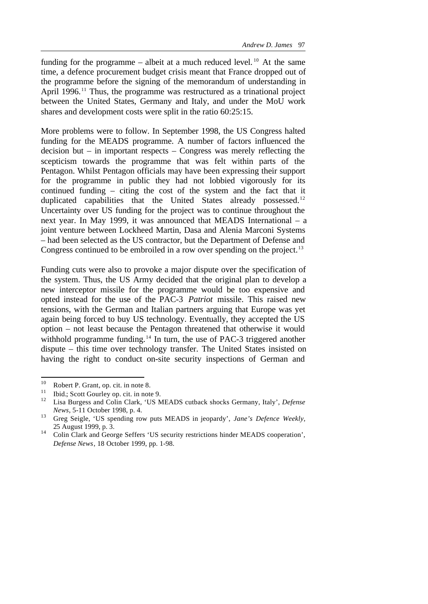funding for the programme – albeit at a much reduced level.<sup>10</sup> At the same time, a defence procurement budget crisis meant that France dropped out of the programme before the signing of the memorandum of understanding in April 1996.<sup>11</sup> Thus, the programme was restructured as a trinational project between the United States, Germany and Italy, and under the MoU work shares and development costs were split in the ratio 60:25:15.

More problems were to follow. In September 1998, the US Congress halted funding for the MEADS programme. A number of factors influenced the decision but – in important respects – Congress was merely reflecting the scepticism towards the programme that was felt within parts of the Pentagon. Whilst Pentagon officials may have been expressing their support for the programme in public they had not lobbied vigorously for its continued funding – citing the cost of the system and the fact that it duplicated capabilities that the United States already possessed.<sup>12</sup> Uncertainty over US funding for the project was to continue throughout the next year. In May 1999, it was announced that MEADS International – a joint venture between Lockheed Martin, Dasa and Alenia Marconi Systems – had been selected as the US contractor, but the Department of Defense and Congress continued to be embroiled in a row over spending on the project.<sup>13</sup>

Funding cuts were also to provoke a major dispute over the specification of the system. Thus, the US Army decided that the original plan to develop a new interceptor missile for the programme would be too expensive and opted instead for the use of the PAC-3 *Patriot* missile. This raised new tensions, with the German and Italian partners arguing that Europe was yet again being forced to buy US technology. Eventually, they accepted the US option – not least because the Pentagon threatened that otherwise it would withhold programme funding.<sup>14</sup> In turn, the use of PAC-3 triggered another dispute – this time over technology transfer. The United States insisted on having the right to conduct on-site security inspections of German and

<sup>10</sup>  $^{10}$  Robert P. Grant, op. cit. in note 8.

<sup>&</sup>lt;sup>11</sup> Ibid.; Scott Gourley op. cit. in note 9.<br><sup>12</sup> I iso Burgess and Colin Clark, 'US N.

<sup>12</sup> Lisa Burgess and Colin Clark, 'US MEADS cutback shocks Germany, Italy', *Defense News*, 5-11 October 1998, p. 4.

<sup>13</sup> Greg Seigle, 'US spending row puts MEADS in jeopardy', *Jane's Defence Weekly*, 25 August 1999, p. 3.

<sup>&</sup>lt;sup>14</sup> Colin Clark and George Seffers 'US security restrictions hinder MEADS cooperation', *Defense News*, 18 October 1999, pp. 1-98.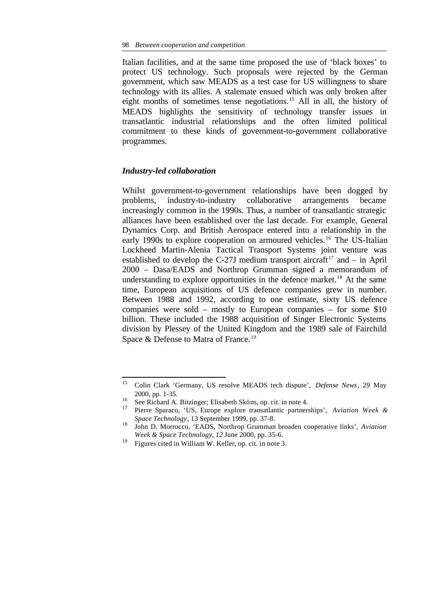Italian facilities, and at the same time proposed the use of 'black boxes' to protect US technology. Such proposals were rejected by the German government, which saw MEADS as a test case for US willingness to share technology with its allies. A stalemate ensued which was only broken after eight months of sometimes tense negotiations.<sup>15</sup> All in all, the history of MEADS highlights the sensitivity of technology transfer issues in transatlantic industrial relationships and the often limited political commitment to these kinds of government-to-government collaborative programmes.

## *Industry-led collaboration*

Whilst government-to-government relationships have been dogged by problems, industry-to-industry collaborative arrangements became increasingly common in the 1990s. Thus, a number of transatlantic strategic alliances have been established over the last decade. For example, General Dynamics Corp. and British Aerospace entered into a relationship in the early 1990s to explore cooperation on armoured vehicles.<sup>16</sup> The US-Italian Lockheed Martin-Alenia Tactical Transport Systems joint venture was established to develop the C-27J medium transport aircraft<sup>17</sup> and  $-$  in April 2000 – Dasa/EADS and Northrop Grumman signed a memorandum of understanding to explore opportunities in the defence market.<sup>18</sup> At the same time, European acquisitions of US defence companies grew in number. Between 1988 and 1992, according to one estimate, sixty US defence companies were sold – mostly to European companies – for some \$10 billion. These included the 1988 acquisition of Singer Electronic Systems division by Plessey of the United Kingdom and the 1989 sale of Fairchild Space & Defense to Matra of France.<sup>19</sup>

<sup>15</sup> <sup>15</sup> Colin Clark 'Germany, US resolve MEADS tech dispute', *Defense News*, 29 May 2000, pp. 1-35.

<sup>&</sup>lt;sup>16</sup> See Richard A. Bitzinger; Elisabeth Sköns, op. cit. in note 4.<br><sup>17</sup> Pierre Sparaco. 'US, Europe explore transatlantic partner

<sup>17</sup> Pierre Sparaco, 'US, Europe explore transatlantic partnerships', *Aviation Week & Space Technology*, 13 September 1999, pp. 37-8.

<sup>18</sup> John D. Morrocco, 'EADS, Northrop Grumman broaden cooperative links', *Aviation Week & Space Technology*, *12* June 2000, pp. 35-6.

<sup>19</sup> Figures cited in William W. Keller, op. cit. in note 3.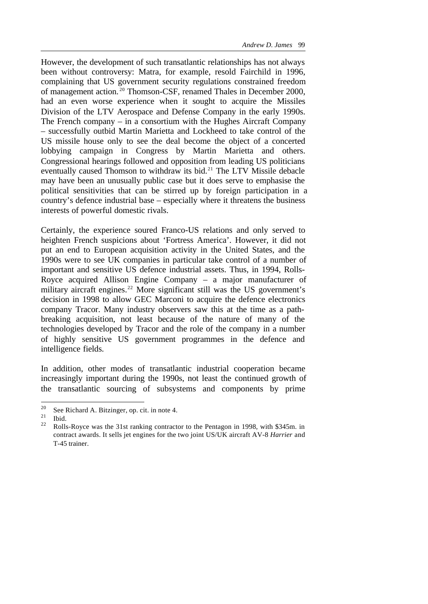However, the development of such transatlantic relationships has not always been without controversy: Matra, for example, resold Fairchild in 1996, complaining that US government security regulations constrained freedom of management action. <sup>20</sup> Thomson-CSF, renamed Thales in December 2000, had an even worse experience when it sought to acquire the Missiles Division of the LTV Aerospace and Defense Company in the early 1990s. The French company – in a consortium with the Hughes Aircraft Company – successfully outbid Martin Marietta and Lockheed to take control of the US missile house only to see the deal become the object of a concerted lobbying campaign in Congress by Martin Marietta and others. Congressional hearings followed and opposition from leading US politicians eventually caused Thomson to withdraw its bid.<sup>21</sup> The LTV Missile debacle may have been an unusually public case but it does serve to emphasise the political sensitivities that can be stirred up by foreign participation in a country's defence industrial base – especially where it threatens the business interests of powerful domestic rivals.

Certainly, the experience soured Franco-US relations and only served to heighten French suspicions about 'Fortress America'. However, it did not put an end to European acquisition activity in the United States, and the 1990s were to see UK companies in particular take control of a number of important and sensitive US defence industrial assets. Thus, in 1994, Rolls-Royce acquired Allison Engine Company – a major manufacturer of military aircraft engines.<sup>22</sup> More significant still was the US government's decision in 1998 to allow GEC Marconi to acquire the defence electronics company Tracor. Many industry observers saw this at the time as a pathbreaking acquisition, not least because of the nature of many of the technologies developed by Tracor and the role of the company in a number of highly sensitive US government programmes in the defence and intelligence fields.

In addition, other modes of transatlantic industrial cooperation became increasingly important during the 1990s, not least the continued growth of the transatlantic sourcing of subsystems and components by prime

 $20$ <sup>20</sup> See Richard A. Bitzinger, op. cit. in note 4.<br><sup>21</sup> Ibid.

 $\frac{21}{22}$  Ibid.

<sup>22</sup> Rolls-Royce was the 31st ranking contractor to the Pentagon in 1998, with \$345m. in contract awards. It sells jet engines for the two joint US/UK aircraft AV-8 *Harrier* and T-45 trainer.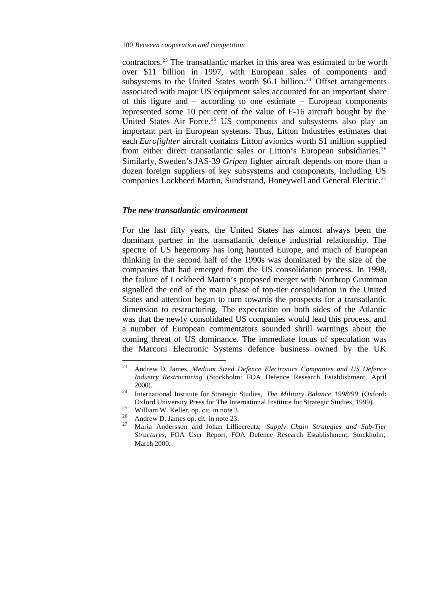contractors.<sup>23</sup> The transatlantic market in this area was estimated to be worth over \$11 billion in 1997, with European sales of components and subsystems to the United States worth  $$6.1$  billion.<sup>24</sup> Offset arrangements associated with major US equipment sales accounted for an important share of this figure and – according to one estimate – European components represented some 10 per cent of the value of F-16 aircraft bought by the United States Air Force.<sup>25</sup> US components and subsystems also play an important part in European systems. Thus, Litton Industries estimates that each *Eurofighter* aircraft contains Litton avionics worth \$1 million supplied from either direct transatlantic sales or Litton's European subsidiaries.<sup>26</sup> Similarly, Sweden's JAS-39 *Gripen* fighter aircraft depends on more than a dozen foreign suppliers of key subsystems and components, including US companies Lockheed Martin, Sundstrand, Honeywell and General Electric.<sup>27</sup>

### *The new transatlantic environment*

For the last fifty years, the United States has almost always been the dominant partner in the transatlantic defence industrial relationship. The spectre of US hegemony has long haunted Europe, and much of European thinking in the second half of the 1990s was dominated by the size of the companies that had emerged from the US consolidation process. In 1998, the failure of Lockheed Martin's proposed merger with Northrop Grumman signalled the end of the main phase of top-tier consolidation in the United States and attention began to turn towards the prospects for a transatlantic dimension to restructuring. The expectation on both sides of the Atlantic was that the newly consolidated US companies would lead this process, and a number of European commentators sounded shrill warnings about the coming threat of US dominance. The immediate focus of speculation was the Marconi Electronic Systems defence business owned by the UK

<sup>23</sup> Andrew D. James, *Medium Sized Defence Electronics Companies and US Defence Industry Restructuring* (Stockholm: FOA Defence Research Establishment, April 2000).

<sup>24</sup> International Institute for Strategic Studies, *The Military Balance 1998/99* (Oxford: Oxford University Press for The International Institute for Strategic Studies, 1999).

<sup>&</sup>lt;sup>25</sup> William W. Keller, op. cit. in note 3.

 $^{26}$  Andrew D. James op. cit. in note 23.

<sup>27</sup> Maria Andersson and Johan Lilliecreutz, *Supply Chain Strategies and Sub-Tier Structures*, FOA User Report, FOA Defence Research Establishment, Stockholm, March 2000.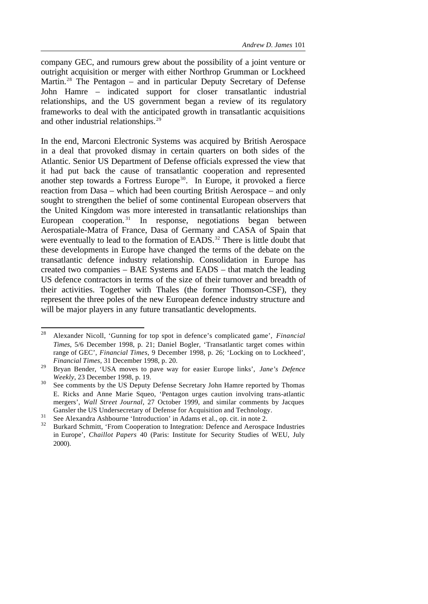company GEC, and rumours grew about the possibility of a joint venture or outright acquisition or merger with either Northrop Grumman or Lockheed Martin.<sup>28</sup> The Pentagon – and in particular Deputy Secretary of Defense John Hamre – indicated support for closer transatlantic industrial relationships, and the US government began a review of its regulatory frameworks to deal with the anticipated growth in transatlantic acquisitions and other industrial relationships.<sup>29</sup>

In the end, Marconi Electronic Systems was acquired by British Aerospace in a deal that provoked dismay in certain quarters on both sides of the Atlantic. Senior US Department of Defense officials expressed the view that it had put back the cause of transatlantic cooperation and represented another step towards a Fortress Europe<sup>30</sup>. In Europe, it provoked a fierce reaction from Dasa – which had been courting British Aerospace – and only sought to strengthen the belief of some continental European observers that the United Kingdom was more interested in transatlantic relationships than European cooperation.<sup>31</sup> In response, negotiations began between Aerospatiale-Matra of France, Dasa of Germany and CASA of Spain that were eventually to lead to the formation of EADS.<sup>32</sup> There is little doubt that these developments in Europe have changed the terms of the debate on the transatlantic defence industry relationship. Consolidation in Europe has created two companies – BAE Systems and EADS – that match the leading US defence contractors in terms of the size of their turnover and breadth of their activities. Together with Thales (the former Thomson-CSF), they represent the three poles of the new European defence industry structure and will be major players in any future transatlantic developments.

 $2\sqrt{8}$ <sup>28</sup> Alexander Nicoll, 'Gunning for top spot in defence's complicated game', *Financial Times*, 5/6 December 1998, p. 21; Daniel Bogler, 'Transatlantic target comes within range of GEC', *Financial Times*, 9 December 1998, p. 26; 'Locking on to Lockheed', *Financial Times*, 31 December 1998, p. 20.

<sup>29</sup> Bryan Bender, 'USA moves to pave way for easier Europe links', *Jane's Defence Weekly*, 23 December 1998, p. 19.

<sup>&</sup>lt;sup>30</sup> See comments by the US Deputy Defense Secretary John Hamre reported by Thomas E. Ricks and Anne Marie Squeo, 'Pentagon urges caution involving trans-atlantic mergers', *Wall Street Journal*, 27 October 1999, and similar comments by Jacques Gansler the US Undersecretary of Defense for Acquisition and Technology.

 $31$  See Alexandra Ashbourne 'Introduction' in Adams et al., op. cit. in note 2.

<sup>32</sup> Burkard Schmitt, 'From Cooperation to Integration: Defence and Aerospace Industries in Europe', *Chaillot Papers* 40 (Paris: Institute for Security Studies of WEU, July 2000).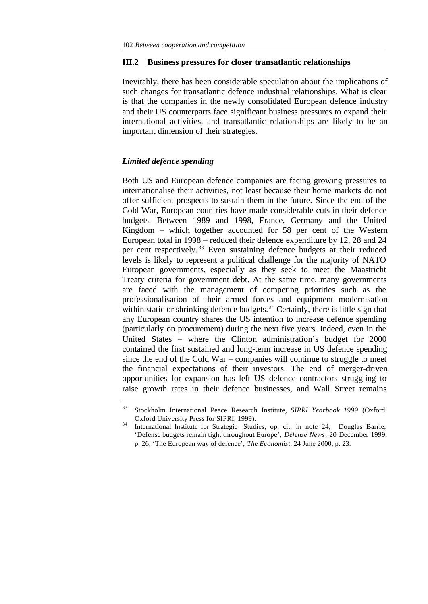#### **III.2 Business pressures for closer transatlantic relationships**

Inevitably, there has been considerable speculation about the implications of such changes for transatlantic defence industrial relationships. What is clear is that the companies in the newly consolidated European defence industry and their US counterparts face significant business pressures to expand their international activities, and transatlantic relationships are likely to be an important dimension of their strategies.

# *Limited defence spending*

l

Both US and European defence companies are facing growing pressures to internationalise their activities, not least because their home markets do not offer sufficient prospects to sustain them in the future. Since the end of the Cold War, European countries have made considerable cuts in their defence budgets. Between 1989 and 1998, France, Germany and the United Kingdom – which together accounted for 58 per cent of the Western European total in 1998 – reduced their defence expenditure by 12, 28 and 24 per cent respectively. <sup>33</sup> Even sustaining defence budgets at their reduced levels is likely to represent a political challenge for the majority of NATO European governments, especially as they seek to meet the Maastricht Treaty criteria for government debt. At the same time, many governments are faced with the management of competing priorities such as the professionalisation of their armed forces and equipment modernisation within static or shrinking defence budgets.<sup>34</sup> Certainly, there is little sign that any European country shares the US intention to increase defence spending (particularly on procurement) during the next five years. Indeed, even in the United States – where the Clinton administration's budget for 2000 contained the first sustained and long-term increase in US defence spending since the end of the Cold War – companies will continue to struggle to meet the financial expectations of their investors. The end of merger-driven opportunities for expansion has left US defence contractors struggling to raise growth rates in their defence businesses, and Wall Street remains

<sup>33</sup> Stockholm International Peace Research Institute, *SIPRI Yearbook 1999* (Oxford: Oxford University Press for SIPRI, 1999).

<sup>&</sup>lt;sup>34</sup> International Institute for Strategic Studies, op. cit. in note 24; Douglas Barrie, 'Defense budgets remain tight throughout Europe', *Defense News*, 20 December 1999, p. 26; 'The European way of defence', *The Economist*, 24 June 2000, p. 23.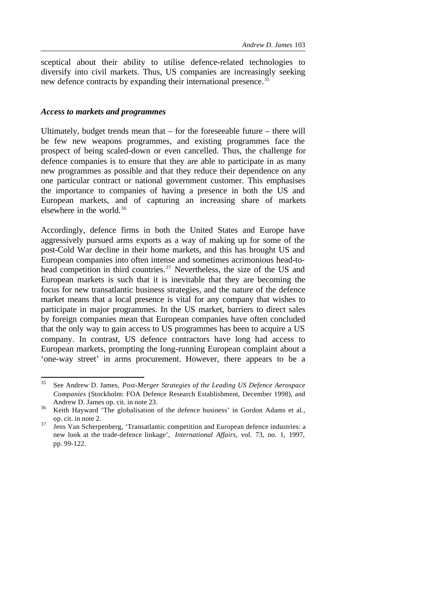sceptical about their ability to utilise defence-related technologies to diversify into civil markets. Thus, US companies are increasingly seeking new defence contracts by expanding their international presence.<sup>35</sup>

#### *Access to markets and programmes*

Ultimately, budget trends mean that – for the foreseeable future – there will be few new weapons programmes, and existing programmes face the prospect of being scaled-down or even cancelled. Thus, the challenge for defence companies is to ensure that they are able to participate in as many new programmes as possible and that they reduce their dependence on any one particular contract or national government customer. This emphasises the importance to companies of having a presence in both the US and European markets, and of capturing an increasing share of markets elsewhere in the world.<sup>36</sup>

Accordingly, defence firms in both the United States and Europe have aggressively pursued arms exports as a way of making up for some of the post-Cold War decline in their home markets, and this has brought US and European companies into often intense and sometimes acrimonious head-tohead competition in third countries.<sup>37</sup> Nevertheless, the size of the US and European markets is such that it is inevitable that they are becoming the focus for new transatlantic business strategies, and the nature of the defence market means that a local presence is vital for any company that wishes to participate in major programmes. In the US market, barriers to direct sales by foreign companies mean that European companies have often concluded that the only way to gain access to US programmes has been to acquire a US company. In contrast, US defence contractors have long had access to European markets, prompting the long-running European complaint about a 'one-way street' in arms procurement. However, there appears to be a

<sup>35</sup> <sup>35</sup> See Andrew D. James, *Post-Merger Strategies of the Leading US Defence Aerospace Companies* (Stockholm: FOA Defence Research Establishment, December 1998), and Andrew D. James op. cit. in note 23.

<sup>36</sup> Keith Hayward 'The globalisation of the defence business' in Gordon Adams et al., op. cit. in note 2.

 $37$  Jens Van Scherpenberg, 'Transatlantic competition and European defence industries: a new look at the trade-defence linkage', *International Affairs*, vol. 73, no. 1, 1997, pp. 99-122.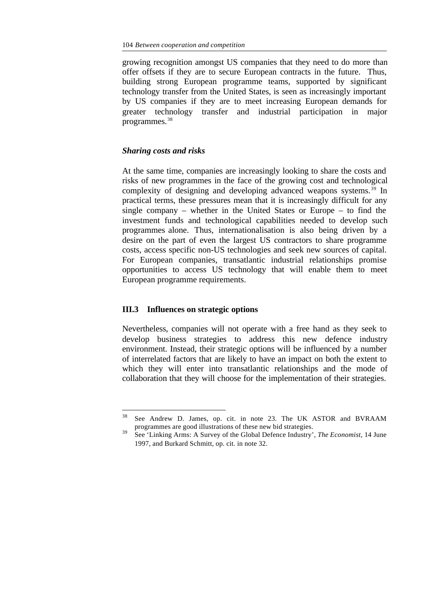growing recognition amongst US companies that they need to do more than offer offsets if they are to secure European contracts in the future. Thus, building strong European programme teams, supported by significant technology transfer from the United States, is seen as increasingly important by US companies if they are to meet increasing European demands for greater technology transfer and industrial participation in major programmes.<sup>38</sup>

#### *Sharing costs and risks*

At the same time, companies are increasingly looking to share the costs and risks of new programmes in the face of the growing cost and technological complexity of designing and developing advanced weapons systems.<sup>39</sup> In practical terms, these pressures mean that it is increasingly difficult for any single company – whether in the United States or Europe – to find the investment funds and technological capabilities needed to develop such programmes alone. Thus, internationalisation is also being driven by a desire on the part of even the largest US contractors to share programme costs, access specific non-US technologies and seek new sources of capital. For European companies, transatlantic industrial relationships promise opportunities to access US technology that will enable them to meet European programme requirements.

### **III.3 Influences on strategic options**

l

Nevertheless, companies will not operate with a free hand as they seek to develop business strategies to address this new defence industry environment. Instead, their strategic options will be influenced by a number of interrelated factors that are likely to have an impact on both the extent to which they will enter into transatlantic relationships and the mode of collaboration that they will choose for the implementation of their strategies.

<sup>38</sup> See Andrew D. James, op. cit. in note 23. The UK ASTOR and BVRAAM programmes are good illustrations of these new bid strategies.

<sup>39</sup> See 'Linking Arms: A Survey of the Global Defence Industry', *The Economist*, 14 June 1997, and Burkard Schmitt, op. cit. in note 32.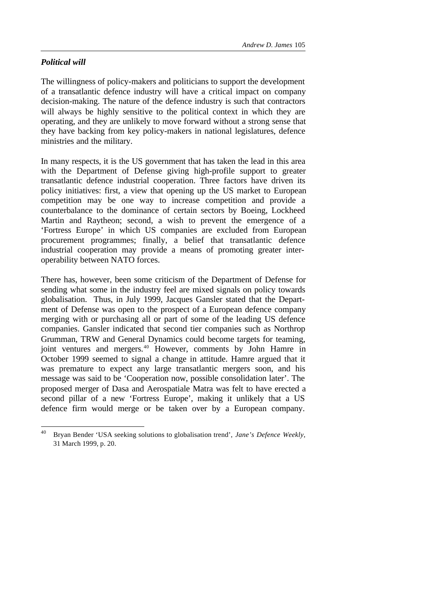# *Political will*

l

The willingness of policy-makers and politicians to support the development of a transatlantic defence industry will have a critical impact on company decision-making. The nature of the defence industry is such that contractors will always be highly sensitive to the political context in which they are operating, and they are unlikely to move forward without a strong sense that they have backing from key policy-makers in national legislatures, defence ministries and the military.

In many respects, it is the US government that has taken the lead in this area with the Department of Defense giving high-profile support to greater transatlantic defence industrial cooperation. Three factors have driven its policy initiatives: first, a view that opening up the US market to European competition may be one way to increase competition and provide a counterbalance to the dominance of certain sectors by Boeing, Lockheed Martin and Raytheon; second, a wish to prevent the emergence of a 'Fortress Europe' in which US companies are excluded from European procurement programmes; finally, a belief that transatlantic defence industrial cooperation may provide a means of promoting greater interoperability between NATO forces.

There has, however, been some criticism of the Department of Defense for sending what some in the industry feel are mixed signals on policy towards globalisation. Thus, in July 1999, Jacques Gansler stated that the Department of Defense was open to the prospect of a European defence company merging with or purchasing all or part of some of the leading US defence companies. Gansler indicated that second tier companies such as Northrop Grumman, TRW and General Dynamics could become targets for teaming, joint ventures and mergers.<sup>40</sup> However, comments by John Hamre in October 1999 seemed to signal a change in attitude. Hamre argued that it was premature to expect any large transatlantic mergers soon, and his message was said to be 'Cooperation now, possible consolidation later'. The proposed merger of Dasa and Aerospatiale Matra was felt to have erected a second pillar of a new 'Fortress Europe', making it unlikely that a US defence firm would merge or be taken over by a European company.

<sup>40</sup> Bryan Bender 'USA seeking solutions to globalisation trend', *Jane's Defence Weekly*, 31 March 1999, p. 20.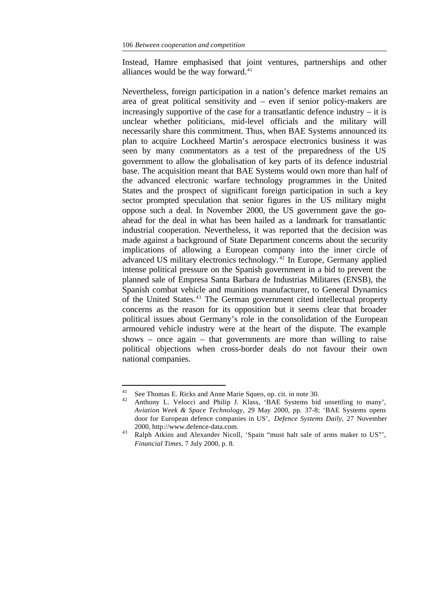Instead, Hamre emphasised that joint ventures, partnerships and other alliances would be the way forward.<sup>41</sup>

Nevertheless, foreign participation in a nation's defence market remains an area of great political sensitivity and – even if senior policy-makers are increasingly supportive of the case for a transatlantic defence industry – it is unclear whether politicians, mid-level officials and the military will necessarily share this commitment. Thus, when BAE Systems announced its plan to acquire Lockheed Martin's aerospace electronics business it was seen by many commentators as a test of the preparedness of the US government to allow the globalisation of key parts of its defence industrial base. The acquisition meant that BAE Systems would own more than half of the advanced electronic warfare technology programmes in the United States and the prospect of significant foreign participation in such a key sector prompted speculation that senior figures in the US military might oppose such a deal. In November 2000, the US government gave the goahead for the deal in what has been hailed as a landmark for transatlantic industrial cooperation. Nevertheless, it was reported that the decision was made against a background of State Department concerns about the security implications of allowing a European company into the inner circle of advanced US military electronics technology. <sup>42</sup> In Europe, Germany applied intense political pressure on the Spanish government in a bid to prevent the planned sale of Empresa Santa Barbara de Industrias Militares (ENSB), the Spanish combat vehicle and munitions manufacturer, to General Dynamics of the United States.<sup>43</sup> The German government cited intellectual property concerns as the reason for its opposition but it seems clear that broader political issues about Germany's role in the consolidation of the European armoured vehicle industry were at the heart of the dispute. The example shows – once again – that governments are more than willing to raise political objections when cross-border deals do not favour their own national companies.

 $41$ <sup>41</sup> See Thomas E. Ricks and Anne Marie Squeo, op. cit. in note 30.

Anthony L. Velocci and Philip J. Klass, 'BAE Systems bid unsettling to many', *Aviation Week & Space Technology*, 29 May 2000, pp. 37-8; 'BAE Systems opens door for European defence companies in US', *Defence Systems Daily*, 27 November 2000, http://www.defence-data.com.

<sup>43</sup> Ralph Atkins and Alexander Nicoll, 'Spain "must halt sale of arms maker to US"', *Financial Times*, 7 July 2000, p. 8.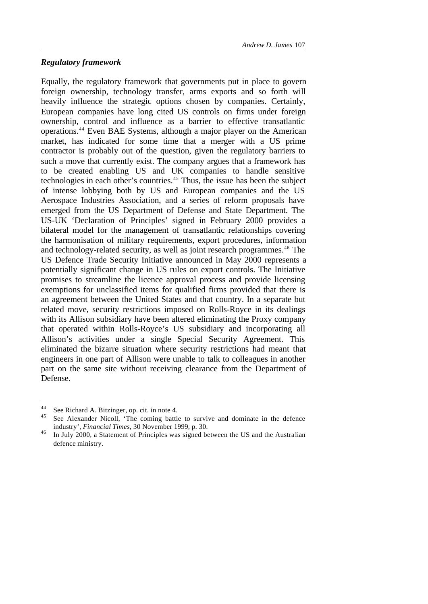# *Regulatory framework*

Equally, the regulatory framework that governments put in place to govern foreign ownership, technology transfer, arms exports and so forth will heavily influence the strategic options chosen by companies. Certainly, European companies have long cited US controls on firms under foreign ownership, control and influence as a barrier to effective transatlantic operations.<sup>44</sup> Even BAE Systems, although a major player on the American market, has indicated for some time that a merger with a US prime contractor is probably out of the question, given the regulatory barriers to such a move that currently exist. The company argues that a framework has to be created enabling US and UK companies to handle sensitive technologies in each other's countries.<sup>45</sup> Thus, the issue has been the subject of intense lobbying both by US and European companies and the US Aerospace Industries Association, and a series of reform proposals have emerged from the US Department of Defense and State Department. The US-UK 'Declaration of Principles' signed in February 2000 provides a bilateral model for the management of transatlantic relationships covering the harmonisation of military requirements, export procedures, information and technology-related security, as well as joint research programmes.<sup>46</sup> The US Defence Trade Security Initiative announced in May 2000 represents a potentially significant change in US rules on export controls. The Initiative promises to streamline the licence approval process and provide licensing exemptions for unclassified items for qualified firms provided that there is an agreement between the United States and that country. In a separate but related move, security restrictions imposed on Rolls-Royce in its dealings with its Allison subsidiary have been altered eliminating the Proxy company that operated within Rolls-Royce's US subsidiary and incorporating all Allison's activities under a single Special Security Agreement. This eliminated the bizarre situation where security restrictions had meant that engineers in one part of Allison were unable to talk to colleagues in another part on the same site without receiving clearance from the Department of Defense.

 $44$ See Richard A. Bitzinger, op. cit. in note 4.

<sup>45</sup> See Alexander Nicoll, 'The coming battle to survive and dominate in the defence industry', *Financial Times*, 30 November 1999, p. 30.

<sup>&</sup>lt;sup>46</sup> In July 2000, a Statement of Principles was signed between the US and the Australian defence ministry.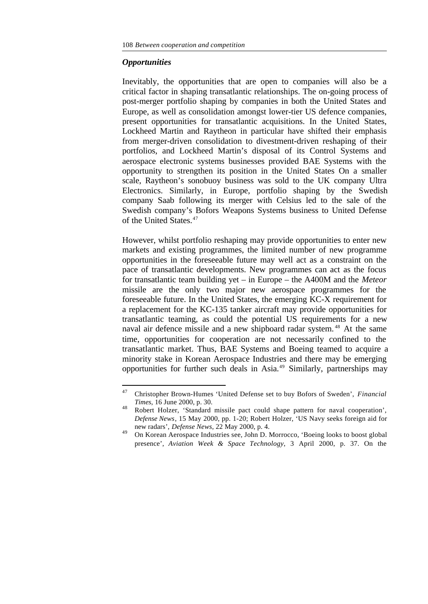#### *Opportunities*

Inevitably, the opportunities that are open to companies will also be a critical factor in shaping transatlantic relationships. The on-going process of post-merger portfolio shaping by companies in both the United States and Europe, as well as consolidation amongst lower-tier US defence companies, present opportunities for transatlantic acquisitions. In the United States, Lockheed Martin and Raytheon in particular have shifted their emphasis from merger-driven consolidation to divestment-driven reshaping of their portfolios, and Lockheed Martin's disposal of its Control Systems and aerospace electronic systems businesses provided BAE Systems with the opportunity to strengthen its position in the United States On a smaller scale, Raytheon's sonobuoy business was sold to the UK company Ultra Electronics. Similarly, in Europe, portfolio shaping by the Swedish company Saab following its merger with Celsius led to the sale of the Swedish company's Bofors Weapons Systems business to United Defense of the United States.<sup>47</sup>

However, whilst portfolio reshaping may provide opportunities to enter new markets and existing programmes, the limited number of new programme opportunities in the foreseeable future may well act as a constraint on the pace of transatlantic developments. New programmes can act as the focus for transatlantic team building yet – in Europe – the A400M and the *Meteor* missile are the only two major new aerospace programmes for the foreseeable future. In the United States, the emerging KC-X requirement for a replacement for the KC-135 tanker aircraft may provide opportunities for transatlantic teaming, as could the potential US requirements for a new naval air defence missile and a new shipboard radar system.<sup>48</sup> At the same time, opportunities for cooperation are not necessarily confined to the transatlantic market. Thus, BAE Systems and Boeing teamed to acquire a minority stake in Korean Aerospace Industries and there may be emerging opportunities for further such deals in Asia.<sup>49</sup> Similarly, partnerships may

 $47$ <sup>47</sup> Christopher Brown-Humes 'United Defense set to buy Bofors of Sweden', *Financial Times*, 16 June 2000, p. 30.

<sup>48</sup> Robert Holzer, 'Standard missile pact could shape pattern for naval cooperation', *Defense News*, 15 May 2000, pp. 1-20; Robert Holzer, 'US Navy seeks foreign aid for new radars', *Defense News*, 22 May 2000, p. 4.

<sup>49</sup> On Korean Aerospace Industries see, John D. Morrocco, 'Boeing looks to boost global presence', *Aviation Week & Space Technology*, 3 April 2000, p. 37. On the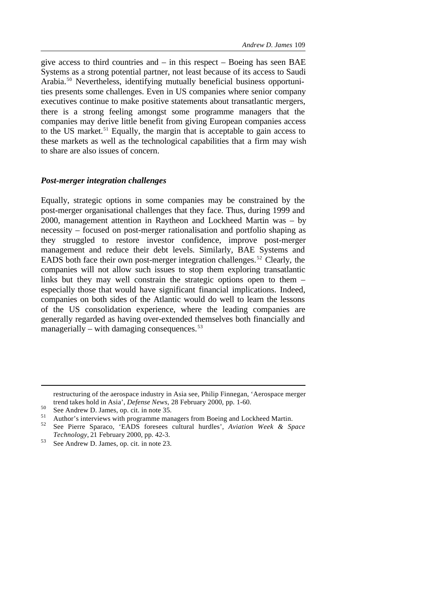give access to third countries and  $-$  in this respect  $-$  Boeing has seen BAE Systems as a strong potential partner, not least because of its access to Saudi Arabia.<sup>50</sup> Nevertheless, identifying mutually beneficial business opportunities presents some challenges. Even in US companies where senior company executives continue to make positive statements about transatlantic mergers, there is a strong feeling amongst some programme managers that the companies may derive little benefit from giving European companies access to the US market.<sup>51</sup> Equally, the margin that is acceptable to gain access to these markets as well as the technological capabilities that a firm may wish to share are also issues of concern.

#### *Post-merger integration challenges*

Equally, strategic options in some companies may be constrained by the post-merger organisational challenges that they face. Thus, during 1999 and 2000, management attention in Raytheon and Lockheed Martin was – by necessity – focused on post-merger rationalisation and portfolio shaping as they struggled to restore investor confidence, improve post-merger management and reduce their debt levels. Similarly, BAE Systems and EADS both face their own post-merger integration challenges.<sup>52</sup> Clearly, the companies will not allow such issues to stop them exploring transatlantic links but they may well constrain the strategic options open to them – especially those that would have significant financial implications. Indeed, companies on both sides of the Atlantic would do well to learn the lessons of the US consolidation experience, where the leading companies are generally regarded as having over-extended themselves both financially and managerially – with damaging consequences. $53$ 

restructuring of the aerospace industry in Asia see, Philip Finnegan, 'Aerospace merger trend takes hold in Asia', *Defense News*, 28 February 2000, pp. 1-60.

<sup>50</sup> See Andrew D. James, op. cit. in note 35.

<sup>&</sup>lt;sup>51</sup> Author's interviews with programme managers from Boeing and Lockheed Martin.<br><sup>52</sup> See Bigger Secrets, in RS ferrors, sultant hardler's Authority West of Sec

<sup>52</sup> See Pierre Sparaco, 'EADS foresees cultural hurdles', *Aviation Week & Space Technology*, 21 February 2000, pp. 42-3.

<sup>53</sup> See Andrew D. James, op. cit. in note 23.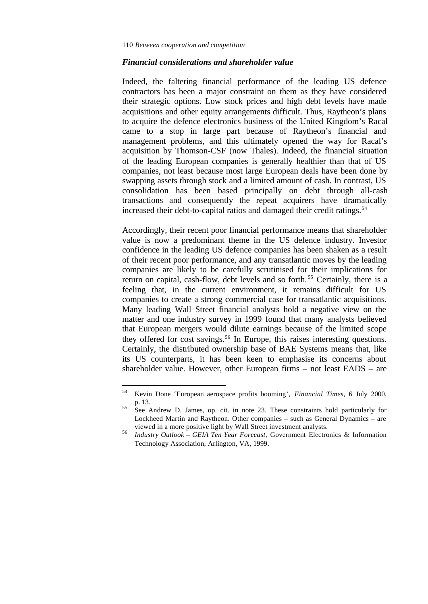l

## *Financial considerations and shareholder value*

Indeed, the faltering financial performance of the leading US defence contractors has been a major constraint on them as they have considered their strategic options. Low stock prices and high debt levels have made acquisitions and other equity arrangements difficult. Thus, Raytheon's plans to acquire the defence electronics business of the United Kingdom's Racal came to a stop in large part because of Raytheon's financial and management problems, and this ultimately opened the way for Racal's acquisition by Thomson-CSF (now Thales). Indeed, the financial situation of the leading European companies is generally healthier than that of US companies, not least because most large European deals have been done by swapping assets through stock and a limited amount of cash. In contrast, US consolidation has been based principally on debt through all-cash transactions and consequently the repeat acquirers have dramatically increased their debt-to-capital ratios and damaged their credit ratings.<sup>54</sup>

Accordingly, their recent poor financial performance means that shareholder value is now a predominant theme in the US defence industry. Investor confidence in the leading US defence companies has been shaken as a result of their recent poor performance, and any transatlantic moves by the leading companies are likely to be carefully scrutinised for their implications for return on capital, cash-flow, debt levels and so forth.<sup>55</sup> Certainly, there is a feeling that, in the current environment, it remains difficult for US companies to create a strong commercial case for transatlantic acquisitions. Many leading Wall Street financial analysts hold a negative view on the matter and one industry survey in 1999 found that many analysts believed that European mergers would dilute earnings because of the limited scope they offered for cost savings.<sup>56</sup> In Europe, this raises interesting questions. Certainly, the distributed ownership base of BAE Systems means that, like its US counterparts, it has been keen to emphasise its concerns about shareholder value. However, other European firms – not least EADS – are

<sup>54</sup> Kevin Done 'European aerospace profits booming', *Financial Times*, 6 July 2000, p. 13.

<sup>55</sup> See Andrew D. James, op. cit. in note 23. These constraints hold particularly for Lockheed Martin and Raytheon. Other companies – such as General Dynamics – are viewed in a more positive light by Wall Street investment analysts.

<sup>56</sup> *Industry Outlook – GEIA Ten Year Forecast*, Government Electronics & Information Technology Association, Arlington, VA, 1999.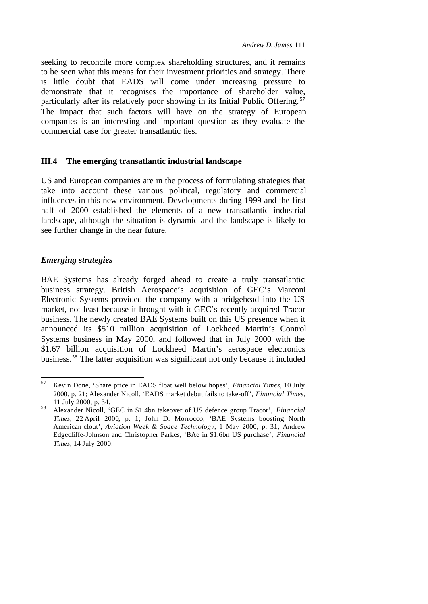seeking to reconcile more complex shareholding structures, and it remains to be seen what this means for their investment priorities and strategy. There is little doubt that EADS will come under increasing pressure to demonstrate that it recognises the importance of shareholder value, particularly after its relatively poor showing in its Initial Public Offering.<sup>57</sup> The impact that such factors will have on the strategy of European companies is an interesting and important question as they evaluate the commercial case for greater transatlantic ties.

# **III.4 The emerging transatlantic industrial landscape**

US and European companies are in the process of formulating strategies that take into account these various political, regulatory and commercial influences in this new environment. Developments during 1999 and the first half of 2000 established the elements of a new transatlantic industrial landscape, although the situation is dynamic and the landscape is likely to see further change in the near future.

# *Emerging strategies*

BAE Systems has already forged ahead to create a truly transatlantic business strategy. British Aerospace's acquisition of GEC's Marconi Electronic Systems provided the company with a bridgehead into the US market, not least because it brought with it GEC's recently acquired Tracor business. The newly created BAE Systems built on this US presence when it announced its \$510 million acquisition of Lockheed Martin's Control Systems business in May 2000, and followed that in July 2000 with the \$1.67 billion acquisition of Lockheed Martin's aerospace electronics business.<sup>58</sup> The latter acquisition was significant not only because it included

<sup>57</sup> <sup>57</sup> Kevin Done, 'Share price in EADS float well below hopes', *Financial Times*, 10 July 2000, p. 21; Alexander Nicoll, 'EADS market debut fails to take-off', *Financial Times*, 11 July 2000, p. 34.

<sup>58</sup> Alexander Nicoll, 'GEC in \$1.4bn takeover of US defence group Tracor', *Financial Times*, 22 April 2000**,** p. 1; John D. Morrocco, 'BAE Systems boosting North American clout', *Aviation Week & Space Technology*, 1 May 2000, p. 31; Andrew Edgecliffe-Johnson and Christopher Parkes, 'BAe in \$1.6bn US purchase', *Financial Times*, 14 July 2000.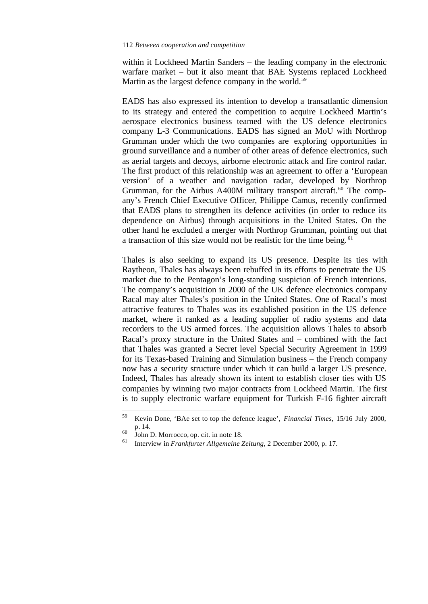within it Lockheed Martin Sanders – the leading company in the electronic warfare market – but it also meant that BAE Systems replaced Lockheed Martin as the largest defence company in the world.<sup>59</sup>

EADS has also expressed its intention to develop a transatlantic dimension to its strategy and entered the competition to acquire Lockheed Martin's aerospace electronics business teamed with the US defence electronics company L-3 Communications. EADS has signed an MoU with Northrop Grumman under which the two companies are exploring opportunities in ground surveillance and a number of other areas of defence electronics, such as aerial targets and decoys, airborne electronic attack and fire control radar. The first product of this relationship was an agreement to offer a 'European version' of a weather and navigation radar, developed by Northrop Grumman, for the Airbus A400M military transport aircraft.<sup>60</sup> The company's French Chief Executive Officer, Philippe Camus, recently confirmed that EADS plans to strengthen its defence activities (in order to reduce its dependence on Airbus) through acquisitions in the United States. On the other hand he excluded a merger with Northrop Grumman, pointing out that a transaction of this size would not be realistic for the time being. <sup>61</sup>

Thales is also seeking to expand its US presence. Despite its ties with Raytheon, Thales has always been rebuffed in its efforts to penetrate the US market due to the Pentagon's long-standing suspicion of French intentions. The company's acquisition in 2000 of the UK defence electronics company Racal may alter Thales's position in the United States. One of Racal's most attractive features to Thales was its established position in the US defence market, where it ranked as a leading supplier of radio systems and data recorders to the US armed forces. The acquisition allows Thales to absorb Racal's proxy structure in the United States and – combined with the fact that Thales was granted a Secret level Special Security Agreement in 1999 for its Texas-based Training and Simulation business – the French company now has a security structure under which it can build a larger US presence. Indeed, Thales has already shown its intent to establish closer ties with US companies by winning two major contracts from Lockheed Martin. The first is to supply electronic warfare equipment for Turkish F-16 fighter aircraft

<sup>59</sup> Kevin Done, 'BAe set to top the defence league', *Financial Times*, 15/16 July 2000, p. 14.

 $^{60}$  John D. Morrocco, op. cit. in note 18.

<sup>61</sup> Interview in *Frankfurter Allgemeine Zeitung*, 2 December 2000, p. 17.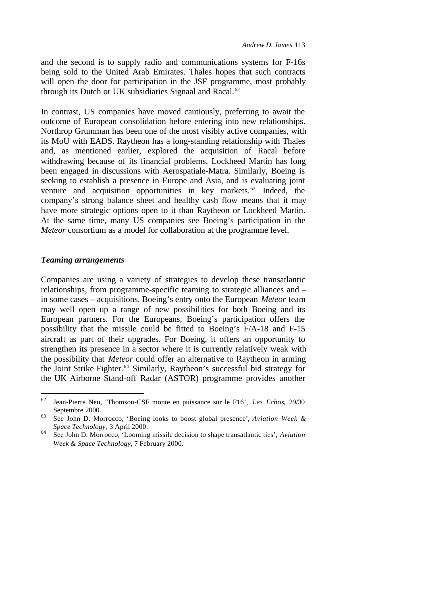and the second is to supply radio and communications systems for F-16s being sold to the United Arab Emirates. Thales hopes that such contracts will open the door for participation in the JSF programme, most probably through its Dutch or UK subsidiaries Signaal and Racal.<sup>62</sup>

In contrast, US companies have moved cautiously, preferring to await the outcome of European consolidation before entering into new relationships. Northrop Grumman has been one of the most visibly active companies, with its MoU with EADS. Raytheon has a long-standing relationship with Thales and, as mentioned earlier, explored the acquisition of Racal before withdrawing because of its financial problems. Lockheed Martin has long been engaged in discussions with Aerospatiale-Matra. Similarly, Boeing is seeking to establish a presence in Europe and Asia, and is evaluating joint venture and acquisition opportunities in key markets.<sup>63</sup> Indeed, the company's strong balance sheet and healthy cash flow means that it may have more strategic options open to it than Raytheon or Lockheed Martin. At the same time, many US companies see Boeing's participation in the *Meteor* consortium as a model for collaboration at the programme level.

#### *Teaming arrangements*

l

Companies are using a variety of strategies to develop these transatlantic relationships, from programme-specific teaming to strategic alliances and – in some cases – acquisitions. Boeing's entry onto the European *Meteor* team may well open up a range of new possibilities for both Boeing and its European partners. For the Europeans, Boeing's participation offers the possibility that the missile could be fitted to Boeing's F/A-18 and F-15 aircraft as part of their upgrades. For Boeing, it offers an opportunity to strengthen its presence in a sector where it is currently relatively weak with the possibility that *Meteor* could offer an alternative to Raytheon in arming the Joint Strike Fighter.<sup>64</sup> Similarly, Raytheon's successful bid strategy for the UK Airborne Stand-off Radar (ASTOR) programme provides another

<sup>62</sup> Jean-Pierre Neu, 'Thomson-CSF monte en puissance sur le F16', *Les Echos*, 29/30 Septembre 2000.

<sup>63</sup> See John D. Morrocco, 'Boeing looks to boost global presence', *Aviation Week & Space Technology*, 3 April 2000.

<sup>64</sup> See John D. Morrocco, 'Looming missile decision to shape transatlantic ties', *Aviation Week & Space Technology*, 7 February 2000.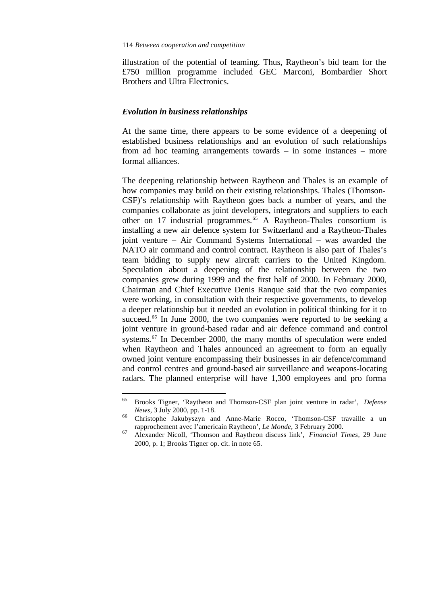illustration of the potential of teaming. Thus, Raytheon's bid team for the £750 million programme included GEC Marconi, Bombardier Short Brothers and Ultra Electronics.

#### *Evolution in business relationships*

l

At the same time, there appears to be some evidence of a deepening of established business relationships and an evolution of such relationships from ad hoc teaming arrangements towards – in some instances – more formal alliances.

The deepening relationship between Raytheon and Thales is an example of how companies may build on their existing relationships. Thales (Thomson-CSF)'s relationship with Raytheon goes back a number of years, and the companies collaborate as joint developers, integrators and suppliers to each other on 17 industrial programmes.<sup>65</sup> A Raytheon-Thales consortium is installing a new air defence system for Switzerland and a Raytheon-Thales joint venture – Air Command Systems International – was awarded the NATO air command and control contract. Raytheon is also part of Thales's team bidding to supply new aircraft carriers to the United Kingdom. Speculation about a deepening of the relationship between the two companies grew during 1999 and the first half of 2000. In February 2000, Chairman and Chief Executive Denis Ranque said that the two companies were working, in consultation with their respective governments, to develop a deeper relationship but it needed an evolution in political thinking for it to succeed.<sup>66</sup> In June 2000, the two companies were reported to be seeking a joint venture in ground-based radar and air defence command and control systems.<sup>67</sup> In December 2000, the many months of speculation were ended when Raytheon and Thales announced an agreement to form an equally owned joint venture encompassing their businesses in air defence/command and control centres and ground-based air surveillance and weapons-locating radars. The planned enterprise will have 1,300 employees and pro forma

<sup>65</sup> Brooks Tigner, 'Raytheon and Thomson-CSF plan joint venture in radar', *Defense News*, 3 July 2000, pp. 1-18.

<sup>66</sup> Christophe Jakubyszyn and Anne-Marie Rocco, 'Thomson-CSF travaille a un rapprochement avec l'americain Raytheon', *Le Monde,* 3 February 2000.

<sup>67</sup> Alexander Nicoll, 'Thomson and Raytheon discuss link', *Financial Times*, 29 June 2000, p. 1; Brooks Tigner op. cit. in note 65.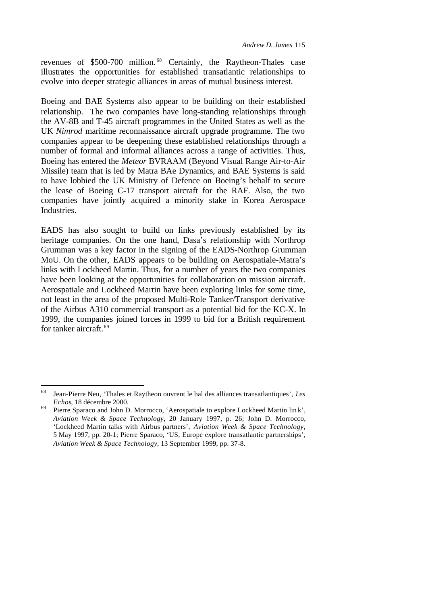revenues of \$500-700 million. <sup>68</sup> Certainly, the Raytheon-Thales case illustrates the opportunities for established transatlantic relationships to evolve into deeper strategic alliances in areas of mutual business interest.

Boeing and BAE Systems also appear to be building on their established relationship. The two companies have long-standing relationships through the AV-8B and T-45 aircraft programmes in the United States as well as the UK *Nimrod* maritime reconnaissance aircraft upgrade programme. The two companies appear to be deepening these established relationships through a number of formal and informal alliances across a range of activities. Thus, Boeing has entered the *Meteor* BVRAAM (Beyond Visual Range Air-to-Air Missile) team that is led by Matra BAe Dynamics, and BAE Systems is said to have lobbied the UK Ministry of Defence on Boeing's behalf to secure the lease of Boeing C-17 transport aircraft for the RAF. Also, the two companies have jointly acquired a minority stake in Korea Aerospace Industries.

EADS has also sought to build on links previously established by its heritage companies. On the one hand, Dasa's relationship with Northrop Grumman was a key factor in the signing of the EADS-Northrop Grumman MoU. On the other, EADS appears to be building on Aerospatiale-Matra's links with Lockheed Martin. Thus, for a number of years the two companies have been looking at the opportunities for collaboration on mission aircraft. Aerospatiale and Lockheed Martin have been exploring links for some time, not least in the area of the proposed Multi-Role Tanker/Transport derivative of the Airbus A310 commercial transport as a potential bid for the KC-X. In 1999, the companies joined forces in 1999 to bid for a British requirement for tanker aircraft.<sup>69</sup>

<sup>68</sup> Jean-Pierre Neu, 'Thales et Raytheon ouvrent le bal des alliances transatlantiques', *Les Echos*, 18 décembre 2000.

<sup>&</sup>lt;sup>69</sup> Pierre Sparaco and John D. Morrocco, 'Aerospatiale to explore Lockheed Martin lin k', *Aviation Week & Space Technology*, 20 January 1997, p. 26; John D. Morrocco, 'Lockheed Martin talks with Airbus partners', *Aviation Week & Space Technology*, 5 May 1997, pp. 20-1; Pierre Sparaco, 'US, Europe explore transatlantic partnerships', *Aviation Week & Space Technology*, 13 September 1999, pp. 37-8.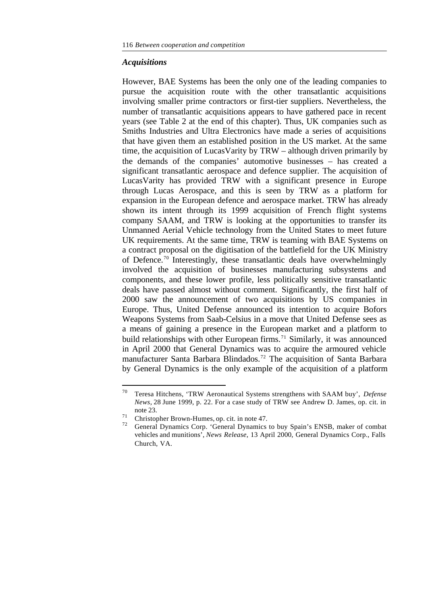#### *Acquisitions*

However, BAE Systems has been the only one of the leading companies to pursue the acquisition route with the other transatlantic acquisitions involving smaller prime contractors or first-tier suppliers. Nevertheless, the number of transatlantic acquisitions appears to have gathered pace in recent years (see Table 2 at the end of this chapter). Thus, UK companies such as Smiths Industries and Ultra Electronics have made a series of acquisitions that have given them an established position in the US market. At the same time, the acquisition of LucasVarity by TRW – although driven primarily by the demands of the companies' automotive businesses – has created a significant transatlantic aerospace and defence supplier. The acquisition of LucasVarity has provided TRW with a significant presence in Europe through Lucas Aerospace, and this is seen by TRW as a platform for expansion in the European defence and aerospace market. TRW has already shown its intent through its 1999 acquisition of French flight systems company SAAM, and TRW is looking at the opportunities to transfer its Unmanned Aerial Vehicle technology from the United States to meet future UK requirements. At the same time, TRW is teaming with BAE Systems on a contract proposal on the digitisation of the battlefield for the UK Ministry of Defence.<sup>70</sup> Interestingly, these transatlantic deals have overwhelmingly involved the acquisition of businesses manufacturing subsystems and components, and these lower profile, less politically sensitive transatlantic deals have passed almost without comment. Significantly, the first half of 2000 saw the announcement of two acquisitions by US companies in Europe. Thus, United Defense announced its intention to acquire Bofors Weapons Systems from Saab-Celsius in a move that United Defense sees as a means of gaining a presence in the European market and a platform to build relationships with other European firms.<sup>71</sup> Similarly, it was announced in April 2000 that General Dynamics was to acquire the armoured vehicle manufacturer Santa Barbara Blindados.<sup>72</sup> The acquisition of Santa Barbara by General Dynamics is the only example of the acquisition of a platform

<sup>70</sup> Teresa Hitchens, 'TRW Aeronautical Systems strengthens with SAAM buy', *Defense News*, 28 June 1999, p. 22. For a case study of TRW see Andrew D. James, op. cit. in note 23.

<sup>71</sup> Christopher Brown-Humes, op. cit. in note 47.

<sup>72</sup> General Dynamics Corp. 'General Dynamics to buy Spain's ENSB, maker of combat vehicles and munitions', *News Release*, 13 April 2000, General Dynamics Corp., Falls Church, VA.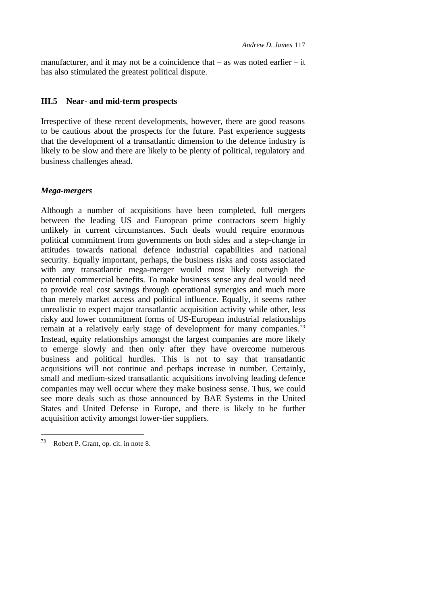manufacturer, and it may not be a coincidence that – as was noted earlier – it has also stimulated the greatest political dispute.

## **III.5 Near- and mid-term prospects**

Irrespective of these recent developments, however, there are good reasons to be cautious about the prospects for the future. Past experience suggests that the development of a transatlantic dimension to the defence industry is likely to be slow and there are likely to be plenty of political, regulatory and business challenges ahead.

# *Mega-mergers*

Although a number of acquisitions have been completed, full mergers between the leading US and European prime contractors seem highly unlikely in current circumstances. Such deals would require enormous political commitment from governments on both sides and a step-change in attitudes towards national defence industrial capabilities and national security. Equally important, perhaps, the business risks and costs associated with any transatlantic mega-merger would most likely outweigh the potential commercial benefits. To make business sense any deal would need to provide real cost savings through operational synergies and much more than merely market access and political influence. Equally, it seems rather unrealistic to expect major transatlantic acquisition activity while other, less risky and lower commitment forms of US-European industrial relationships remain at a relatively early stage of development for many companies.<sup>73</sup> Instead, equity relationships amongst the largest companies are more likely to emerge slowly and then only after they have overcome numerous business and political hurdles. This is not to say that transatlantic acquisitions will not continue and perhaps increase in number. Certainly, small and medium-sized transatlantic acquisitions involving leading defence companies may well occur where they make business sense. Thus, we could see more deals such as those announced by BAE Systems in the United States and United Defense in Europe, and there is likely to be further acquisition activity amongst lower-tier suppliers.

<sup>73</sup> Robert P. Grant, op. cit. in note 8.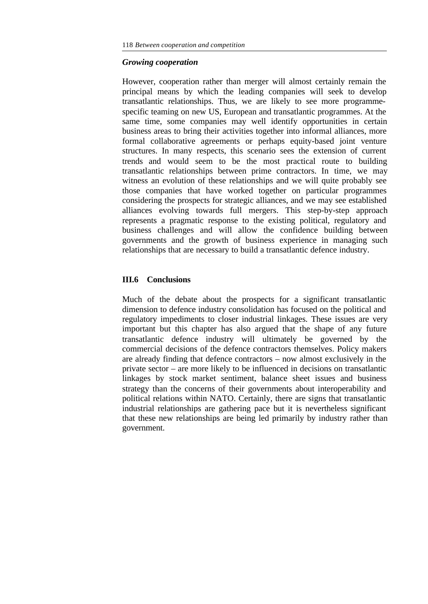## *Growing cooperation*

However, cooperation rather than merger will almost certainly remain the principal means by which the leading companies will seek to develop transatlantic relationships. Thus, we are likely to see more programmespecific teaming on new US, European and transatlantic programmes. At the same time, some companies may well identify opportunities in certain business areas to bring their activities together into informal alliances, more formal collaborative agreements or perhaps equity-based joint venture structures. In many respects, this scenario sees the extension of current trends and would seem to be the most practical route to building transatlantic relationships between prime contractors. In time, we may witness an evolution of these relationships and we will quite probably see those companies that have worked together on particular programmes considering the prospects for strategic alliances, and we may see established alliances evolving towards full mergers. This step-by-step approach represents a pragmatic response to the existing political, regulatory and business challenges and will allow the confidence building between governments and the growth of business experience in managing such relationships that are necessary to build a transatlantic defence industry.

#### **III.6 Conclusions**

Much of the debate about the prospects for a significant transatlantic dimension to defence industry consolidation has focused on the political and regulatory impediments to closer industrial linkages. These issues are very important but this chapter has also argued that the shape of any future transatlantic defence industry will ultimately be governed by the commercial decisions of the defence contractors themselves. Policy makers are already finding that defence contractors – now almost exclusively in the private sector – are more likely to be influenced in decisions on transatlantic linkages by stock market sentiment, balance sheet issues and business strategy than the concerns of their governments about interoperability and political relations within NATO. Certainly, there are signs that transatlantic industrial relationships are gathering pace but it is nevertheless significant that these new relationships are being led primarily by industry rather than government.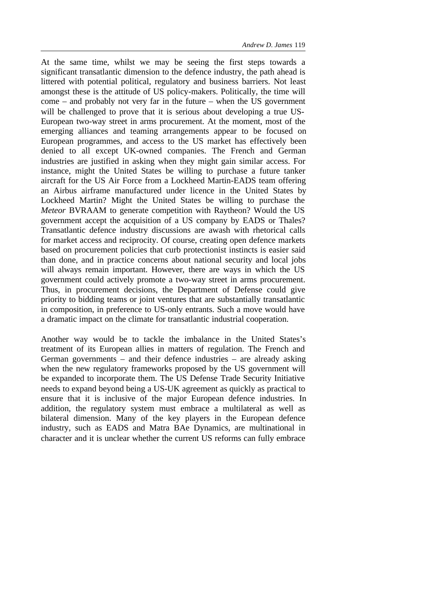At the same time, whilst we may be seeing the first steps towards a significant transatlantic dimension to the defence industry, the path ahead is littered with potential political, regulatory and business barriers. Not least amongst these is the attitude of US policy-makers. Politically, the time will come – and probably not very far in the future – when the US government will be challenged to prove that it is serious about developing a true US-European two-way street in arms procurement. At the moment, most of the emerging alliances and teaming arrangements appear to be focused on European programmes, and access to the US market has effectively been denied to all except UK-owned companies. The French and German industries are justified in asking when they might gain similar access. For instance, might the United States be willing to purchase a future tanker aircraft for the US Air Force from a Lockheed Martin-EADS team offering an Airbus airframe manufactured under licence in the United States by Lockheed Martin? Might the United States be willing to purchase the *Meteor* BVRAAM to generate competition with Raytheon? Would the US government accept the acquisition of a US company by EADS or Thales? Transatlantic defence industry discussions are awash with rhetorical calls for market access and reciprocity. Of course, creating open defence markets based on procurement policies that curb protectionist instincts is easier said than done, and in practice concerns about national security and local jobs will always remain important. However, there are ways in which the US government could actively promote a two-way street in arms procurement. Thus, in procurement decisions, the Department of Defense could give priority to bidding teams or joint ventures that are substantially transatlantic in composition, in preference to US-only entrants. Such a move would have a dramatic impact on the climate for transatlantic industrial cooperation.

Another way would be to tackle the imbalance in the United States's treatment of its European allies in matters of regulation. The French and German governments – and their defence industries – are already asking when the new regulatory frameworks proposed by the US government will be expanded to incorporate them. The US Defense Trade Security Initiative needs to expand beyond being a US-UK agreement as quickly as practical to ensure that it is inclusive of the major European defence industries. In addition, the regulatory system must embrace a multilateral as well as bilateral dimension. Many of the key players in the European defence industry, such as EADS and Matra BAe Dynamics, are multinational in character and it is unclear whether the current US reforms can fully embrace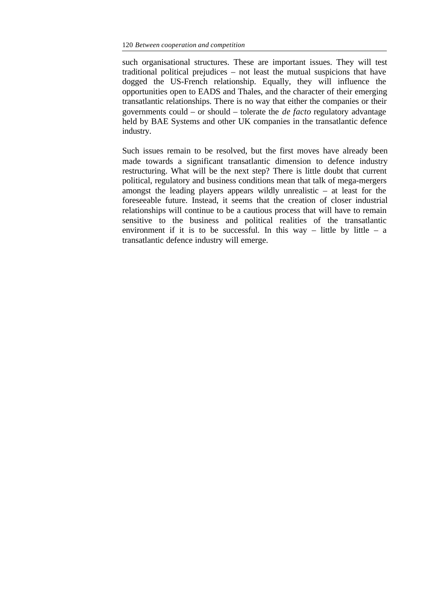such organisational structures. These are important issues. They will test traditional political prejudices – not least the mutual suspicions that have dogged the US-French relationship. Equally, they will influence the opportunities open to EADS and Thales, and the character of their emerging transatlantic relationships. There is no way that either the companies or their governments could – or should – tolerate the *de facto* regulatory advantage held by BAE Systems and other UK companies in the transatlantic defence industry.

Such issues remain to be resolved, but the first moves have already been made towards a significant transatlantic dimension to defence industry restructuring. What will be the next step? There is little doubt that current political, regulatory and business conditions mean that talk of mega-mergers amongst the leading players appears wildly unrealistic – at least for the foreseeable future. Instead, it seems that the creation of closer industrial relationships will continue to be a cautious process that will have to remain sensitive to the business and political realities of the transatlantic environment if it is to be successful. In this way – little by little – a transatlantic defence industry will emerge.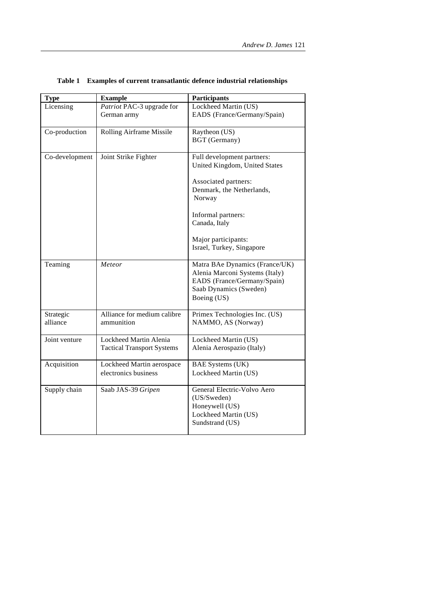| <b>Type</b>           | <b>Example</b>                                              | <b>Participants</b>                                                                                                                      |
|-----------------------|-------------------------------------------------------------|------------------------------------------------------------------------------------------------------------------------------------------|
| Licensing             | Patriot PAC-3 upgrade for<br>German army                    | Lockheed Martin (US)<br>EADS (France/Germany/Spain)                                                                                      |
| Co-production         | Rolling Airframe Missile                                    | Raytheon (US)<br><b>BGT</b> (Germany)                                                                                                    |
| Co-development        | Joint Strike Fighter                                        | Full development partners:<br>United Kingdom, United States<br>Associated partners:<br>Denmark, the Netherlands,<br>Norway               |
|                       |                                                             | Informal partners:<br>Canada, Italy<br>Major participants:<br>Israel, Turkey, Singapore                                                  |
| Teaming               | Meteor                                                      | Matra BAe Dynamics (France/UK)<br>Alenia Marconi Systems (Italy)<br>EADS (France/Germany/Spain)<br>Saab Dynamics (Sweden)<br>Boeing (US) |
| Strategic<br>alliance | Alliance for medium calibre<br>ammunition                   | Primex Technologies Inc. (US)<br>NAMMO, AS (Norway)                                                                                      |
| Joint venture         | Lockheed Martin Alenia<br><b>Tactical Transport Systems</b> | Lockheed Martin (US)<br>Alenia Aerospazio (Italy)                                                                                        |
| Acquisition           | Lockheed Martin aerospace<br>electronics business           | <b>BAE Systems (UK)</b><br>Lockheed Martin (US)                                                                                          |
| Supply chain          | Saab JAS-39 Gripen                                          | General Electric-Volvo Aero<br>(US/Sweden)<br>Honeywell (US)<br>Lockheed Martin (US)<br>Sundstrand (US)                                  |

# **Table 1 Examples of current transatlantic defence industrial relationships**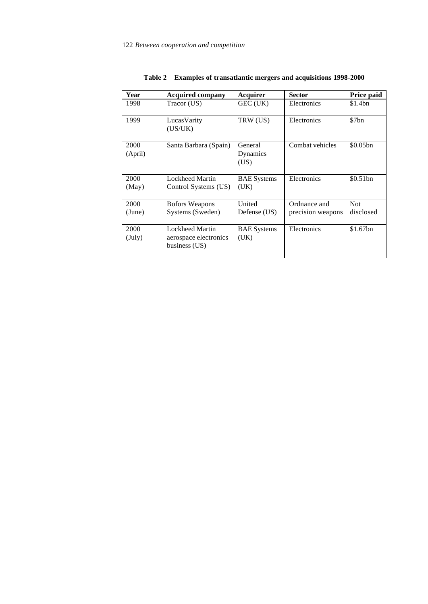| Year                    | <b>Acquired company</b>                                          | Acquirer                    | <b>Sector</b>                     | Price paid              |
|-------------------------|------------------------------------------------------------------|-----------------------------|-----------------------------------|-------------------------|
| 1998                    | Tracor (US)                                                      | GEC (UK)                    | Electronics                       | \$1.4bn                 |
| 1999                    | LucasVarity<br>(US/UK)                                           | TRW (US)                    | Electronics                       | \$7bn                   |
| 2000<br>(April)         | Santa Barbara (Spain)                                            | General<br>Dynamics<br>(US) | Combat vehicles                   | \$0.05bn                |
| 2000<br>(May)           | <b>Lockheed Martin</b><br>Control Systems (US)                   | <b>BAE</b> Systems<br>(UK)  | Electronics                       | \$0.51bn                |
| 2000<br>(June)          | Bofors Weapons<br>Systems (Sweden)                               | United<br>Defense (US)      | Ordnance and<br>precision weapons | <b>Not</b><br>disclosed |
| 2000<br>$(\text{July})$ | <b>Lockheed Martin</b><br>aerospace electronics<br>business (US) | <b>BAE</b> Systems<br>(UK)  | Electronics                       | \$1.67bn                |

**Table 2 Examples of transatlantic mergers and acquisitions 1998-2000**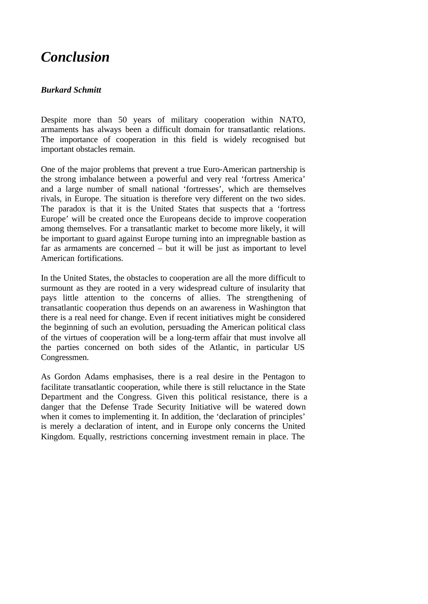# *Conclusion*

# *Burkard Schmitt*

Despite more than 50 years of military cooperation within NATO, armaments has always been a difficult domain for transatlantic relations. The importance of cooperation in this field is widely recognised but important obstacles remain.

One of the major problems that prevent a true Euro-American partnership is the strong imbalance between a powerful and very real 'fortress America' and a large number of small national 'fortresses', which are themselves rivals, in Europe. The situation is therefore very different on the two sides. The paradox is that it is the United States that suspects that a 'fortress Europe' will be created once the Europeans decide to improve cooperation among themselves. For a transatlantic market to become more likely, it will be important to guard against Europe turning into an impregnable bastion as far as armaments are concerned – but it will be just as important to level American fortifications.

In the United States, the obstacles to cooperation are all the more difficult to surmount as they are rooted in a very widespread culture of insularity that pays little attention to the concerns of allies. The strengthening of transatlantic cooperation thus depends on an awareness in Washington that there is a real need for change. Even if recent initiatives might be considered the beginning of such an evolution, persuading the American political class of the virtues of cooperation will be a long-term affair that must involve all the parties concerned on both sides of the Atlantic, in particular US Congressmen.

As Gordon Adams emphasises, there is a real desire in the Pentagon to facilitate transatlantic cooperation, while there is still reluctance in the State Department and the Congress. Given this political resistance, there is a danger that the Defense Trade Security Initiative will be watered down when it comes to implementing it. In addition, the 'declaration of principles' is merely a declaration of intent, and in Europe only concerns the United Kingdom. Equally, restrictions concerning investment remain in place. The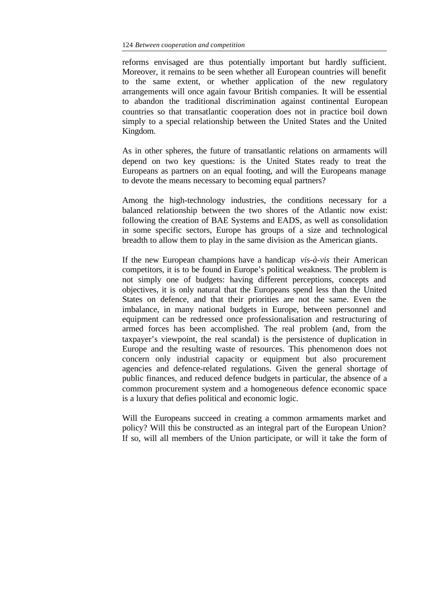reforms envisaged are thus potentially important but hardly sufficient. Moreover, it remains to be seen whether all European countries will benefit to the same extent, or whether application of the new regulatory arrangements will once again favour British companies. It will be essential to abandon the traditional discrimination against continental European countries so that transatlantic cooperation does not in practice boil down simply to a special relationship between the United States and the United Kingdom.

As in other spheres, the future of transatlantic relations on armaments will depend on two key questions: is the United States ready to treat the Europeans as partners on an equal footing, and will the Europeans manage to devote the means necessary to becoming equal partners?

Among the high-technology industries, the conditions necessary for a balanced relationship between the two shores of the Atlantic now exist: following the creation of BAE Systems and EADS, as well as consolidation in some specific sectors, Europe has groups of a size and technological breadth to allow them to play in the same division as the American giants.

If the new European champions have a handicap *vis-à-vis* their American competitors, it is to be found in Europe's political weakness. The problem is not simply one of budgets: having different perceptions, concepts and objectives, it is only natural that the Europeans spend less than the United States on defence, and that their priorities are not the same. Even the imbalance, in many national budgets in Europe, between personnel and equipment can be redressed once professionalisation and restructuring of armed forces has been accomplished. The real problem (and, from the taxpayer's viewpoint, the real scandal) is the persistence of duplication in Europe and the resulting waste of resources. This phenomenon does not concern only industrial capacity or equipment but also procurement agencies and defence-related regulations. Given the general shortage of public finances, and reduced defence budgets in particular, the absence of a common procurement system and a homogeneous defence economic space is a luxury that defies political and economic logic.

Will the Europeans succeed in creating a common armaments market and policy? Will this be constructed as an integral part of the European Union? If so, will all members of the Union participate, or will it take the form of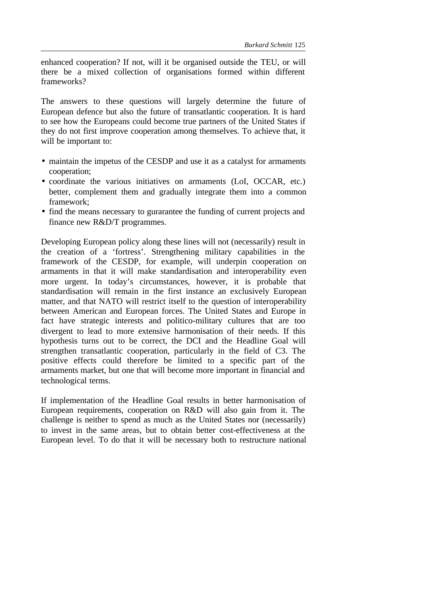enhanced cooperation? If not, will it be organised outside the TEU, or will there be a mixed collection of organisations formed within different frameworks?

The answers to these questions will largely determine the future of European defence but also the future of transatlantic cooperation. It is hard to see how the Europeans could become true partners of the United States if they do not first improve cooperation among themselves. To achieve that, it will be important to:

- maintain the impetus of the CESDP and use it as a catalyst for armaments cooperation;
- coordinate the various initiatives on armaments (LoI, OCCAR, etc.) better, complement them and gradually integrate them into a common framework;
- find the means necessary to gurarantee the funding of current projects and finance new R&D/T programmes.

Developing European policy along these lines will not (necessarily) result in the creation of a 'fortress'. Strengthening military capabilities in the framework of the CESDP, for example, will underpin cooperation on armaments in that it will make standardisation and interoperability even more urgent. In today's circumstances, however, it is probable that standardisation will remain in the first instance an exclusively European matter, and that NATO will restrict itself to the question of interoperability between American and European forces. The United States and Europe in fact have strategic interests and politico-military cultures that are too divergent to lead to more extensive harmonisation of their needs. If this hypothesis turns out to be correct, the DCI and the Headline Goal will strengthen transatlantic cooperation, particularly in the field of C3. The positive effects could therefore be limited to a specific part of the armaments market, but one that will become more important in financial and technological terms.

If implementation of the Headline Goal results in better harmonisation of European requirements, cooperation on R&D will also gain from it. The challenge is neither to spend as much as the United States nor (necessarily) to invest in the same areas, but to obtain better cost-effectiveness at the European level. To do that it will be necessary both to restructure national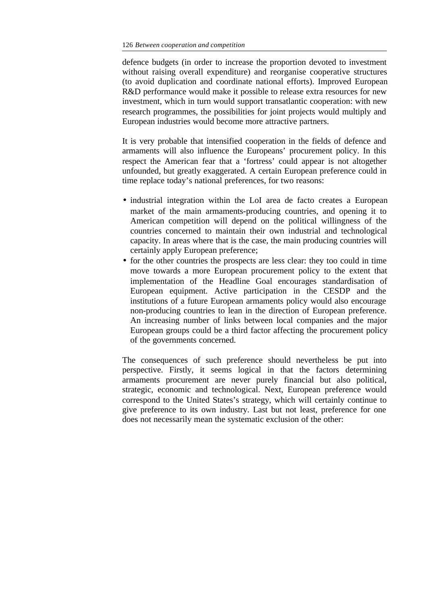defence budgets (in order to increase the proportion devoted to investment without raising overall expenditure) and reorganise cooperative structures (to avoid duplication and coordinate national efforts). Improved European R&D performance would make it possible to release extra resources for new investment, which in turn would support transatlantic cooperation: with new research programmes, the possibilities for joint projects would multiply and European industries would become more attractive partners.

It is very probable that intensified cooperation in the fields of defence and armaments will also influence the Europeans' procurement policy. In this respect the American fear that a 'fortress' could appear is not altogether unfounded, but greatly exaggerated. A certain European preference could in time replace today's national preferences, for two reasons:

- industrial integration within the LoI area de facto creates a European market of the main armaments-producing countries, and opening it to American competition will depend on the political willingness of the countries concerned to maintain their own industrial and technological capacity. In areas where that is the case, the main producing countries will certainly apply European preference;
- for the other countries the prospects are less clear: they too could in time move towards a more European procurement policy to the extent that implementation of the Headline Goal encourages standardisation of European equipment. Active participation in the CESDP and the institutions of a future European armaments policy would also encourage non-producing countries to lean in the direction of European preference. An increasing number of links between local companies and the major European groups could be a third factor affecting the procurement policy of the governments concerned.

The consequences of such preference should nevertheless be put into perspective. Firstly, it seems logical in that the factors determining armaments procurement are never purely financial but also political, strategic, economic and technological. Next, European preference would correspond to the United States's strategy, which will certainly continue to give preference to its own industry. Last but not least, preference for one does not necessarily mean the systematic exclusion of the other: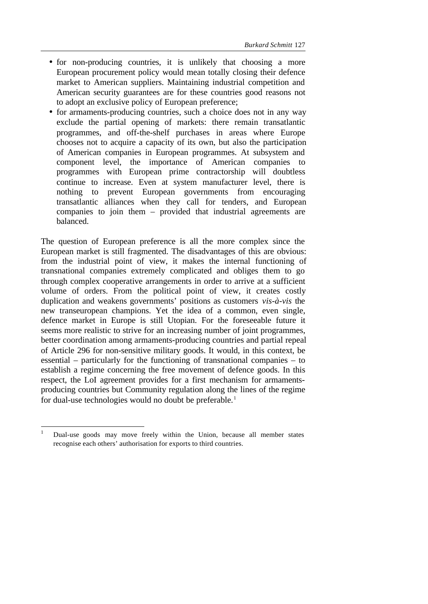- for non-producing countries, it is unlikely that choosing a more European procurement policy would mean totally closing their defence market to American suppliers. Maintaining industrial competition and American security guarantees are for these countries good reasons not to adopt an exclusive policy of European preference;
- for armaments-producing countries, such a choice does not in any way exclude the partial opening of markets: there remain transatlantic programmes, and off-the-shelf purchases in areas where Europe chooses not to acquire a capacity of its own, but also the participation of American companies in European programmes. At subsystem and component level, the importance of American companies to programmes with European prime contractorship will doubtless continue to increase. Even at system manufacturer level, there is nothing to prevent European governments from encouraging transatlantic alliances when they call for tenders, and European companies to join them – provided that industrial agreements are balanced.

The question of European preference is all the more complex since the European market is still fragmented. The disadvantages of this are obvious: from the industrial point of view, it makes the internal functioning of transnational companies extremely complicated and obliges them to go through complex cooperative arrangements in order to arrive at a sufficient volume of orders. From the political point of view, it creates costly duplication and weakens governments' positions as customers *vis-à-vis* the new transeuropean champions. Yet the idea of a common, even single, defence market in Europe is still Utopian. For the foreseeable future it seems more realistic to strive for an increasing number of joint programmes, better coordination among armaments-producing countries and partial repeal of Article 296 for non-sensitive military goods. It would, in this context, be essential – particularly for the functioning of transnational companies – to establish a regime concerning the free movement of defence goods. In this respect, the LoI agreement provides for a first mechanism for armamentsproducing countries but Community regulation along the lines of the regime for dual-use technologies would no doubt be preferable.<sup>1</sup>

<sup>1</sup> Dual-use goods may move freely within the Union, because all member states recognise each others' authorisation for exports to third countries.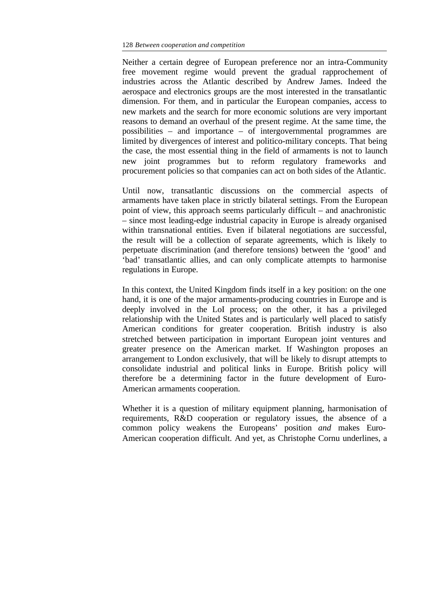Neither a certain degree of European preference nor an intra-Community free movement regime would prevent the gradual rapprochement of industries across the Atlantic described by Andrew James. Indeed the aerospace and electronics groups are the most interested in the transatlantic dimension. For them, and in particular the European companies, access to new markets and the search for more economic solutions are very important reasons to demand an overhaul of the present regime. At the same time, the possibilities – and importance – of intergovernmental programmes are limited by divergences of interest and politico-military concepts. That being the case, the most essential thing in the field of armaments is not to launch new joint programmes but to reform regulatory frameworks and procurement policies so that companies can act on both sides of the Atlantic.

Until now, transatlantic discussions on the commercial aspects of armaments have taken place in strictly bilateral settings. From the European point of view, this approach seems particularly difficult – and anachronistic – since most leading-edge industrial capacity in Europe is already organised within transnational entities. Even if bilateral negotiations are successful, the result will be a collection of separate agreements, which is likely to perpetuate discrimination (and therefore tensions) between the 'good' and 'bad' transatlantic allies, and can only complicate attempts to harmonise regulations in Europe.

In this context, the United Kingdom finds itself in a key position: on the one hand, it is one of the major armaments-producing countries in Europe and is deeply involved in the LoI process; on the other, it has a privileged relationship with the United States and is particularly well placed to satisfy American conditions for greater cooperation. British industry is also stretched between participation in important European joint ventures and greater presence on the American market. If Washington proposes an arrangement to London exclusively, that will be likely to disrupt attempts to consolidate industrial and political links in Europe. British policy will therefore be a determining factor in the future development of Euro-American armaments cooperation.

Whether it is a question of military equipment planning, harmonisation of requirements, R&D cooperation or regulatory issues, the absence of a common policy weakens the Europeans' position *and* makes Euro-American cooperation difficult. And yet, as Christophe Cornu underlines, a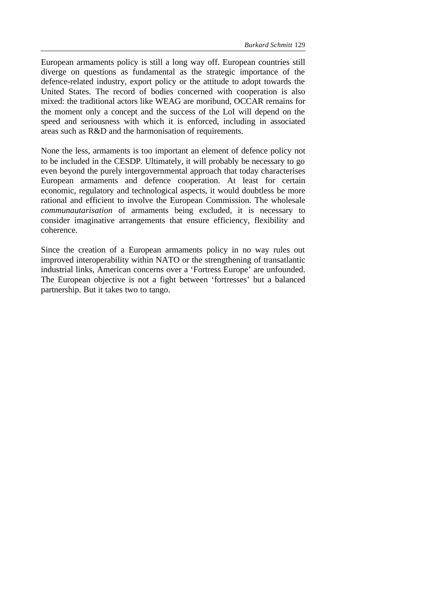European armaments policy is still a long way off. European countries still diverge on questions as fundamental as the strategic importance of the defence-related industry, export policy or the attitude to adopt towards the United States. The record of bodies concerned with cooperation is also mixed: the traditional actors like WEAG are moribund, OCCAR remains for the moment only a concept and the success of the LoI will depend on the speed and seriousness with which it is enforced, including in associated areas such as R&D and the harmonisation of requirements.

None the less, armaments is too important an element of defence policy not to be included in the CESDP. Ultimately, it will probably be necessary to go even beyond the purely intergovernmental approach that today characterises European armaments and defence cooperation. At least for certain economic, regulatory and technological aspects, it would doubtless be more rational and efficient to involve the European Commission. The wholesale *communautarisation* of armaments being excluded, it is necessary to consider imaginative arrangements that ensure efficiency, flexibility and coherence.

Since the creation of a European armaments policy in no way rules out improved interoperability within NATO or the strengthening of transatlantic industrial links, American concerns over a 'Fortress Europe' are unfounded. The European objective is not a fight between 'fortresses' but a balanced partnership. But it takes two to tango.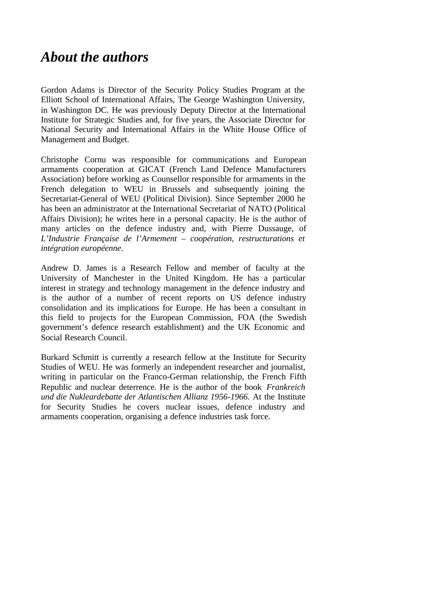# *About the authors*

Gordon Adams is Director of the Security Policy Studies Program at the Elliott School of International Affairs, The George Washington University, in Washington DC. He was previously Deputy Director at the International Institute for Strategic Studies and, for five years, the Associate Director for National Security and International Affairs in the White House Office of Management and Budget.

Christophe Cornu was responsible for communications and European armaments cooperation at GICAT (French Land Defence Manufacturers Association) before working as Counsellor responsible for armaments in the French delegation to WEU in Brussels and subsequently joining the Secretariat-General of WEU (Political Division). Since September 2000 he has been an administrator at the International Secretariat of NATO (Political Affairs Division); he writes here in a personal capacity. He is the author of many articles on the defence industry and, with Pierre Dussauge, of *L'Industrie Française de l'Armement – coopération, restructurations et intégration européenne*.

Andrew D. James is a Research Fellow and member of faculty at the University of Manchester in the United Kingdom. He has a particular interest in strategy and technology management in the defence industry and is the author of a number of recent reports on US defence industry consolidation and its implications for Europe. He has been a consultant in this field to projects for the European Commission, FOA (the Swedish government's defence research establishment) and the UK Economic and Social Research Council.

Burkard Schmitt is currently a research fellow at the Institute for Security Studies of WEU. He was formerly an independent researcher and journalist, writing in particular on the Franco-German relationship, the French Fifth Republic and nuclear deterrence. He is the author of the book *Frankreich und die Nukleardebatte der Atlantischen Allianz 1956-1966*. At the Institute for Security Studies he covers nuclear issues, defence industry and armaments cooperation, organising a defence industries task force.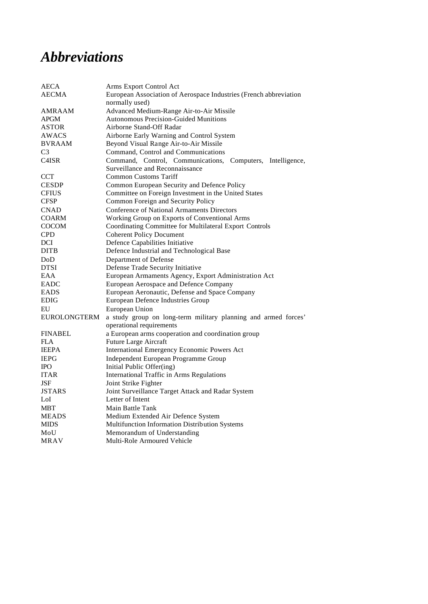# *Abbreviations*

| <b>AECA</b>        | Arms Export Control Act                                           |  |
|--------------------|-------------------------------------------------------------------|--|
| <b>AECMA</b>       | European Association of Aerospace Industries (French abbreviation |  |
|                    | normally used)                                                    |  |
| AMRAAM             | Advanced Medium-Range Air-to-Air Missile                          |  |
| APGM               | <b>Autonomous Precision-Guided Munitions</b>                      |  |
| <b>ASTOR</b>       | Airborne Stand-Off Radar                                          |  |
| AWACS              | Airborne Early Warning and Control System                         |  |
| <b>BVRAAM</b>      | Beyond Visual Range Air-to-Air Missile                            |  |
| C <sub>3</sub>     | Command, Control and Communications                               |  |
| C <sub>4</sub> ISR | Command, Control, Communications, Computers, Intelligence,        |  |
|                    | Surveillance and Reconnaissance                                   |  |
| <b>CCT</b>         | <b>Common Customs Tariff</b>                                      |  |
| <b>CESDP</b>       | Common European Security and Defence Policy                       |  |
| <b>CFIUS</b>       | Committee on Foreign Investment in the United States              |  |
| <b>CFSP</b>        | Common Foreign and Security Policy                                |  |
| <b>CNAD</b>        | Conference of National Armaments Directors                        |  |
| <b>COARM</b>       | Working Group on Exports of Conventional Arms                     |  |
| <b>COCOM</b>       | Coordinating Committee for Multilateral Export Controls           |  |
| <b>CPD</b>         | <b>Coherent Policy Document</b>                                   |  |
| DCI                | Defence Capabilities Initiative                                   |  |
| <b>DITB</b>        | Defence Industrial and Technological Base                         |  |
| DoD                | Department of Defense                                             |  |
| <b>DTSI</b>        | Defense Trade Security Initiative                                 |  |
| EAA                | European Armaments Agency, Export Administration Act              |  |
| <b>EADC</b>        | European Aerospace and Defence Company                            |  |
| <b>EADS</b>        | European Aeronautic, Defense and Space Company                    |  |
| <b>EDIG</b>        | <b>European Defence Industries Group</b>                          |  |
| EU                 | European Union                                                    |  |
| EUROLONGTERM       | a study group on long-term military planning and armed forces'    |  |
|                    | operational requirements                                          |  |
| <b>FINABEL</b>     | a European arms cooperation and coordination group                |  |
| FLA                | Future Large Aircraft                                             |  |
| <b>IEEPA</b>       | International Emergency Economic Powers Act                       |  |
| <b>IEPG</b>        | Independent European Programme Group                              |  |
| <b>IPO</b>         | Initial Public Offer(ing)                                         |  |
| <b>ITAR</b>        | <b>International Traffic in Arms Regulations</b>                  |  |
| JSF                | Joint Strike Fighter                                              |  |
| <b>JSTARS</b>      | Joint Surveillance Target Attack and Radar System                 |  |
| LoI                | Letter of Intent                                                  |  |
| <b>MBT</b>         | Main Battle Tank                                                  |  |
| <b>MEADS</b>       | Medium Extended Air Defence System                                |  |
| <b>MIDS</b>        | Multifunction Information Distribution Systems                    |  |
| MoU                | Memorandum of Understanding                                       |  |
| MRAV               | Multi-Role Armoured Vehicle                                       |  |
|                    |                                                                   |  |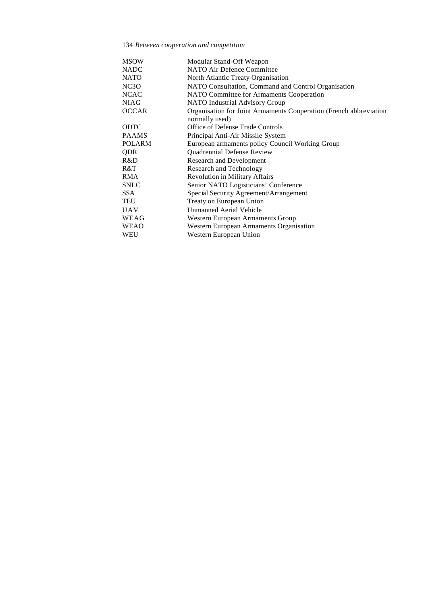134 *Between cooperation and competition*

| <b>MSOW</b>       | Modular Stand-Off Weapon                                          |
|-------------------|-------------------------------------------------------------------|
| <b>NADC</b>       | NATO Air Defence Committee                                        |
| <b>NATO</b>       | North Atlantic Treaty Organisation                                |
| NC <sub>3</sub> O | NATO Consultation, Command and Control Organisation               |
| <b>NCAC</b>       | NATO Committee for Armaments Cooperation                          |
| <b>NIAG</b>       | <b>NATO</b> Industrial Advisory Group                             |
| <b>OCCAR</b>      | Organisation for Joint Armaments Cooperation (French abbreviation |
|                   | normally used)                                                    |
| <b>ODTC</b>       | Office of Defense Trade Controls                                  |
| <b>PAAMS</b>      | Principal Anti-Air Missile System                                 |
| <b>POLARM</b>     | European armaments policy Council Working Group                   |
| QDR               | Quadrennial Defense Review                                        |
| R&D               | <b>Research and Development</b>                                   |
| R&T               | Research and Technology                                           |
| <b>RMA</b>        | <b>Revolution in Military Affairs</b>                             |
| <b>SNLC</b>       | Senior NATO Logisticians' Conference                              |
| SSA.              | Special Security Agreement/Arrangement                            |
| TEU               | Treaty on European Union                                          |
| <b>UAV</b>        | Unmanned Aerial Vehicle                                           |
| WEAG              | Western European Armaments Group                                  |
| <b>WEAO</b>       | Western European Armaments Organisation                           |
| WEU               | Western European Union                                            |
|                   |                                                                   |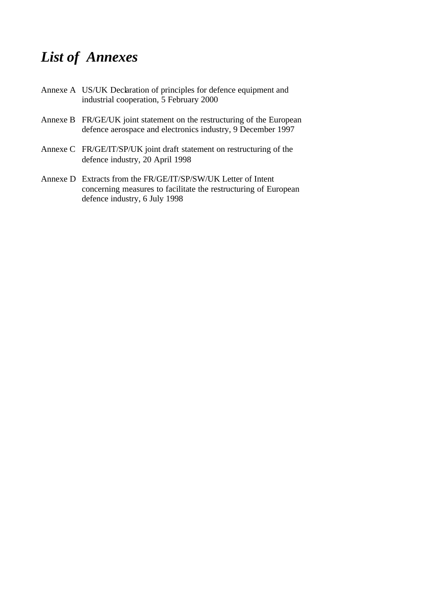# *List of Annexes*

- Annexe A US/UK Declaration of principles for defence equipment and industrial cooperation, 5 February 2000
- Annexe B FR/GE/UK joint statement on the restructuring of the European defence aerospace and electronics industry, 9 December 1997
- Annexe C FR/GE/IT/SP/UK joint draft statement on restructuring of the defence industry, 20 April 1998
- Annexe D Extracts from the FR/GE/IT/SP/SW/UK Letter of Intent concerning measures to facilitate the restructuring of European defence industry, 6 July 1998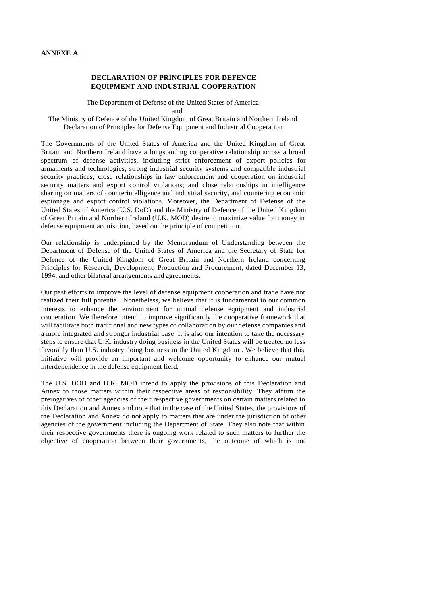#### **DECLARATION OF PRINCIPLES FOR DEFENCE EQUIPMENT AND INDUSTRIAL COOPERATION**

The Department of Defense of the United States of America

and

The Ministry of Defence of the United Kingdom of Great Britain and Northern Ireland Declaration of Principles for Defense Equipment and Industrial Cooperation

The Governments of the United States of America and the United Kingdom of Great Britain and Northern Ireland have a longstanding cooperative relationship across a broad spectrum of defense activities, including strict enforcement of export policies for armaments and technologies; strong industrial security systems and compatible industrial security practices; close relationships in law enforcement and cooperation on industrial security matters and export control violations; and close relationships in intelligence sharing on matters of counterintelligence and industrial security, and countering economic espionage and export control violations. Moreover, the Department of Defense of the United States of America (U.S. DoD) and the Ministry of Defence of the United Kingdom of Great Britain and Northern Ireland (U.K. MOD) desire to maximize value for money in defense equipment acquisition, based on the principle of competition.

Our relationship is underpinned by the Memorandum of Understanding between the Department of Defense of the United States of America and the Secretary of State for Defence of the United Kingdom of Great Britain and Northern Ireland concerning Principles for Research, Development, Production and Procurement, dated December 13, 1994, and other bilateral arrangements and agreements.

Our past efforts to improve the level of defense equipment cooperation and trade have not realized their full potential. Nonetheless, we believe that it is fundamental to our common interests to enhance the environment for mutual defense equipment and industrial cooperation. We therefore intend to improve significantly the cooperative framework that will facilitate both traditional and new types of collaboration by our defense companies and a more integrated and stronger industrial base. It is also our intention to take the necessary steps to ensure that U.K. industry doing business in the United States will be treated no less favorably than U.S. industry doing business in the United Kingdom . We believe that this initiative will provide an important and welcome opportunity to enhance our mutual interdependence in the defense equipment field.

The U.S. DOD and U.K. MOD intend to apply the provisions of this Declaration and Annex to those matters within their respective areas of responsibility. They affirm the prerogatives of other agencies of their respective governments on certain matters related to this Declaration and Annex and note that in the case of the United States, the provisions of the Declaration and Annex do not apply to matters that are under the jurisdiction of other agencies of the government including the Department of State. They also note that within their respective governments there is ongoing work related to such matters to further the objective of cooperation between their governments, the outcome of which is not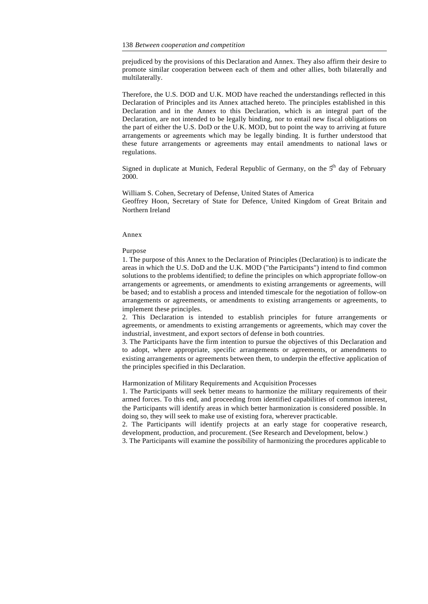prejudiced by the provisions of this Declaration and Annex. They also affirm their desire to promote similar cooperation between each of them and other allies, both bilaterally and multilaterally.

Therefore, the U.S. DOD and U.K. MOD have reached the understandings reflected in this Declaration of Principles and its Annex attached hereto. The principles established in this Declaration and in the Annex to this Declaration, which is an integral part of the Declaration, are not intended to be legally binding, nor to entail new fiscal obligations on the part of either the U.S. DoD or the U.K. MOD, but to point the way to arriving at future arrangements or agreements which may be legally binding. It is further understood that these future arrangements or agreements may entail amendments to national laws or regulations.

Signed in duplicate at Munich, Federal Republic of Germany, on the  $5<sup>th</sup>$  day of February 2000.

William S. Cohen, Secretary of Defense, United States of America Geoffrey Hoon, Secretary of State for Defence, United Kingdom of Great Britain and Northern Ireland

#### Annex

Purpose

1. The purpose of this Annex to the Declaration of Principles (Declaration) is to indicate the areas in which the U.S. DoD and the U.K. MOD ("the Participants") intend to find common solutions to the problems identified; to define the principles on which appropriate follow-on arrangements or agreements, or amendments to existing arrangements or agreements, will be based; and to establish a process and intended timescale for the negotiation of follow-on arrangements or agreements, or amendments to existing arrangements or agreements, to implement these principles.

2. This Declaration is intended to establish principles for future arrangements or agreements, or amendments to existing arrangements or agreements, which may cover the industrial, investment, and export sectors of defense in both countries.

3. The Participants have the firm intention to pursue the objectives of this Declaration and to adopt, where appropriate, specific arrangements or agreements, or amendments to existing arrangements or agreements between them, to underpin the effective application of the principles specified in this Declaration.

Harmonization of Military Requirements and Acquisition Processes

1. The Participants will seek better means to harmonize the military requirements of their armed forces. To this end, and proceeding from identified capabilities of common interest, the Participants will identify areas in which better harmonization is considered possible. In doing so, they will seek to make use of existing fora, wherever practicable.

2. The Participants will identify projects at an early stage for cooperative research, development, production, and procurement. (See Research and Development, below.)

3. The Participants will examine the possibility of harmonizing the procedures applicable to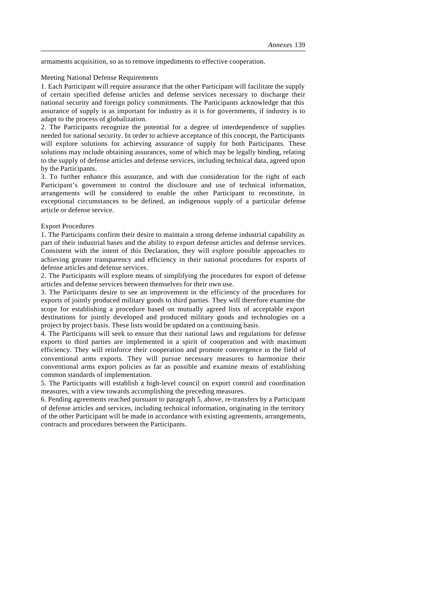armaments acquisition, so as to remove impediments to effective cooperation.

#### Meeting National Defense Requirements

1. Each Participant will require assurance that the other Participant will facilitate the supply of certain specified defense articles and defense services necessary to discharge their national security and foreign policy commitments. The Participants acknowledge that this assurance of supply is as important for industry as it is for governments, if industry is to adapt to the process of globalization.

2. The Participants recognize the potential for a degree of interdependence of supplies needed for national security. In order to achieve acceptance of this concept, the Participants will explore solutions for achieving assurance of supply for both Participants. These solutions may include obtaining assurances, some of which may be legally binding, relating to the supply of defense articles and defense services, including technical data, agreed upon by the Participants.

3. To further enhance this assurance, and with due consideration for the right of each Participant's government to control the disclosure and use of technical information, arrangements will be considered to enable the other Participant to reconstitute, in exceptional circumstances to be defined, an indigenous supply of a particular defense article or defense service.

## Export Procedures

1. The Participants confirm their desire to maintain a strong defense industrial capability as part of their industrial bases and the ability to export defense articles and defense services. Consistent with the intent of this Declaration, they will explore possible approaches to achieving greater transparency and efficiency in their national procedures for exports of defense articles and defense services*.*

2. The Participants will explore means of simplifying the procedures for export of defense articles and defense services between themselves for their own use.

3. The Participants desire to see an improvement in the efficiency of the procedures for exports of jointly produced military goods to third parties. They will therefore examine the scope for establishing a procedure based on mutually agreed lists of acceptable export destinations for jointly developed and produced military goods and technologies on a project by project basis. These lists would be updated on a continuing basis.

4. The Participants will seek to ensure that their national laws and regulations for defense exports to third parties are implemented in a spirit of cooperation and with maximum efficiency. They will reinforce their cooperation and promote convergence in the field of conventional arms exports. They will pursue necessary measures to harmonize their conventional arms export policies as far as possible and examine means of establishing common standards of implementation.

5. The Participants will establish a high-level council on export control and coordination measures, with a view towards accomplishing the preceding measures.

6. Pending agreements reached pursuant to paragraph 5, above, re-transfers by a Participant of defense articles and services, including technical information, originating in the territory of the other Participant will be made in accordance with existing agreements, arrangements, contracts and procedures between the Participants.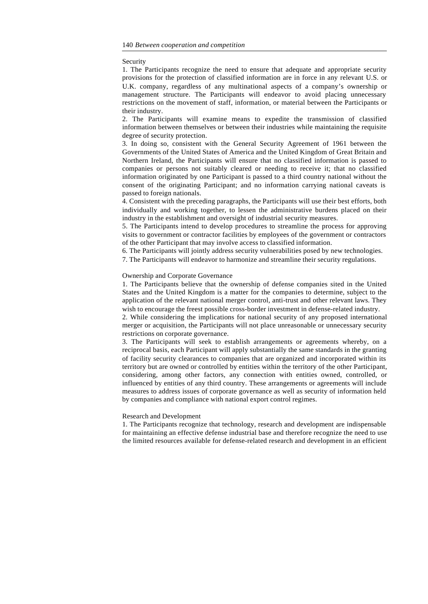#### Security

1. The Participants recognize the need to ensure that adequate and appropriate security provisions for the protection of classified information are in force in any relevant U.S. or U.K. company, regardless of any multinational aspects of a company's ownership or management structure. The Participants will endeavor to avoid placing unnecessary restrictions on the movement of staff, information, or material between the Participants or their industry.

2. The Participants will examine means to expedite the transmission of classified information between themselves or between their industries while maintaining the requisite degree of security protection.

3. In doing so, consistent with the General Security Agreement of 1961 between the Governments of the United States of America and the United Kingdom of Great Britain and Northern Ireland, the Participants will ensure that no classified information is passed to companies or persons not suitably cleared or needing to receive it; that no classified information originated by one Participant is passed to a third country national without the consent of the originating Participant; and no information carrying national caveats is passed to foreign nationals.

4. Consistent with the preceding paragraphs, the Participants will use their best efforts, both individually and working together, to lessen the administrative burdens placed on their industry in the establishment and oversight of industrial security measures.

5. The Participants intend to develop procedures to streamline the process for approving visits to government or contractor facilities by employees of the government or contractors of the other Participant that may involve access to classified information.

6. The Participants will jointly address security vulnerabilities posed by new technologies.

7. The Participants will endeavor to harmonize and streamline their security regulations.

## Ownership and Corporate Governance

1. The Participants believe that the ownership of defense companies sited in the United States and the United Kingdom is a matter for the companies to determine, subject to the application of the relevant national merger control, anti-trust and other relevant laws. They wish to encourage the freest possible cross-border investment in defense-related industry.

2. While considering the implications for national security of any proposed international merger or acquisition, the Participants will not place unreasonable or unnecessary security restrictions on corporate governance.

3. The Participants will seek to establish arrangements or agreements whereby, on a reciprocal basis, each Participant will apply substantially the same standards in the granting of facility security clearances to companies that are organized and incorporated within its territory but are owned or controlled by entities within the territory of the other Participant, considering, among other factors, any connection with entities owned, controlled, or influenced by entities of any third country. These arrangements or agreements will include measures to address issues of corporate governance as well as security of information held by companies and compliance with national export control regimes.

## Research and Development

1. The Participants recognize that technology, research and development are indispensable for maintaining an effective defense industrial base and therefore recognize the need to use the limited resources available for defense-related research and development in an efficient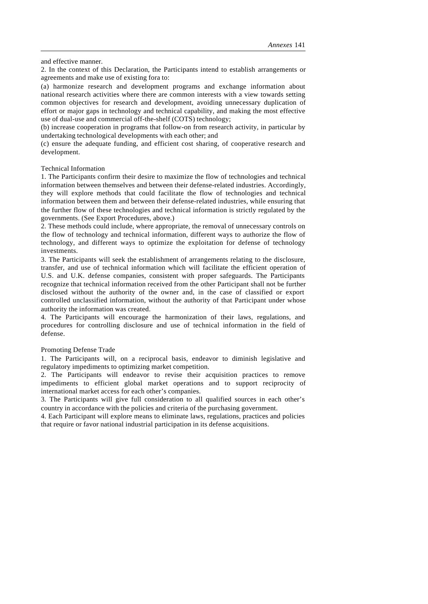and effective manner.

2. In the context of this Declaration, the Participants intend to establish arrangements or agreements and make use of existing fora to:

(a) harmonize research and development programs and exchange information about national research activities where there are common interests with a view towards setting common objectives for research and development, avoiding unnecessary duplication of effort or major gaps in technology and technical capability, and making the most effective use of dual-use and commercial off-the-shelf (COTS) technology;

(b) increase cooperation in programs that follow-on from research activity, in particular by undertaking technological developments with each other; and

(c) ensure the adequate funding, and efficient cost sharing, of cooperative research and development.

Technical Information

1. The Participants confirm their desire to maximize the flow of technologies and technical information between themselves and between their defense-related industries. Accordingly, they will explore methods that could facilitate the flow of technologies and technical information between them and between their defense-related industries, while ensuring that the further flow of these technologies and technical information is strictly regulated by the governments. (See Export Procedures, above.)

2. These methods could include, where appropriate, the removal of unnecessary controls on the flow of technology and technical information, different ways to authorize the flow of technology, and different ways to optimize the exploitation for defense of technology investments.

3. The Participants will seek the establishment of arrangements relating to the disclosure, transfer, and use of technical information which will facilitate the efficient operation of U.S. and U.K. defense companies, consistent with proper safeguards. The Participants recognize that technical information received from the other Participant shall not be further disclosed without the authority of the owner and, in the case of classified or export controlled unclassified information, without the authority of that Participant under whose authority the information was created.

4. The Participants will encourage the harmonization of their laws, regulations, and procedures for controlling disclosure and use of technical information in the field of defense.

Promoting Defense Trade

1. The Participants will, on a reciprocal basis, endeavor to diminish legislative and regulatory impediments to optimizing market competition.

2. The Participants will endeavor to revise their acquisition practices to remove impediments to efficient global market operations and to support reciprocity of international market access for each other's companies.

3. The Participants will give full consideration to all qualified sources in each other's country in accordance with the policies and criteria of the purchasing government.

4. Each Participant will explore means to eliminate laws, regulations, practices and policies that require or favor national industrial participation in its defense acquisitions.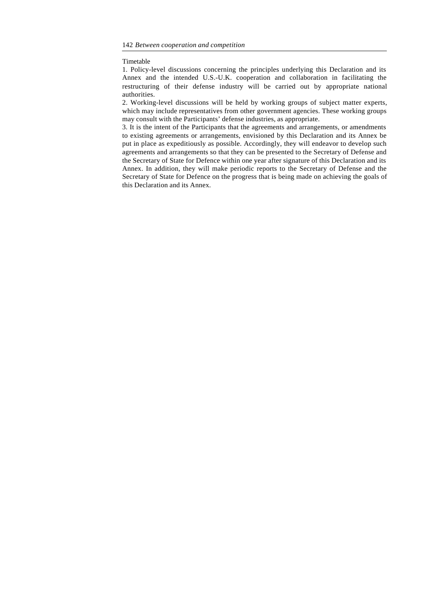Timetable

1. Policy-level discussions concerning the principles underlying this Declaration and its Annex and the intended U.S.-U.K. cooperation and collaboration in facilitating the restructuring of their defense industry will be carried out by appropriate national authorities.

2. Working-level discussions will be held by working groups of subject matter experts, which may include representatives from other government agencies. These working groups may consult with the Participants' defense industries, as appropriate.

3. It is the intent of the Participants that the agreements and arrangements, or amendments to existing agreements or arrangements, envisioned by this Declaration and its Annex be put in place as expeditiously as possible. Accordingly, they will endeavor to develop such agreements and arrangements so that they can be presented to the Secretary of Defense and the Secretary of State for Defence within one year after signature of this Declaration and its Annex. In addition, they will make periodic reports to the Secretary of Defense and the Secretary of State for Defence on the progress that is being made on achieving the goals of this Declaration and its Annex.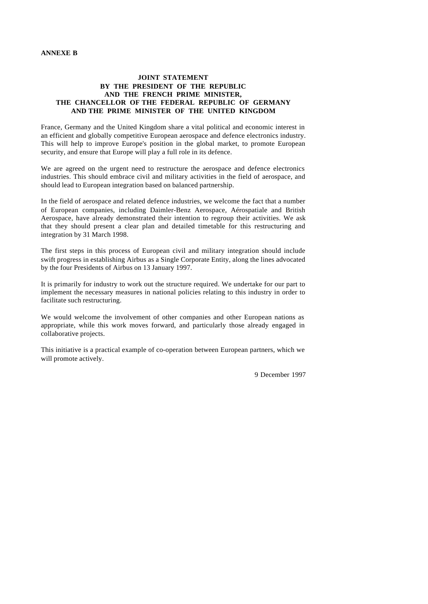# **ANNEXE B**

# **JOINT STATEMENT BY THE PRESIDENT OF THE REPUBLIC AND THE FRENCH PRIME MINISTER, THE CHANCELLOR OF THE FEDERAL REPUBLIC OF GERMANY AND THE PRIME MINISTER OF THE UNITED KINGDOM**

France, Germany and the United Kingdom share a vital political and economic interest in an efficient and globally competitive European aerospace and defence electronics industry. This will help to improve Europe's position in the global market, to promote European security, and ensure that Europe will play a full role in its defence.

We are agreed on the urgent need to restructure the aerospace and defence electronics industries. This should embrace civil and military activities in the field of aerospace, and should lead to European integration based on balanced partnership.

In the field of aerospace and related defence industries, we welcome the fact that a number of European companies, including Daimler-Benz Aerospace, Aérospatiale and British Aerospace, have already demonstrated their intention to regroup their activities. We ask that they should present a clear plan and detailed timetable for this restructuring and integration by 31 March 1998.

The first steps in this process of European civil and military integration should include swift progress in establishing Airbus as a Single Corporate Entity, along the lines advocated by the four Presidents of Airbus on 13 January 1997.

It is primarily for industry to work out the structure required. We undertake for our part to implement the necessary measures in national policies relating to this industry in order to facilitate such restructuring.

We would welcome the involvement of other companies and other European nations as appropriate, while this work moves forward, and particularly those already engaged in collaborative projects.

This initiative is a practical example of co-operation between European partners, which we will promote actively.

9 December 1997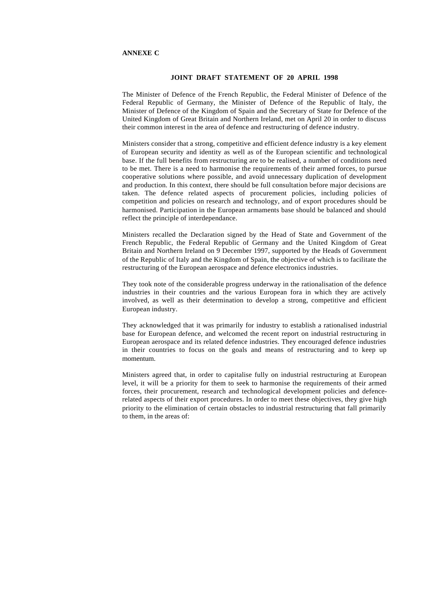# **ANNEXE C**

# **JOINT DRAFT STATEMENT OF 20 APRIL 1998**

The Minister of Defence of the French Republic, the Federal Minister of Defence of the Federal Republic of Germany, the Minister of Defence of the Republic of Italy, the Minister of Defence of the Kingdom of Spain and the Secretary of State for Defence of the United Kingdom of Great Britain and Northern Ireland, met on April 20 in order to discuss their common interest in the area of defence and restructuring of defence industry.

Ministers consider that a strong, competitive and efficient defence industry is a key element of European security and identity as well as of the European scientific and technological base. If the full benefits from restructuring are to be realised, a number of conditions need to be met. There is a need to harmonise the requirements of their armed forces, to pursue cooperative solutions where possible, and avoid unnecessary duplication of development and production. In this context, there should be full consultation before major decisions are taken. The defence related aspects of procurement policies, including policies of competition and policies on research and technology, and of export procedures should be harmonised. Participation in the European armaments base should be balanced and should reflect the principle of interdependance.

Ministers recalled the Declaration signed by the Head of State and Government of the French Republic, the Federal Republic of Germany and the United Kingdom of Great Britain and Northern Ireland on 9 December 1997, supported by the Heads of Government of the Republic of Italy and the Kingdom of Spain, the objective of which is to facilitate the restructuring of the European aerospace and defence electronics industries.

They took note of the considerable progress underway in the rationalisation of the defence industries in their countries and the various European fora in which they are actively involved, as well as their determination to develop a strong, competitive and efficient European industry.

They acknowledged that it was primarily for industry to establish a rationalised industrial base for European defence, and welcomed the recent report on industrial restructuring in European aerospace and its related defence industries. They encouraged defence industries in their countries to focus on the goals and means of restructuring and to keep up momentum.

Ministers agreed that, in order to capitalise fully on industrial restructuring at European level, it will be a priority for them to seek to harmonise the requirements of their armed forces, their procurement, research and technological development policies and defencerelated aspects of their export procedures. In order to meet these objectives, they give high priority to the elimination of certain obstacles to industrial restructuring that fall primarily to them, in the areas of: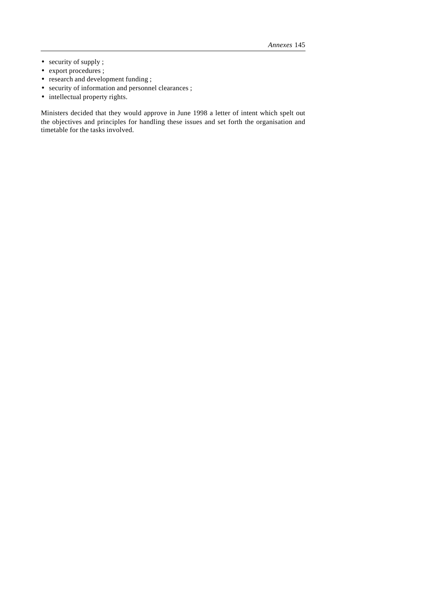- security of supply ;
- export procedures ;
- research and development funding ;
- security of information and personnel clearances ;
- intellectual property rights.

Ministers decided that they would approve in June 1998 a letter of intent which spelt out the objectives and principles for handling these issues and set forth the organisation and timetable for the tasks involved.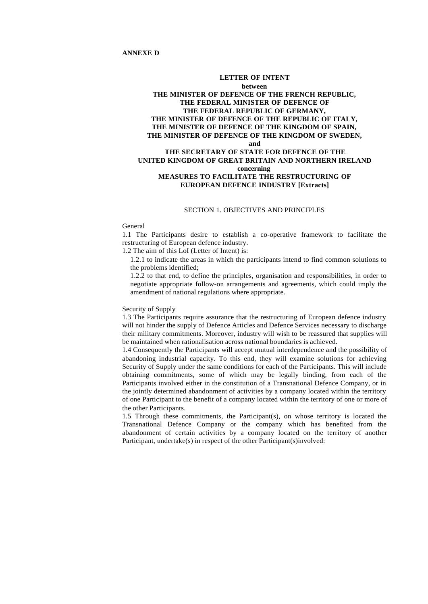## **LETTER OF INTENT**

# **between THE MINISTER OF DEFENCE OF THE FRENCH REPUBLIC, THE FEDERAL MINISTER OF DEFENCE OF THE FEDERAL REPUBLIC OF GERMANY, THE MINISTER OF DEFENCE OF THE REPUBLIC OF ITALY, THE MINISTER OF DEFENCE OF THE KINGDOM OF SPAIN, THE MINISTER OF DEFENCE OF THE KINGDOM OF SWEDEN, and**

# **THE SECRETARY OF STATE FOR DEFENCE OF THE UNITED KINGDOM OF GREAT BRITAIN AND NORTHERN IRELAND concerning MEASURES TO FACILITATE THE RESTRUCTURING OF EUROPEAN DEFENCE INDUSTRY [Extracts]**

# SECTION 1. OBJECTIVES AND PRINCIPLES

## General

1.1 The Participants desire to establish a co-operative framework to facilitate the restructuring of European defence industry.

1.2 The aim of this LoI (Letter of Intent) is:

1.2.1 to indicate the areas in which the participants intend to find common solutions to the problems identified;

1.2.2 to that end, to define the principles, organisation and responsibilities, in order to negotiate appropriate follow-on arrangements and agreements, which could imply the amendment of national regulations where appropriate.

# Security of Supply

1.3 The Participants require assurance that the restructuring of European defence industry will not hinder the supply of Defence Articles and Defence Services necessary to discharge their military commitments. Moreover, industry will wish to be reassured that supplies will be maintained when rationalisation across national boundaries is achieved.

1.4 Consequently the Participants will accept mutual interdependence and the possibility of abandoning industrial capacity. To this end, they will examine solutions for achieving Security of Supply under the same conditions for each of the Participants. This will include obtaining commitments, some of which may be legally binding, from each of the Participants involved either in the constitution of a Transnational Defence Company, or in the jointly determined abandonment of activities by a company located within the territory of one Participant to the benefit of a company located within the territory of one or more of the other Participants.

1.5 Through these commitments, the Participant(s), on whose territory is located the Transnational Defence Company or the company which has benefited from the abandonment of certain activities by a company located on the territory of another Participant, undertake(s) in respect of the other Participant(s)involved: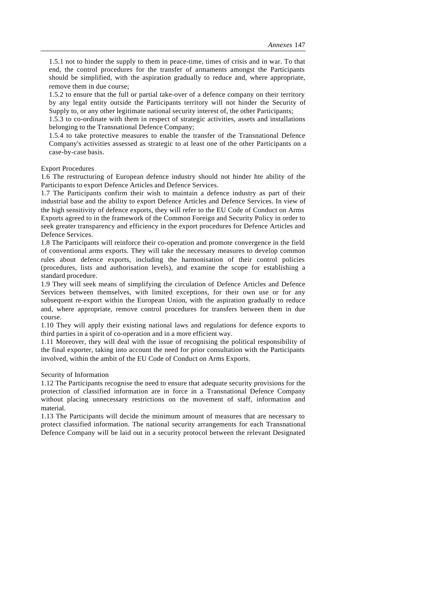1.5.1 not to hinder the supply to them in peace-time, times of crisis and in war. To that end, the control procedures for the transfer of armaments amongst the Participants should be simplified, with the aspiration gradually to reduce and, where appropriate, remove them in due course;

1.5.2 to ensure that the full or partial take-over of a defence company on their territory by any legal entity outside the Participants territory will not hinder the Security of Supply to, or any other legitimate national security interest of, the other Participants;

1.5.3 to co-ordinate with them in respect of strategic activities, assets and installations belonging to the Transnational Defence Company;

1.5.4 to take protective measures to enable the transfer of the Transnational Defence Company's activities assessed as strategic to at least one of the other Participants on a case-by-case basis.

Export Procedures

1.6 The restructuring of European defence industry should not hinder hte ability of the Participants to export Defence Articles and Defence Services.

1.7 The Participants confirm their wish to maintain a defence industry as part of their industrial base and the ability to export Defence Articles and Defence Services. In view of the high sensitivity of defence exports, they will refer to the EU Code of Conduct on Arms Exports agreed to in the framework of the Common Foreign and Security Policy in order to seek greater transparency and efficiency in the export procedures for Defence Articles and Defence Services.

1.8 The Participants will reinforce their co-operation and promote convergence in the field of conventional arms exports. They will take the necessary measures to develop common rules about defence exports, including the harmonisation of their control policies (procedures, lists and authorisation levels), and examine the scope for establishing a standard procedure.

1.9 They will seek means of simplifying the circulation of Defence Articles and Defence Services between themselves, with limited exceptions, for their own use or for any subsequent re-export within the European Union, with the aspiration gradually to reduce and, where appropriate, remove control procedures for transfers between them in due course.

1.10 They will apply their existing national laws and regulations for defence exports to third parties in a spirit of co-operation and in a more efficient way.

1.11 Moreover, they will deal with the issue of recognising the political responsibility of the final exporter, taking into account the need for prior consultation with the Participants involved, within the ambit of the EU Code of Conduct on Arms Exports.

## Security of Information

1.12 The Participants recognise the need to ensure that adequate security provisions for the protection of classified information are in force in a Transnational Defence Company without placing unnecessary restrictions on the movement of staff, information and material.

1.13 The Participants will decide the minimum amount of measures that are necessary to protect classified information. The national security arrangements for each Transnational Defence Company will be laid out in a security protocol between the relevant Designated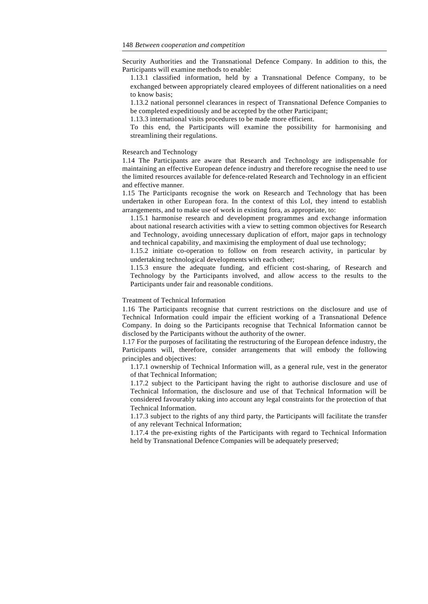Security Authorities and the Transnational Defence Company. In addition to this, the Participants will examine methods to enable:

1.13.1 classified information, held by a Transnational Defence Company, to be exchanged between appropriately cleared employees of different nationalities on a need to know basis;

1.13.2 national personnel clearances in respect of Transnational Defence Companies to be completed expeditiously and be accepted by the other Participant;

1.13.3 international visits procedures to be made more efficient.

To this end, the Participants will examine the possibility for harmonising and streamlining their regulations.

## Research and Technology

1.14 The Participants are aware that Research and Technology are indispensable for maintaining an effective European defence industry and therefore recognise the need to use the limited resources available for defence-related Research and Technology in an efficient and effective manner.

1.15 The Participants recognise the work on Research and Technology that has been undertaken in other European fora. In the context of this LoI, they intend to establish arrangements, and to make use of work in existing fora, as appropriate, to:

1.15.1 harmonise research and development programmes and exchange information about national research activities with a view to setting common objectives for Research and Technology, avoiding unnecessary duplication of effort, major gaps in technology and technical capability, and maximising the employment of dual use technology;

1.15.2 initiate co-operation to follow on from research activity, in particular by undertaking technological developments with each other;

1.15.3 ensure the adequate funding, and efficient cost-sharing, of Research and Technology by the Participants involved, and allow access to the results to the Participants under fair and reasonable conditions.

Treatment of Technical Information

1.16 The Participants recognise that current restrictions on the disclosure and use of Technical Information could impair the efficient working of a Transnational Defence Company. In doing so the Participants recognise that Technical Information cannot be disclosed by the Participants without the authority of the owner.

1.17 For the purposes of facilitating the restructuring of the European defence industry, the Participants will, therefore, consider arrangements that will embody the following principles and objectives:

1.17.1 ownership of Technical Information will, as a general rule, vest in the generator of that Technical Information;

1.17.2 subject to the Participant having the right to authorise disclosure and use of Technical Information, the disclosure and use of that Technical Information will be considered favourably taking into account any legal constraints for the protection of that Technical Information.

1.17.3 subject to the rights of any third party, the Participants will facilitate the transfer of any relevant Technical Information;

1.17.4 the pre-existing rights of the Participants with regard to Technical Information held by Transnational Defence Companies will be adequately preserved;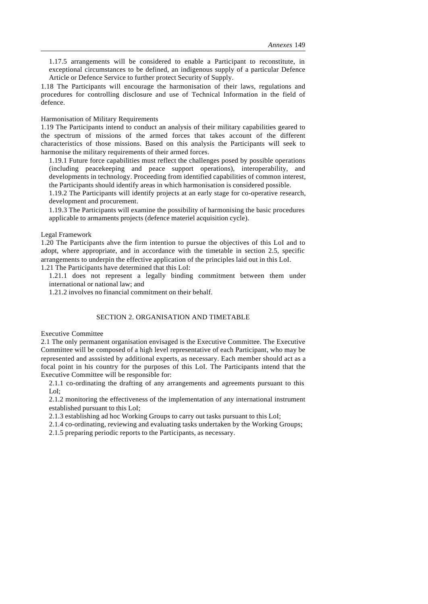1.17.5 arrangements will be considered to enable a Participant to reconstitute, in exceptional circumstances to be defined, an indigenous supply of a particular Defence Article or Defence Service to further protect Security of Supply.

1.18 The Participants will encourage the harmonisation of their laws, regulations and procedures for controlling disclosure and use of Technical Information in the field of defence.

## Harmonisation of Military Requirements

1.19 The Participants intend to conduct an analysis of their military capabilities geared to the spectrum of missions of the armed forces that takes account of the different characteristics of those missions. Based on this analysis the Participants will seek to harmonise the military requirements of their armed forces.

1.19.1 Future force capabilities must reflect the challenges posed by possible operations (including peacekeeping and peace support operations), interoperability, and developments in technology. Proceeding from identified capabilities of common interest, the Participants should identify areas in which harmonisation is considered possible.

1.19.2 The Participants will identify projects at an early stage for co-operative research, development and procurement.

1.19.3 The Participants will examine the possibility of harmonising the basic procedures applicable to armaments projects (defence materiel acquisition cycle).

## Legal Framework

1.20 The Participants ahve the firm intention to pursue the objectives of this LoI and to adopt, where appropriate, and in accordance with the timetable in section 2.5, specific arrangements to underpin the effective application of the principles laid out in this LoI.

1.21 The Participants have determined that this LoI:

1.21.1 does not represent a legally binding commitment between them under international or national law; and

1.21.2 involves no financial commitment on their behalf.

# SECTION 2. ORGANISATION AND TIMETABLE

#### Executive Committee

2.1 The only permanent organisation envisaged is the Executive Committee. The Executive Committee will be composed of a high level representative of each Participant, who may be represented and asssisted by additional experts, as necessary. Each member should act as a focal point in his country for the purposes of this LoI. The Participants intend that the Executive Committee will be responsible for:

2.1.1 co-ordinating the drafting of any arrangements and agreements pursuant to this LoI;

2.1.2 monitoring the effectiveness of the implementation of any international instrument established pursuant to this LoI;

2.1.3 establishing ad hoc Working Groups to carry out tasks pursuant to this LoI;

2.1.4 co-ordinating, reviewing and evaluating tasks undertaken by the Working Groups;

2.1.5 preparing periodic reports to the Participants, as necessary.